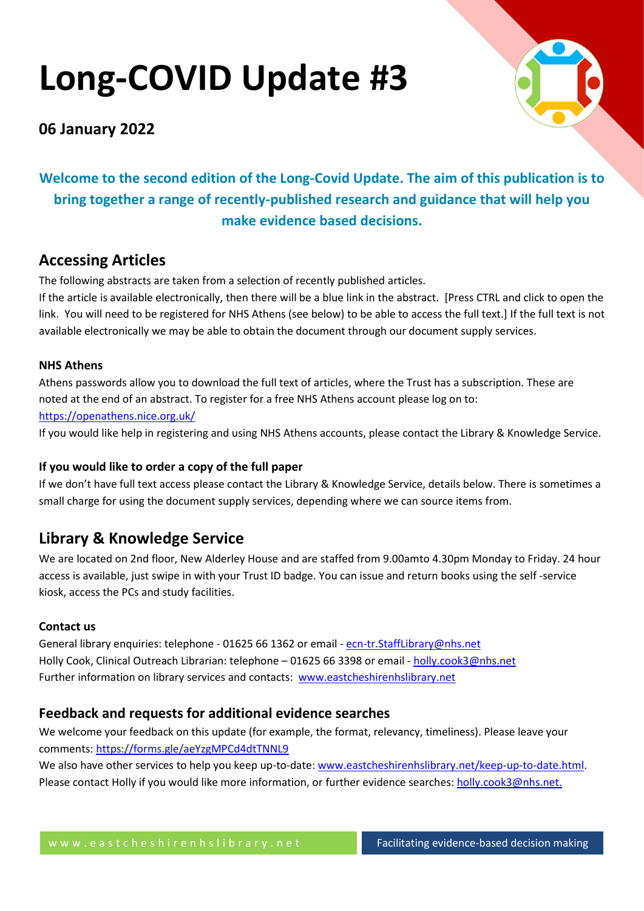# **Long-COVID Update #3**



# **06 January 2022**

**Welcome to the second edition of the Long-Covid Update. The aim of this publication is to bring together a range of recently-published research and guidance that will help you make evidence based decisions.**

# **Accessing Articles**

The following abstracts are taken from a selection of recently published articles.

If the article is available electronically, then there will be a blue link in the abstract. [Press CTRL and click to open the link. You will need to be registered for NHS Athens (see below) to be able to access the full text.] If the full text is not available electronically we may be able to obtain the document through our document supply services.

# **NHS Athens**

Athens passwords allow you to download the full text of articles, where the Trust has a subscription. These are noted at the end of an abstract. To register for a free NHS Athens account please log on to: <https://openathens.nice.org.uk/>

If you would like help in registering and using NHS Athens accounts, please contact the Library & Knowledge Service.

# **If you would like to order a copy of the full paper**

If we don't have full text access please contact the Library & Knowledge Service, details below. There is sometimes a small charge for using the document supply services, depending where we can source items from.

# **Library & Knowledge Service**

We are located on 2nd floor, New Alderley House and are staffed from 9.00amto 4.30pm Monday to Friday. 24 hour access is available, just swipe in with your Trust ID badge. You can issue and return books using the self -service kiosk, access the PCs and study facilities.

# **Contact us**

General library enquiries: telephone - 01625 66 1362 or email - [ecn-tr.StaffLibrary@nhs.net](mailto:ecn-tr.StaffLibrary@nhs.net) Holly Cook, Clinical Outreach Librarian: telephone – 01625 66 3398 or email - [holly.cook3@nhs.net](mailto:holly.cook3@nhs.net) Further information on library services and contacts: [www.eastcheshirenhslibrary.net](http://www.eastcheshirenhslibrary.net/)

# **Feedback and requests for additional evidence searches**

We welcome your feedback on this update (for example, the format, relevancy, timeliness). Please leave your comments[: https://forms.gle/aeYzgMPCd4dtTNNL9](https://forms.gle/aeYzgMPCd4dtTNNL9)

We also have other services to help you keep up-to-date: [www.eastcheshirenhslibrary.net/keep-up-to-date.html.](http://www.eastcheshirenhslibrary.net/keep-up-to-date.html) Please contact Holly if you would like more information, or further evidence searches: [holly.cook3@nhs.net.](mailto:holly.cook3@nhs.net)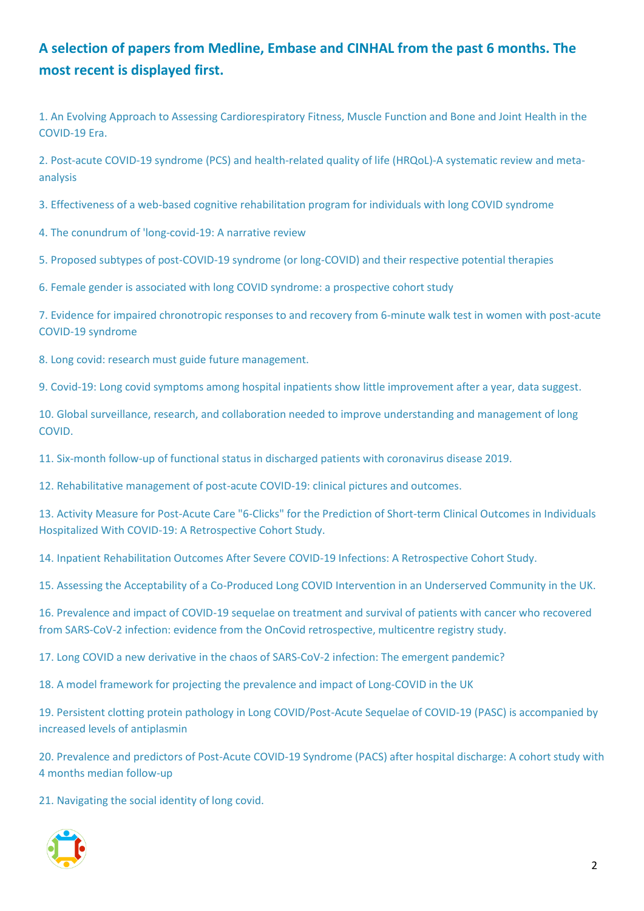# **A selection of papers from Medline, Embase and CINHAL from the past 6 months. The most recent is displayed first.**

[1. An Evolving Approach to Assessing Cardiorespiratory Fitness, Muscle Function and Bone and Joint Health in the](#page-5-0)  [COVID-19 Era.](#page-5-0)

[2. Post-acute COVID-19 syndrome \(PCS\) and health-related quality of life \(HRQoL\)-A systematic review and meta](#page-5-1)[analysis](#page-5-1)

[3. Effectiveness of a web-based cognitive rehabilitation program for individuals with long COVID syndrome](#page-6-0)

[4. The conundrum of 'long-covid-19: A narrative review](#page-6-1)

[5. Proposed subtypes of post-COVID-19 syndrome \(or long-COVID\) and their respective potential therapies](#page-7-0)

[6. Female gender is associated with long COVID syndrome: a prospective cohort study](#page-7-1)

[7. Evidence for impaired chronotropic responses to and recovery from 6-minute walk test in women with post-acute](#page-8-0)  [COVID-19 syndrome](#page-8-0)

[8. Long covid: research must guide future management.](#page-9-0)

[9. Covid-19: Long covid symptoms among hospital inpatients show little improvement after a year, data suggest.](#page-9-1)

[10. Global surveillance, research, and collaboration needed to improve understanding and management of long](#page-9-2)  [COVID.](#page-9-2)

[11. Six-month follow-up of functional status in discharged patients with coronavirus disease 2019.](#page-10-0)

[12. Rehabilitative management of post-acute COVID-19: clinical pictures and outcomes.](#page-10-1)

[13. Activity Measure for Post-Acute Care "6-Clicks" for the Prediction of Short-term Clinical Outcomes in Individuals](#page-11-0)  [Hospitalized With COVID-19: A Retrospective Cohort Study.](#page-11-0)

[14. Inpatient Rehabilitation Outcomes After Severe COVID-19 Infections: A Retrospective Cohort Study.](#page-12-0)

[15. Assessing the Acceptability of a Co-Produced Long COVID Intervention in an Underserved Community in the UK.](#page-12-1)

[16. Prevalence and impact of COVID-19 sequelae on treatment and survival of patients with cancer who recovered](#page-13-0)  [from SARS-CoV-2 infection: evidence from the OnCovid retrospective, multicentre registry](#page-13-0) study.

[17. Long COVID a new derivative in the chaos of SARS-CoV-2 infection: The emergent pandemic?](#page-14-0)

[18. A model framework for projecting the prevalence and impact of Long-COVID in the UK](#page-15-0)

[19. Persistent clotting protein pathology in Long COVID/Post-Acute Sequelae of COVID-19 \(PASC\) is accompanied by](#page-15-1)  [increased levels of antiplasmin](#page-15-1)

[20. Prevalence and predictors of Post-Acute COVID-19 Syndrome \(PACS\) after hospital discharge: A cohort study with](#page-16-0)  [4 months median follow-up](#page-16-0)

[21. Navigating the social identity of long covid.](#page-17-0)

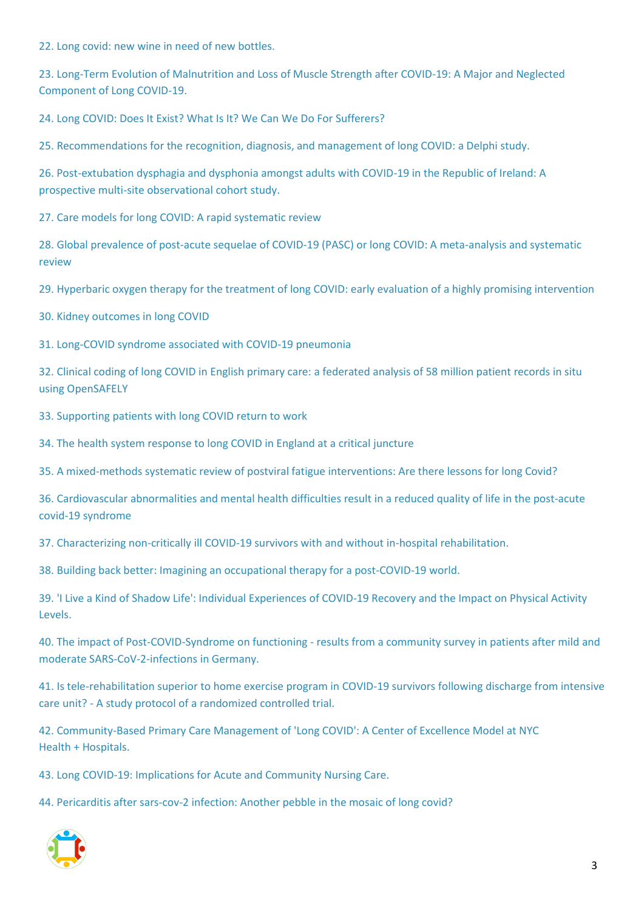[22. Long covid: new wine in need of new bottles.](#page-17-1)

[23. Long-Term Evolution of Malnutrition and Loss of Muscle Strength after COVID-19: A Major and Neglected](#page-17-2)  [Component of Long COVID-19.](#page-17-2)

[24. Long COVID: Does It Exist? What Is It? We Can We Do For Sufferers?](#page-18-0)

[25. Recommendations for the recognition, diagnosis, and management of long COVID: a Delphi study.](#page-18-1)

[26. Post-extubation dysphagia and dysphonia amongst adults with COVID-19 in the Republic of Ireland: A](#page-19-0)  [prospective multi-site observational cohort study.](#page-19-0)

[27. Care models for long COVID: A rapid systematic review](#page-20-0)

[28. Global prevalence of post-acute sequelae of COVID-19 \(PASC\) or long COVID: A meta-analysis and systematic](#page-21-0)  [review](#page-21-0)

[29. Hyperbaric oxygen therapy for the treatment of long COVID: early evaluation of a highly promising intervention](#page-22-0)

[30. Kidney outcomes in long COVID](#page-22-1)

[31. Long-COVID syndrome associated with COVID-19 pneumonia](#page-23-0)

[32. Clinical coding of long COVID in English primary care: a federated analysis of 58 million patient records in situ](#page-23-1)  [using OpenSAFELY](#page-23-1)

[33. Supporting patients with long COVID return to work](#page-24-0)

[34. The health system response to long COVID in England at a critical juncture](#page-24-1)

[35. A mixed-methods systematic review of postviral fatigue interventions: Are there lessons for long Covid?](#page-24-2)

36. Cardiovascular abnormalities [and mental health difficulties result in a reduced quality of life in the post-acute](#page-25-0)  [covid-19 syndrome](#page-25-0)

[37. Characterizing non-critically ill COVID-19 survivors with and without in-hospital rehabilitation.](#page-26-0)

[38. Building back better: Imagining an occupational therapy for a post-COVID-19 world.](#page-26-1)

[39. 'I Live a Kind of Shadow Life': Individual Experiences of COVID-19 Recovery and the Impact on Physical Activity](#page-27-0)  [Levels.](#page-27-0)

40. The impact of Post-COVID-Syndrome on functioning - [results from a community survey in patients after mild and](#page-28-0)  [moderate SARS-CoV-2-infections in Germany.](#page-28-0)

[41. Is tele-rehabilitation superior to home exercise program in COVID-19 survivors following discharge from intensive](#page-28-1)  care unit? - A study protocol of [a randomized controlled trial.](#page-28-1)

[42. Community-Based Primary Care Management of 'Long COVID': A Center of Excellence Model at NYC](#page-29-0)  [Health + Hospitals.](#page-29-0)

[43. Long COVID-19: Implications for Acute and Community Nursing Care.](#page-29-1)

[44. Pericarditis after sars-cov-2 infection: Another pebble in the mosaic of long covid?](#page-29-2)

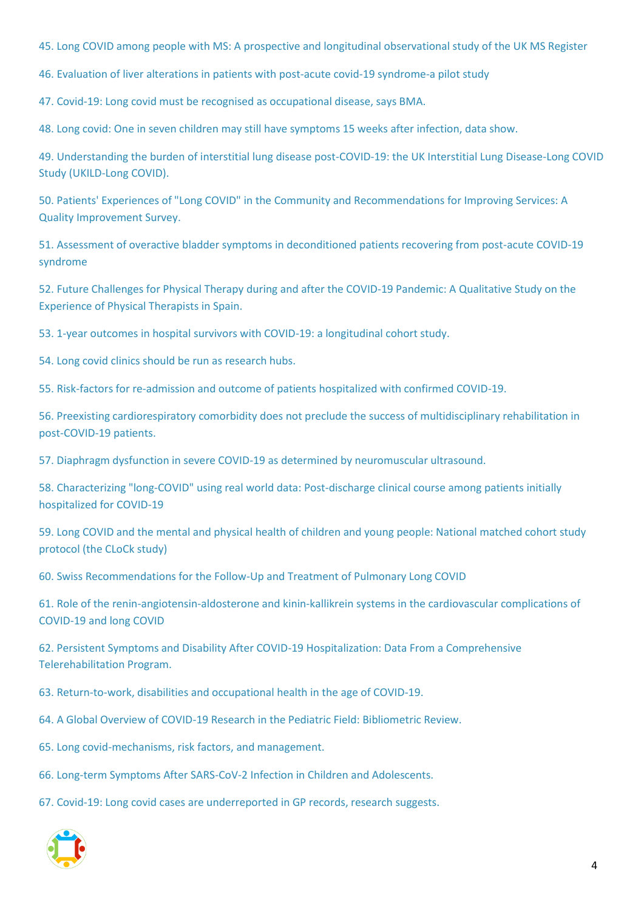[45. Long COVID among people with MS: A prospective and longitudinal observational study of the UK MS Register](#page-30-0)

[46. Evaluation of liver alterations in patients with post-acute covid-19 syndrome-a pilot study](#page-31-0)

[47. Covid-19: Long covid must be recognised as occupational disease, says BMA.](#page-32-0)

[48. Long covid: One in seven children may still have symptoms 15 weeks after infection, data show.](#page-32-1)

[49. Understanding the burden of interstitial lung disease post-COVID-19: the UK Interstitial Lung Disease-Long COVID](#page-32-2) [Study \(UKILD-Long COVID\).](#page-32-2)

[50. Patients' Experiences of "Long COVID" in the Community and Recommendations for Improving Services: A](#page-33-0)  [Quality Improvement Survey.](#page-33-0)

[51. Assessment of overactive bladder symptoms in deconditioned patients recovering from post-acute COVID-19](#page-33-1)  [syndrome](#page-33-1)

[52. Future Challenges for Physical Therapy during and after the COVID-19 Pandemic: A Qualitative Study on the](#page-34-0)  [Experience of Physical Therapists in Spain.](#page-34-0)

[53. 1-year outcomes in hospital survivors with COVID-19: a longitudinal cohort study.](#page-35-0)

[54. Long covid clinics should be run as research hubs.](#page-36-0)

[55. Risk-factors for re-admission and outcome of patients hospitalized with confirmed COVID-19.](#page-36-1)

[56. Preexisting cardiorespiratory comorbidity does not preclude the success of multidisciplinary rehabilitation in](#page-37-0)  [post-COVID-19 patients.](#page-37-0)

[57. Diaphragm dysfunction in severe COVID-19 as determined by neuromuscular ultrasound.](#page-37-1)

[58. Characterizing "long-COVID" using real world data: Post-discharge clinical course among patients initially](#page-38-0)  [hospitalized for COVID-19](#page-38-0)

[59. Long COVID and the mental and physical health of children and young people: National matched cohort study](#page-38-1)  [protocol \(the CLoCk study\)](#page-38-1)

[60. Swiss Recommendations for the Follow-Up and Treatment of Pulmonary Long COVID](#page-39-0)

[61. Role of the renin-angiotensin-aldosterone and kinin-kallikrein systems in the cardiovascular complications of](#page-40-0)  [COVID-19 and long COVID](#page-40-0)

[62. Persistent Symptoms and Disability After COVID-19 Hospitalization: Data From a Comprehensive](#page-40-1)  [Telerehabilitation Program.](#page-40-1)

[63. Return-to-work, disabilities and occupational health in the age of COVID-19.](#page-41-0)

[64. A Global Overview of COVID-19 Research in the Pediatric Field: Bibliometric Review.](#page-43-0)

[65. Long covid-mechanisms, risk factors, and management.](#page-43-1)

[66. Long-term Symptoms After SARS-CoV-2 Infection in Children and Adolescents.](#page-44-0)

[67. Covid-19: Long covid cases are underreported in GP records, research suggests.](#page-44-1)

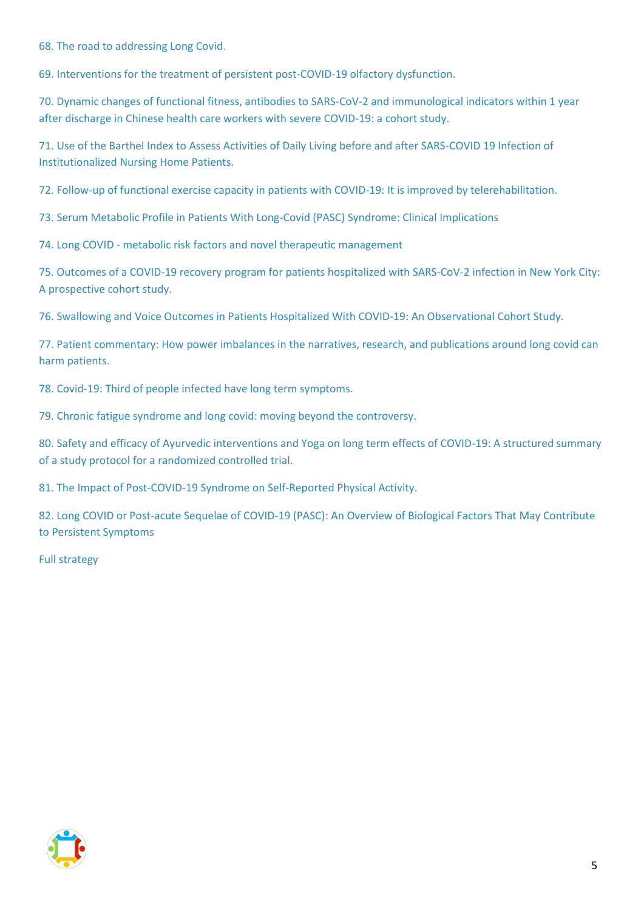[68. The road to addressing Long Covid.](#page-44-2)

[69. Interventions for the treatment of persistent post-COVID-19 olfactory dysfunction.](#page-44-3)

[70. Dynamic changes of functional fitness, antibodies to SARS-CoV-2 and immunological indicators within 1 year](#page-46-0)  [after discharge in Chinese health care workers with severe COVID-19: a cohort study.](#page-46-0)

[71. Use of the Barthel Index to Assess Activities of Daily Living before and after SARS-COVID 19 Infection of](#page-46-1)  [Institutionalized Nursing Home Patients.](#page-46-1)

[72. Follow-up of functional exercise capacity in patients with COVID-19: It is improved by telerehabilitation.](#page-47-0)

[73. Serum Metabolic Profile in Patients With Long-Covid \(PASC\) Syndrome: Clinical Implications](#page-47-1)

74. Long COVID - [metabolic risk factors and novel therapeutic management](#page-48-0)

[75. Outcomes of a COVID-19 recovery program for patients hospitalized with SARS-CoV-2 infection in New York City:](#page-48-1)  [A prospective cohort study.](#page-48-1)

[76. Swallowing and Voice Outcomes in Patients Hospitalized With COVID-19: An Observational Cohort Study.](#page-49-0)

[77. Patient commentary: How power imbalances in the narratives, research, and publications around long covid can](#page-50-0)  [harm patients.](#page-50-0)

[78. Covid-19: Third of people infected have long term symptoms.](#page-50-1)

[79. Chronic fatigue syndrome and long covid: moving beyond the controversy.](#page-50-2)

[80. Safety and efficacy of Ayurvedic interventions and Yoga on long term effects of COVID-19: A structured summary](#page-51-0)  [of a study protocol for a randomized controlled trial.](#page-51-0)

81. The Impact of Post-COVID-19 [Syndrome on Self-Reported Physical Activity.](#page-52-0)

[82. Long COVID or Post-acute Sequelae of COVID-19 \(PASC\): An Overview of Biological Factors That May Contribute](#page-53-0)  [to Persistent Symptoms](#page-53-0)

[Full strategy](#page-54-0)

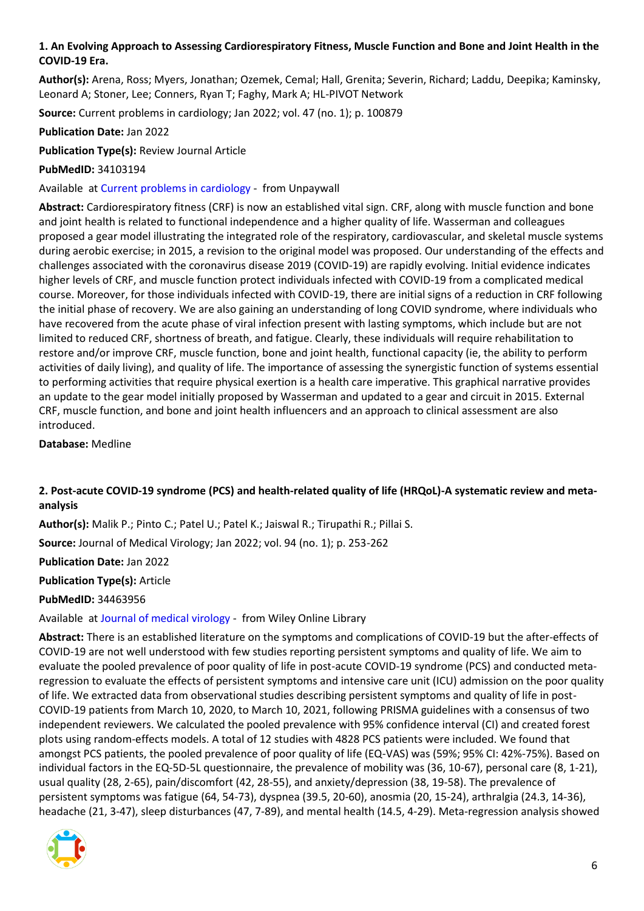# <span id="page-5-0"></span>**1. An Evolving Approach to Assessing Cardiorespiratory Fitness, Muscle Function and Bone and Joint Health in the COVID-19 Era.**

**Author(s):** Arena, Ross; Myers, Jonathan; Ozemek, Cemal; Hall, Grenita; Severin, Richard; Laddu, Deepika; Kaminsky, Leonard A; Stoner, Lee; Conners, Ryan T; Faghy, Mark A; HL-PIVOT Network

**Source:** Current problems in cardiology; Jan 2022; vol. 47 (no. 1); p. 100879

**Publication Date:** Jan 2022

**Publication Type(s):** Review Journal Article

**PubMedID:** 34103194

Available at [Current problems in cardiology](https://doi.org/10.1016/j.cpcardiol.2021.100879) - from Unpaywall

**Abstract:** Cardiorespiratory fitness (CRF) is now an established vital sign. CRF, along with muscle function and bone and joint health is related to functional independence and a higher quality of life. Wasserman and colleagues proposed a gear model illustrating the integrated role of the respiratory, cardiovascular, and skeletal muscle systems during aerobic exercise; in 2015, a revision to the original model was proposed. Our understanding of the effects and challenges associated with the coronavirus disease 2019 (COVID-19) are rapidly evolving. Initial evidence indicates higher levels of CRF, and muscle function protect individuals infected with COVID-19 from a complicated medical course. Moreover, for those individuals infected with COVID-19, there are initial signs of a reduction in CRF following the initial phase of recovery. We are also gaining an understanding of long COVID syndrome, where individuals who have recovered from the acute phase of viral infection present with lasting symptoms, which include but are not limited to reduced CRF, shortness of breath, and fatigue. Clearly, these individuals will require rehabilitation to restore and/or improve CRF, muscle function, bone and joint health, functional capacity (ie, the ability to perform activities of daily living), and quality of life. The importance of assessing the synergistic function of systems essential to performing activities that require physical exertion is a health care imperative. This graphical narrative provides an update to the gear model initially proposed by Wasserman and updated to a gear and circuit in 2015. External CRF, muscle function, and bone and joint health influencers and an approach to clinical assessment are also introduced.

**Database:** Medline

# <span id="page-5-1"></span>**2. Post-acute COVID-19 syndrome (PCS) and health-related quality of life (HRQoL)-A systematic review and metaanalysis**

**Author(s):** Malik P.; Pinto C.; Patel U.; Patel K.; Jaiswal R.; Tirupathi R.; Pillai S.

**Source:** Journal of Medical Virology; Jan 2022; vol. 94 (no. 1); p. 253-262

**Publication Date:** Jan 2022

**Publication Type(s):** Article

**PubMedID:** 34463956

Available at [Journal of medical virology](https://go.openathens.net/redirector/nhs?url=https%3A%2F%2Fonlinelibrary.wiley.com%2Fdoi%2Ffull%2F10.1002%2Fjmv.27309) - from Wiley Online Library

**Abstract:** There is an established literature on the symptoms and complications of COVID-19 but the after-effects of COVID-19 are not well understood with few studies reporting persistent symptoms and quality of life. We aim to evaluate the pooled prevalence of poor quality of life in post-acute COVID-19 syndrome (PCS) and conducted metaregression to evaluate the effects of persistent symptoms and intensive care unit (ICU) admission on the poor quality of life. We extracted data from observational studies describing persistent symptoms and quality of life in post-COVID-19 patients from March 10, 2020, to March 10, 2021, following PRISMA guidelines with a consensus of two independent reviewers. We calculated the pooled prevalence with 95% confidence interval (CI) and created forest plots using random-effects models. A total of 12 studies with 4828 PCS patients were included. We found that amongst PCS patients, the pooled prevalence of poor quality of life (EQ-VAS) was (59%; 95% CI: 42%-75%). Based on individual factors in the EQ-5D-5L questionnaire, the prevalence of mobility was (36, 10-67), personal care (8, 1-21), usual quality (28, 2-65), pain/discomfort (42, 28-55), and anxiety/depression (38, 19-58). The prevalence of persistent symptoms was fatigue (64, 54-73), dyspnea (39.5, 20-60), anosmia (20, 15-24), arthralgia (24.3, 14-36), headache (21, 3-47), sleep disturbances (47, 7-89), and mental health (14.5, 4-29). Meta-regression analysis showed

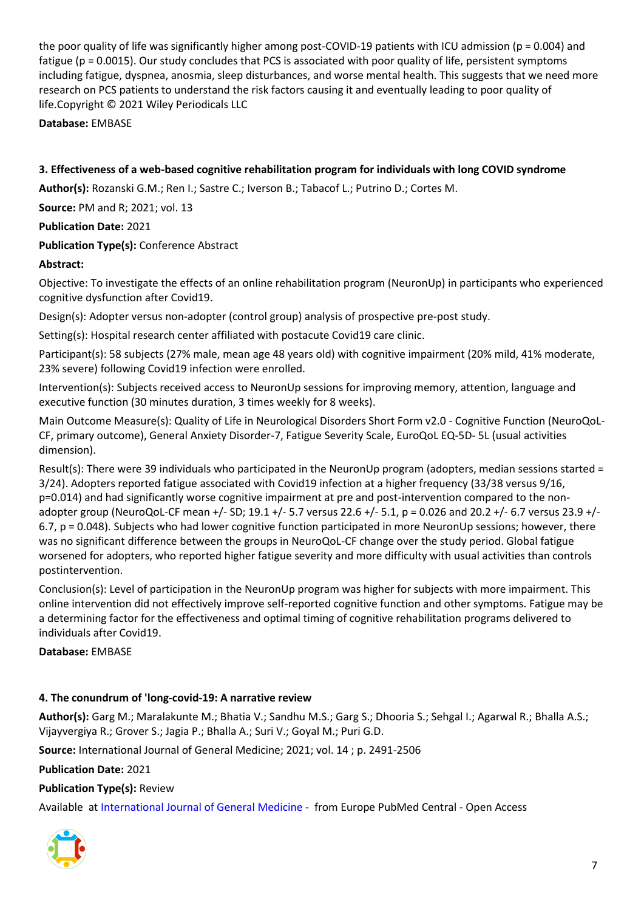the poor quality of life was significantly higher among post-COVID-19 patients with ICU admission (p = 0.004) and fatigue (p = 0.0015). Our study concludes that PCS is associated with poor quality of life, persistent symptoms including fatigue, dyspnea, anosmia, sleep disturbances, and worse mental health. This suggests that we need more research on PCS patients to understand the risk factors causing it and eventually leading to poor quality of life.Copyright © 2021 Wiley Periodicals LLC

**Database:** EMBASE

<span id="page-6-0"></span>**3. Effectiveness of a web-based cognitive rehabilitation program for individuals with long COVID syndrome**

**Author(s):** Rozanski G.M.; Ren I.; Sastre C.; Iverson B.; Tabacof L.; Putrino D.; Cortes M.

**Source:** PM and R; 2021; vol. 13

**Publication Date:** 2021

# **Publication Type(s):** Conference Abstract

# **Abstract:**

Objective: To investigate the effects of an online rehabilitation program (NeuronUp) in participants who experienced cognitive dysfunction after Covid19.

Design(s): Adopter versus non-adopter (control group) analysis of prospective pre-post study.

Setting(s): Hospital research center affiliated with postacute Covid19 care clinic.

Participant(s): 58 subjects (27% male, mean age 48 years old) with cognitive impairment (20% mild, 41% moderate, 23% severe) following Covid19 infection were enrolled.

Intervention(s): Subjects received access to NeuronUp sessions for improving memory, attention, language and executive function (30 minutes duration, 3 times weekly for 8 weeks).

Main Outcome Measure(s): Quality of Life in Neurological Disorders Short Form v2.0 - Cognitive Function (NeuroQoL-CF, primary outcome), General Anxiety Disorder-7, Fatigue Severity Scale, EuroQoL EQ-5D- 5L (usual activities dimension).

Result(s): There were 39 individuals who participated in the NeuronUp program (adopters, median sessions started = 3/24). Adopters reported fatigue associated with Covid19 infection at a higher frequency (33/38 versus 9/16, p=0.014) and had significantly worse cognitive impairment at pre and post-intervention compared to the nonadopter group (NeuroQoL-CF mean +/- SD; 19.1 +/- 5.7 versus 22.6 +/- 5.1, p = 0.026 and 20.2 +/- 6.7 versus 23.9 +/- 6.7, p = 0.048). Subjects who had lower cognitive function participated in more NeuronUp sessions; however, there was no significant difference between the groups in NeuroQoL-CF change over the study period. Global fatigue worsened for adopters, who reported higher fatigue severity and more difficulty with usual activities than controls postintervention.

Conclusion(s): Level of participation in the NeuronUp program was higher for subjects with more impairment. This online intervention did not effectively improve self-reported cognitive function and other symptoms. Fatigue may be a determining factor for the effectiveness and optimal timing of cognitive rehabilitation programs delivered to individuals after Covid19.

**Database:** EMBASE

# <span id="page-6-1"></span>**4. The conundrum of 'long-covid-19: A narrative review**

**Author(s):** Garg M.; Maralakunte M.; Bhatia V.; Sandhu M.S.; Garg S.; Dhooria S.; Sehgal I.; Agarwal R.; Bhalla A.S.; Vijayvergiya R.; Grover S.; Jagia P.; Bhalla A.; Suri V.; Goyal M.; Puri G.D.

**Source:** International Journal of General Medicine; 2021; vol. 14 ; p. 2491-2506

**Publication Date:** 2021

#### **Publication Type(s):** Review

Available at [International Journal of General Medicine](http://europepmc.org/search?query=(DOI:%22https://dx.10.2147/IJGM.S316708%22)) - from Europe PubMed Central - Open Access

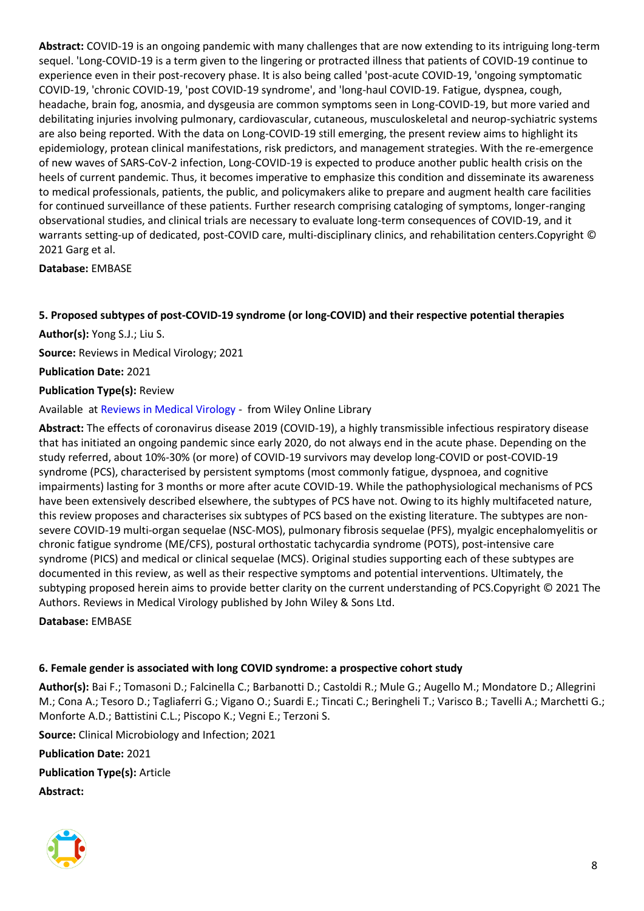**Abstract:** COVID-19 is an ongoing pandemic with many challenges that are now extending to its intriguing long-term sequel. 'Long-COVID-19 is a term given to the lingering or protracted illness that patients of COVID-19 continue to experience even in their post-recovery phase. It is also being called 'post-acute COVID-19, 'ongoing symptomatic COVID-19, 'chronic COVID-19, 'post COVID-19 syndrome', and 'long-haul COVID-19. Fatigue, dyspnea, cough, headache, brain fog, anosmia, and dysgeusia are common symptoms seen in Long-COVID-19, but more varied and debilitating injuries involving pulmonary, cardiovascular, cutaneous, musculoskeletal and neurop-sychiatric systems are also being reported. With the data on Long-COVID-19 still emerging, the present review aims to highlight its epidemiology, protean clinical manifestations, risk predictors, and management strategies. With the re-emergence of new waves of SARS-CoV-2 infection, Long-COVID-19 is expected to produce another public health crisis on the heels of current pandemic. Thus, it becomes imperative to emphasize this condition and disseminate its awareness to medical professionals, patients, the public, and policymakers alike to prepare and augment health care facilities for continued surveillance of these patients. Further research comprising cataloging of symptoms, longer-ranging observational studies, and clinical trials are necessary to evaluate long-term consequences of COVID-19, and it warrants setting-up of dedicated, post-COVID care, multi-disciplinary clinics, and rehabilitation centers.Copyright © 2021 Garg et al.

**Database:** EMBASE

# <span id="page-7-0"></span>**5. Proposed subtypes of post-COVID-19 syndrome (or long-COVID) and their respective potential therapies**

**Author(s):** Yong S.J.; Liu S.

**Source:** Reviews in Medical Virology; 2021

**Publication Date:** 2021

#### **Publication Type(s):** Review

Available at [Reviews in Medical Virology](https://go.openathens.net/redirector/nhs?url=https%3A%2F%2Fonlinelibrary.wiley.com%2Fdoi%2Ffull%2Fhttps%3A%2F%2Fdx.10.1002%2Frmv.2315) - from Wiley Online Library

**Abstract:** The effects of coronavirus disease 2019 (COVID-19), a highly transmissible infectious respiratory disease that has initiated an ongoing pandemic since early 2020, do not always end in the acute phase. Depending on the study referred, about 10%-30% (or more) of COVID-19 survivors may develop long-COVID or post-COVID-19 syndrome (PCS), characterised by persistent symptoms (most commonly fatigue, dyspnoea, and cognitive impairments) lasting for 3 months or more after acute COVID-19. While the pathophysiological mechanisms of PCS have been extensively described elsewhere, the subtypes of PCS have not. Owing to its highly multifaceted nature, this review proposes and characterises six subtypes of PCS based on the existing literature. The subtypes are nonsevere COVID-19 multi-organ sequelae (NSC-MOS), pulmonary fibrosis sequelae (PFS), myalgic encephalomyelitis or chronic fatigue syndrome (ME/CFS), postural orthostatic tachycardia syndrome (POTS), post-intensive care syndrome (PICS) and medical or clinical sequelae (MCS). Original studies supporting each of these subtypes are documented in this review, as well as their respective symptoms and potential interventions. Ultimately, the subtyping proposed herein aims to provide better clarity on the current understanding of PCS.Copyright © 2021 The Authors. Reviews in Medical Virology published by John Wiley & Sons Ltd.

**Database:** EMBASE

# <span id="page-7-1"></span>**6. Female gender is associated with long COVID syndrome: a prospective cohort study**

**Author(s):** Bai F.; Tomasoni D.; Falcinella C.; Barbanotti D.; Castoldi R.; Mule G.; Augello M.; Mondatore D.; Allegrini M.; Cona A.; Tesoro D.; Tagliaferri G.; Vigano O.; Suardi E.; Tincati C.; Beringheli T.; Varisco B.; Tavelli A.; Marchetti G.; Monforte A.D.; Battistini C.L.; Piscopo K.; Vegni E.; Terzoni S.

**Source:** Clinical Microbiology and Infection; 2021

**Publication Date:** 2021 **Publication Type(s):** Article

**Abstract:**

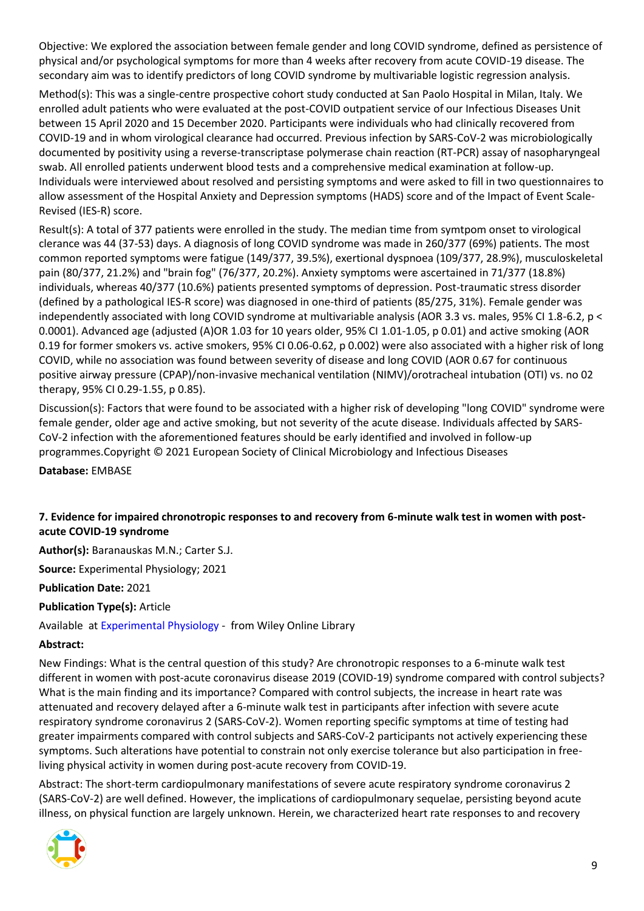Objective: We explored the association between female gender and long COVID syndrome, defined as persistence of physical and/or psychological symptoms for more than 4 weeks after recovery from acute COVID-19 disease. The secondary aim was to identify predictors of long COVID syndrome by multivariable logistic regression analysis.

Method(s): This was a single-centre prospective cohort study conducted at San Paolo Hospital in Milan, Italy. We enrolled adult patients who were evaluated at the post-COVID outpatient service of our Infectious Diseases Unit between 15 April 2020 and 15 December 2020. Participants were individuals who had clinically recovered from COVID-19 and in whom virological clearance had occurred. Previous infection by SARS-CoV-2 was microbiologically documented by positivity using a reverse-transcriptase polymerase chain reaction (RT-PCR) assay of nasopharyngeal swab. All enrolled patients underwent blood tests and a comprehensive medical examination at follow-up. Individuals were interviewed about resolved and persisting symptoms and were asked to fill in two questionnaires to allow assessment of the Hospital Anxiety and Depression symptoms (HADS) score and of the Impact of Event Scale-Revised (IES-R) score.

Result(s): A total of 377 patients were enrolled in the study. The median time from symtpom onset to virological clerance was 44 (37-53) days. A diagnosis of long COVID syndrome was made in 260/377 (69%) patients. The most common reported symptoms were fatigue (149/377, 39.5%), exertional dyspnoea (109/377, 28.9%), musculoskeletal pain (80/377, 21.2%) and "brain fog" (76/377, 20.2%). Anxiety symptoms were ascertained in 71/377 (18.8%) individuals, whereas 40/377 (10.6%) patients presented symptoms of depression. Post-traumatic stress disorder (defined by a pathological IES-R score) was diagnosed in one-third of patients (85/275, 31%). Female gender was independently associated with long COVID syndrome at multivariable analysis (AOR 3.3 vs. males, 95% CI 1.8-6.2, p < 0.0001). Advanced age (adjusted (A)OR 1.03 for 10 years older, 95% CI 1.01-1.05, p 0.01) and active smoking (AOR 0.19 for former smokers vs. active smokers, 95% CI 0.06-0.62, p 0.002) were also associated with a higher risk of long COVID, while no association was found between severity of disease and long COVID (AOR 0.67 for continuous positive airway pressure (CPAP)/non-invasive mechanical ventilation (NIMV)/orotracheal intubation (OTI) vs. no 02 therapy, 95% CI 0.29-1.55, p 0.85).

Discussion(s): Factors that were found to be associated with a higher risk of developing "long COVID" syndrome were female gender, older age and active smoking, but not severity of the acute disease. Individuals affected by SARS-CoV-2 infection with the aforementioned features should be early identified and involved in follow-up programmes.Copyright © 2021 European Society of Clinical Microbiology and Infectious Diseases

**Database:** EMBASE

# <span id="page-8-0"></span>**7. Evidence for impaired chronotropic responses to and recovery from 6-minute walk test in women with postacute COVID-19 syndrome**

**Author(s):** Baranauskas M.N.; Carter S.J.

**Source:** Experimental Physiology; 2021

**Publication Date:** 2021

**Publication Type(s):** Article

Available at [Experimental Physiology](https://onlinelibrary.wiley.com/doi/full/10.1113/EP089965) - from Wiley Online Library

#### **Abstract:**

New Findings: What is the central question of this study? Are chronotropic responses to a 6-minute walk test different in women with post-acute coronavirus disease 2019 (COVID-19) syndrome compared with control subjects? What is the main finding and its importance? Compared with control subjects, the increase in heart rate was attenuated and recovery delayed after a 6-minute walk test in participants after infection with severe acute respiratory syndrome coronavirus 2 (SARS-CoV-2). Women reporting specific symptoms at time of testing had greater impairments compared with control subjects and SARS-CoV-2 participants not actively experiencing these symptoms. Such alterations have potential to constrain not only exercise tolerance but also participation in freeliving physical activity in women during post-acute recovery from COVID-19.

Abstract: The short-term cardiopulmonary manifestations of severe acute respiratory syndrome coronavirus 2 (SARS-CoV-2) are well defined. However, the implications of cardiopulmonary sequelae, persisting beyond acute illness, on physical function are largely unknown. Herein, we characterized heart rate responses to and recovery

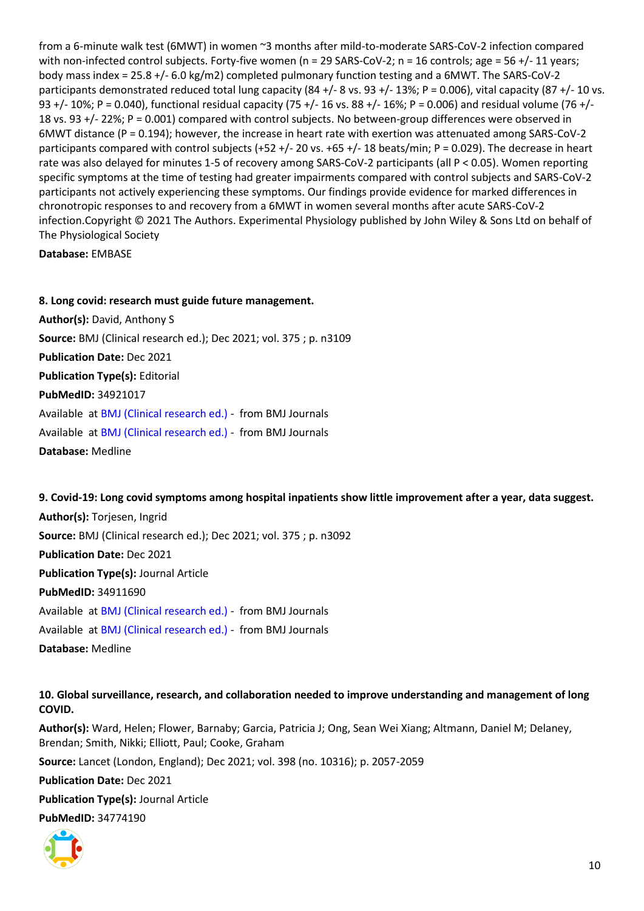from a 6-minute walk test (6MWT) in women ~3 months after mild-to-moderate SARS-CoV-2 infection compared with non-infected control subjects. Forty-five women (n = 29 SARS-CoV-2; n = 16 controls; age = 56 +/- 11 years; body mass index = 25.8 +/- 6.0 kg/m2) completed pulmonary function testing and a 6MWT. The SARS-CoV-2 participants demonstrated reduced total lung capacity  $(84 +/-8)$  vs. 93 +/-13%; P = 0.006), vital capacity  $(87 +/-10)$  vs. 93 +/- 10%; P = 0.040), functional residual capacity (75 +/- 16 vs. 88 +/- 16%; P = 0.006) and residual volume (76 +/- 18 vs. 93 +/- 22%; P = 0.001) compared with control subjects. No between-group differences were observed in 6MWT distance (P = 0.194); however, the increase in heart rate with exertion was attenuated among SARS-CoV-2 participants compared with control subjects (+52 +/- 20 vs. +65 +/- 18 beats/min;  $P = 0.029$ ). The decrease in heart rate was also delayed for minutes 1-5 of recovery among SARS-CoV-2 participants (all P < 0.05). Women reporting specific symptoms at the time of testing had greater impairments compared with control subjects and SARS-CoV-2 participants not actively experiencing these symptoms. Our findings provide evidence for marked differences in chronotropic responses to and recovery from a 6MWT in women several months after acute SARS-CoV-2 infection.Copyright © 2021 The Authors. Experimental Physiology published by John Wiley & Sons Ltd on behalf of The Physiological Society

**Database:** EMBASE

<span id="page-9-0"></span>**8. Long covid: research must guide future management. Author(s):** David, Anthony S **Source:** BMJ (Clinical research ed.); Dec 2021; vol. 375 ; p. n3109 **Publication Date:** Dec 2021 **Publication Type(s):** Editorial **PubMedID:** 34921017 Available at [BMJ \(Clinical research ed.\)](https://go.openathens.net/redirector/nhs?url=https%3A%2F%2Fwww.bmj.com%2Flookup%2Fdoi%2F10.1136%2Fbmj.n3109) - from BMJ Journals Available at [BMJ \(Clinical research ed.\)](https://www.bmj.com/lookup/doi/10.1136/bmj.n3109) - from BMJ Journals **Database:** Medline

<span id="page-9-1"></span>**9. Covid-19: Long covid symptoms among hospital inpatients show little improvement after a year, data suggest. Author(s):** Torjesen, Ingrid **Source:** BMJ (Clinical research ed.); Dec 2021; vol. 375 ; p. n3092 **Publication Date:** Dec 2021 **Publication Type(s):** Journal Article **PubMedID:** 34911690 Available at [BMJ \(Clinical research ed.\)](https://go.openathens.net/redirector/nhs?url=https%3A%2F%2Fwww.bmj.com%2Flookup%2Fdoi%2F10.1136%2Fbmj.n3092) - from BMJ Journals Available at [BMJ \(Clinical research ed.\)](https://www.bmj.com/lookup/doi/10.1136/bmj.n3092) - from BMJ Journals **Database:** Medline

<span id="page-9-2"></span>**10. Global surveillance, research, and collaboration needed to improve understanding and management of long COVID.**

**Author(s):** Ward, Helen; Flower, Barnaby; Garcia, Patricia J; Ong, Sean Wei Xiang; Altmann, Daniel M; Delaney, Brendan; Smith, Nikki; Elliott, Paul; Cooke, Graham **Source:** Lancet (London, England); Dec 2021; vol. 398 (no. 10316); p. 2057-2059 **Publication Date:** Dec 2021 **Publication Type(s):** Journal Article **PubMedID:** 34774190

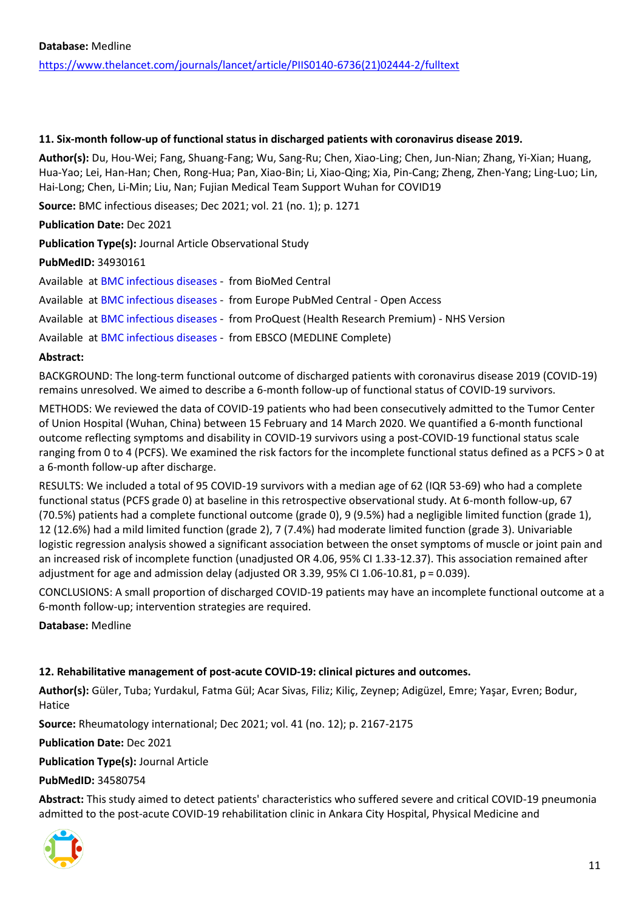#### <span id="page-10-0"></span>**11. Six-month follow-up of functional status in discharged patients with coronavirus disease 2019.**

**Author(s):** Du, Hou-Wei; Fang, Shuang-Fang; Wu, Sang-Ru; Chen, Xiao-Ling; Chen, Jun-Nian; Zhang, Yi-Xian; Huang, Hua-Yao; Lei, Han-Han; Chen, Rong-Hua; Pan, Xiao-Bin; Li, Xiao-Qing; Xia, Pin-Cang; Zheng, Zhen-Yang; Ling-Luo; Lin, Hai-Long; Chen, Li-Min; Liu, Nan; Fujian Medical Team Support Wuhan for COVID19

**Source:** BMC infectious diseases; Dec 2021; vol. 21 (no. 1); p. 1271

**Publication Date:** Dec 2021

**Publication Type(s):** Journal Article Observational Study

# **PubMedID:** 34930161

Available at [BMC infectious diseases](https://doi.org/10.1186/s12879-021-06970-3) - from BioMed Central

Available at [BMC infectious diseases](http://europepmc.org/search?query=(DOI:%2210.1186/s12879-021-06970-3%22)) - from Europe PubMed Central - Open Access

Available at [BMC infectious diseases](https://gateway.proquest.com/openurl?ctx_ver=Z39.88-2004&res_id=xri:pqm&req_dat=xri:pqil:pq_clntid=48229&rft_val_fmt=ori/fmt:kev:mtx:journal&genre=article&issn=1471-2334&volume=21&issue=1&spage=1271&atitle=Six-month+follow-up+of+functional+status+in+discharged+patients+with+coronavirus+disease+2019) - from ProQuest (Health Research Premium) - NHS Version

Available at [BMC infectious diseases](https://search.ebscohost.com/login.aspx?direct=true&scope=site&site=ehost-live&db=mdc&AN=34930161) - from EBSCO (MEDLINE Complete)

# **Abstract:**

BACKGROUND: The long-term functional outcome of discharged patients with coronavirus disease 2019 (COVID-19) remains unresolved. We aimed to describe a 6-month follow-up of functional status of COVID-19 survivors.

METHODS: We reviewed the data of COVID-19 patients who had been consecutively admitted to the Tumor Center of Union Hospital (Wuhan, China) between 15 February and 14 March 2020. We quantified a 6-month functional outcome reflecting symptoms and disability in COVID-19 survivors using a post-COVID-19 functional status scale ranging from 0 to 4 (PCFS). We examined the risk factors for the incomplete functional status defined as a PCFS > 0 at a 6-month follow-up after discharge.

RESULTS: We included a total of 95 COVID-19 survivors with a median age of 62 (IQR 53-69) who had a complete functional status (PCFS grade 0) at baseline in this retrospective observational study. At 6-month follow-up, 67 (70.5%) patients had a complete functional outcome (grade 0), 9 (9.5%) had a negligible limited function (grade 1), 12 (12.6%) had a mild limited function (grade 2), 7 (7.4%) had moderate limited function (grade 3). Univariable logistic regression analysis showed a significant association between the onset symptoms of muscle or joint pain and an increased risk of incomplete function (unadjusted OR 4.06, 95% CI 1.33-12.37). This association remained after adjustment for age and admission delay (adjusted OR 3.39, 95% CI 1.06-10.81, p = 0.039).

CONCLUSIONS: A small proportion of discharged COVID-19 patients may have an incomplete functional outcome at a 6-month follow-up; intervention strategies are required.

**Database:** Medline

# <span id="page-10-1"></span>**12. Rehabilitative management of post-acute COVID-19: clinical pictures and outcomes.**

**Author(s):** Güler, Tuba; Yurdakul, Fatma Gül; Acar Sivas, Filiz; Kiliç, Zeynep; Adigüzel, Emre; Yaşar, Evren; Bodur, Hatice

**Source:** Rheumatology international; Dec 2021; vol. 41 (no. 12); p. 2167-2175

**Publication Date:** Dec 2021

**Publication Type(s):** Journal Article

**PubMedID:** 34580754

**Abstract:** This study aimed to detect patients' characteristics who suffered severe and critical COVID-19 pneumonia admitted to the post-acute COVID-19 rehabilitation clinic in Ankara City Hospital, Physical Medicine and

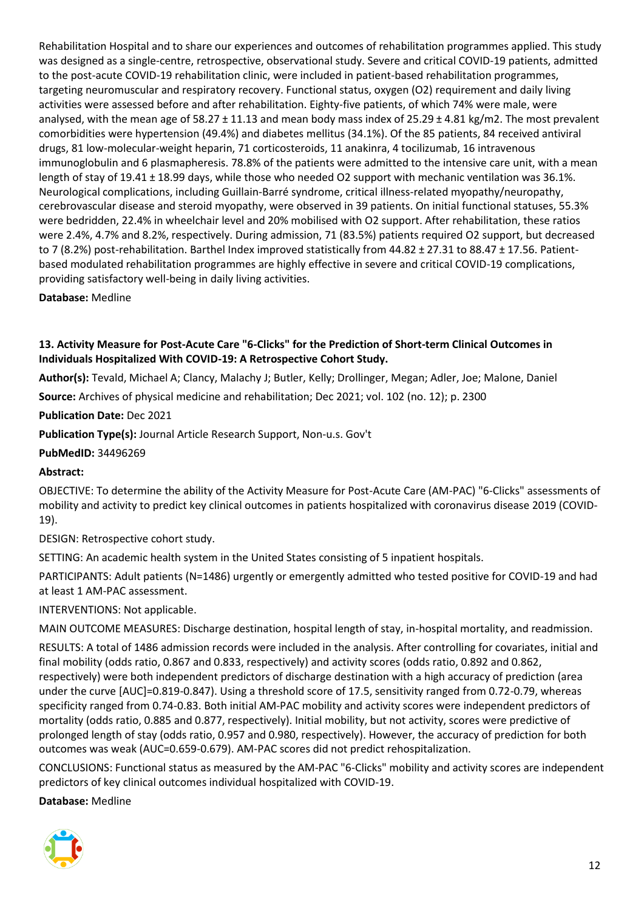Rehabilitation Hospital and to share our experiences and outcomes of rehabilitation programmes applied. This study was designed as a single-centre, retrospective, observational study. Severe and critical COVID-19 patients, admitted to the post-acute COVID-19 rehabilitation clinic, were included in patient-based rehabilitation programmes, targeting neuromuscular and respiratory recovery. Functional status, oxygen (O2) requirement and daily living activities were assessed before and after rehabilitation. Eighty-five patients, of which 74% were male, were analysed, with the mean age of 58.27 ± 11.13 and mean body mass index of 25.29 ± 4.81 kg/m2. The most prevalent comorbidities were hypertension (49.4%) and diabetes mellitus (34.1%). Of the 85 patients, 84 received antiviral drugs, 81 low-molecular-weight heparin, 71 corticosteroids, 11 anakinra, 4 tocilizumab, 16 intravenous immunoglobulin and 6 plasmapheresis. 78.8% of the patients were admitted to the intensive care unit, with a mean length of stay of 19.41 ± 18.99 days, while those who needed O2 support with mechanic ventilation was 36.1%. Neurological complications, including Guillain-Barré syndrome, critical illness-related myopathy/neuropathy, cerebrovascular disease and steroid myopathy, were observed in 39 patients. On initial functional statuses, 55.3% were bedridden, 22.4% in wheelchair level and 20% mobilised with O2 support. After rehabilitation, these ratios were 2.4%, 4.7% and 8.2%, respectively. During admission, 71 (83.5%) patients required O2 support, but decreased to 7 (8.2%) post-rehabilitation. Barthel Index improved statistically from 44.82 ± 27.31 to 88.47 ± 17.56. Patientbased modulated rehabilitation programmes are highly effective in severe and critical COVID-19 complications, providing satisfactory well-being in daily living activities.

**Database:** Medline

# <span id="page-11-0"></span>**13. Activity Measure for Post-Acute Care "6-Clicks" for the Prediction of Short-term Clinical Outcomes in Individuals Hospitalized With COVID-19: A Retrospective Cohort Study.**

**Author(s):** Tevald, Michael A; Clancy, Malachy J; Butler, Kelly; Drollinger, Megan; Adler, Joe; Malone, Daniel

**Source:** Archives of physical medicine and rehabilitation; Dec 2021; vol. 102 (no. 12); p. 2300

**Publication Date:** Dec 2021

**Publication Type(s):** Journal Article Research Support, Non-u.s. Gov't

**PubMedID:** 34496269

#### **Abstract:**

OBJECTIVE: To determine the ability of the Activity Measure for Post-Acute Care (AM-PAC) "6-Clicks" assessments of mobility and activity to predict key clinical outcomes in patients hospitalized with coronavirus disease 2019 (COVID-19).

DESIGN: Retrospective cohort study.

SETTING: An academic health system in the United States consisting of 5 inpatient hospitals.

PARTICIPANTS: Adult patients (N=1486) urgently or emergently admitted who tested positive for COVID-19 and had at least 1 AM-PAC assessment.

INTERVENTIONS: Not applicable.

MAIN OUTCOME MEASURES: Discharge destination, hospital length of stay, in-hospital mortality, and readmission.

RESULTS: A total of 1486 admission records were included in the analysis. After controlling for covariates, initial and final mobility (odds ratio, 0.867 and 0.833, respectively) and activity scores (odds ratio, 0.892 and 0.862, respectively) were both independent predictors of discharge destination with a high accuracy of prediction (area under the curve [AUC]=0.819-0.847). Using a threshold score of 17.5, sensitivity ranged from 0.72-0.79, whereas specificity ranged from 0.74-0.83. Both initial AM-PAC mobility and activity scores were independent predictors of mortality (odds ratio, 0.885 and 0.877, respectively). Initial mobility, but not activity, scores were predictive of prolonged length of stay (odds ratio, 0.957 and 0.980, respectively). However, the accuracy of prediction for both outcomes was weak (AUC=0.659-0.679). AM-PAC scores did not predict rehospitalization.

CONCLUSIONS: Functional status as measured by the AM-PAC "6-Clicks" mobility and activity scores are independent predictors of key clinical outcomes individual hospitalized with COVID-19.

**Database:** Medline

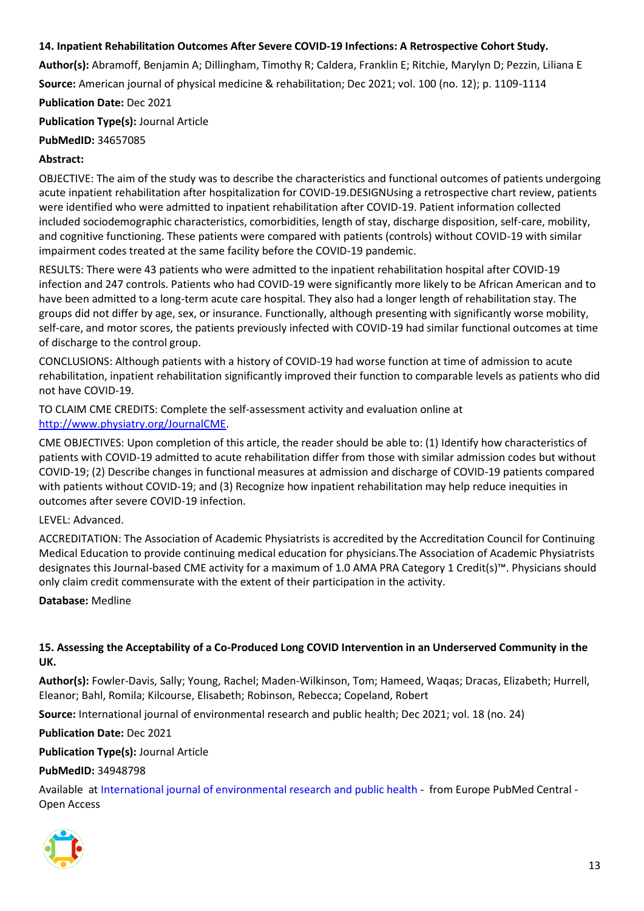# <span id="page-12-0"></span>**14. Inpatient Rehabilitation Outcomes After Severe COVID-19 Infections: A Retrospective Cohort Study.**

**Author(s):** Abramoff, Benjamin A; Dillingham, Timothy R; Caldera, Franklin E; Ritchie, Marylyn D; Pezzin, Liliana E **Source:** American journal of physical medicine & rehabilitation; Dec 2021; vol. 100 (no. 12); p. 1109-1114

**Publication Date:** Dec 2021

**Publication Type(s):** Journal Article

**PubMedID:** 34657085

#### **Abstract:**

OBJECTIVE: The aim of the study was to describe the characteristics and functional outcomes of patients undergoing acute inpatient rehabilitation after hospitalization for COVID-19.DESIGNUsing a retrospective chart review, patients were identified who were admitted to inpatient rehabilitation after COVID-19. Patient information collected included sociodemographic characteristics, comorbidities, length of stay, discharge disposition, self-care, mobility, and cognitive functioning. These patients were compared with patients (controls) without COVID-19 with similar impairment codes treated at the same facility before the COVID-19 pandemic.

RESULTS: There were 43 patients who were admitted to the inpatient rehabilitation hospital after COVID-19 infection and 247 controls. Patients who had COVID-19 were significantly more likely to be African American and to have been admitted to a long-term acute care hospital. They also had a longer length of rehabilitation stay. The groups did not differ by age, sex, or insurance. Functionally, although presenting with significantly worse mobility, self-care, and motor scores, the patients previously infected with COVID-19 had similar functional outcomes at time of discharge to the control group.

CONCLUSIONS: Although patients with a history of COVID-19 had worse function at time of admission to acute rehabilitation, inpatient rehabilitation significantly improved their function to comparable levels as patients who did not have COVID-19.

TO CLAIM CME CREDITS: Complete the self-assessment activity and evaluation online at [http://www.physiatry.org/JournalCME.](http://www.physiatry.org/JournalCME)

CME OBJECTIVES: Upon completion of this article, the reader should be able to: (1) Identify how characteristics of patients with COVID-19 admitted to acute rehabilitation differ from those with similar admission codes but without COVID-19; (2) Describe changes in functional measures at admission and discharge of COVID-19 patients compared with patients without COVID-19; and (3) Recognize how inpatient rehabilitation may help reduce inequities in outcomes after severe COVID-19 infection.

#### LEVEL: Advanced.

ACCREDITATION: The Association of Academic Physiatrists is accredited by the Accreditation Council for Continuing Medical Education to provide continuing medical education for physicians.The Association of Academic Physiatrists designates this Journal-based CME activity for a maximum of 1.0 AMA PRA Category 1 Credit(s)™. Physicians should only claim credit commensurate with the extent of their participation in the activity.

**Database:** Medline

#### <span id="page-12-1"></span>**15. Assessing the Acceptability of a Co-Produced Long COVID Intervention in an Underserved Community in the UK.**

**Author(s):** Fowler-Davis, Sally; Young, Rachel; Maden-Wilkinson, Tom; Hameed, Waqas; Dracas, Elizabeth; Hurrell, Eleanor; Bahl, Romila; Kilcourse, Elisabeth; Robinson, Rebecca; Copeland, Robert

**Source:** International journal of environmental research and public health; Dec 2021; vol. 18 (no. 24)

**Publication Date:** Dec 2021

**Publication Type(s):** Journal Article

#### **PubMedID:** 34948798

Available at [International journal of environmental research and public health](http://europepmc.org/search?query=(DOI:%2210.3390/ijerph182413191%22)) - from Europe PubMed Central - Open Access

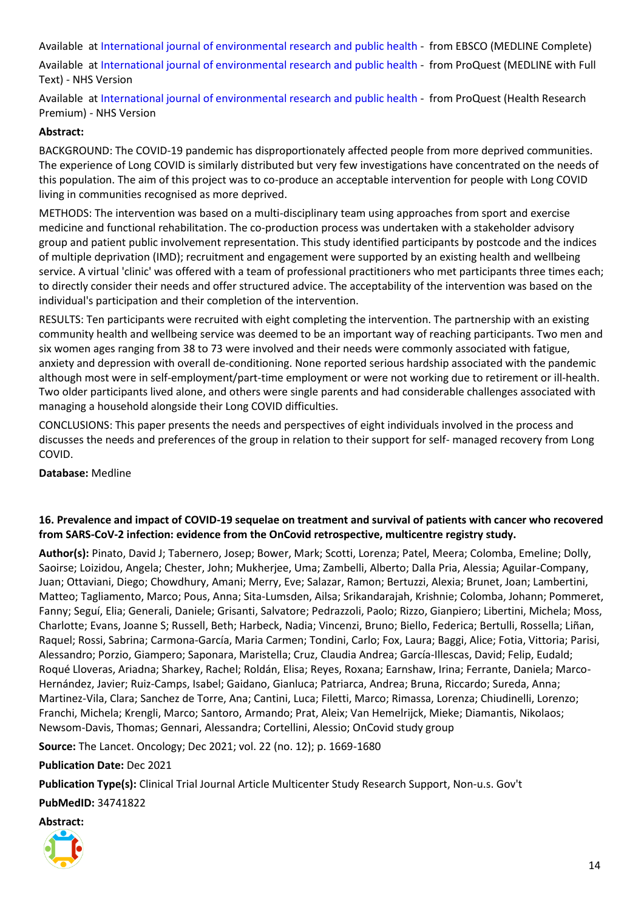Available at [International journal of environmental research and public health](https://search.ebscohost.com/login.aspx?direct=true&scope=site&site=ehost-live&db=mdc&AN=34948798) - from EBSCO (MEDLINE Complete)

Available at [International journal of environmental research and public health](https://gateway.proquest.com/openurl?ctx_ver=Z39.88-2004&res_id=xri:pqm&req_dat=xri:pqil:pq_clntid=48229&rft_val_fmt=ori/fmt:kev:mtx:journal&genre=article&issn=1661-7827&volume=18&issue=24&spage=13191&atitle=Assessing+the+Acceptability+of+a+Co-Produced+Long+COVID+Intervention+in+an+Underserved+Community+in+the+UK) - from ProQuest (MEDLINE with Full Text) - NHS Version

Available at [International journal of environmental research and public health](https://gateway.proquest.com/openurl?ctx_ver=Z39.88-2004&res_id=xri:pqm&req_dat=xri:pqil:pq_clntid=48229&rft_val_fmt=ori/fmt:kev:mtx:journal&genre=article&issn=1661-7827&volume=18&issue=24&spage=13191&atitle=Assessing+the+Acceptability+of+a+Co-Produced+Long+COVID+Intervention+in+an+Underserved+Community+in+the+UK) - from ProQuest (Health Research Premium) - NHS Version

# **Abstract:**

BACKGROUND: The COVID-19 pandemic has disproportionately affected people from more deprived communities. The experience of Long COVID is similarly distributed but very few investigations have concentrated on the needs of this population. The aim of this project was to co-produce an acceptable intervention for people with Long COVID living in communities recognised as more deprived.

METHODS: The intervention was based on a multi-disciplinary team using approaches from sport and exercise medicine and functional rehabilitation. The co-production process was undertaken with a stakeholder advisory group and patient public involvement representation. This study identified participants by postcode and the indices of multiple deprivation (IMD); recruitment and engagement were supported by an existing health and wellbeing service. A virtual 'clinic' was offered with a team of professional practitioners who met participants three times each; to directly consider their needs and offer structured advice. The acceptability of the intervention was based on the individual's participation and their completion of the intervention.

RESULTS: Ten participants were recruited with eight completing the intervention. The partnership with an existing community health and wellbeing service was deemed to be an important way of reaching participants. Two men and six women ages ranging from 38 to 73 were involved and their needs were commonly associated with fatigue, anxiety and depression with overall de-conditioning. None reported serious hardship associated with the pandemic although most were in self-employment/part-time employment or were not working due to retirement or ill-health. Two older participants lived alone, and others were single parents and had considerable challenges associated with managing a household alongside their Long COVID difficulties.

CONCLUSIONS: This paper presents the needs and perspectives of eight individuals involved in the process and discusses the needs and preferences of the group in relation to their support for self- managed recovery from Long COVID.

**Database:** Medline

# <span id="page-13-0"></span>**16. Prevalence and impact of COVID-19 sequelae on treatment and survival of patients with cancer who recovered from SARS-CoV-2 infection: evidence from the OnCovid retrospective, multicentre registry study.**

**Author(s):** Pinato, David J; Tabernero, Josep; Bower, Mark; Scotti, Lorenza; Patel, Meera; Colomba, Emeline; Dolly, Saoirse; Loizidou, Angela; Chester, John; Mukherjee, Uma; Zambelli, Alberto; Dalla Pria, Alessia; Aguilar-Company, Juan; Ottaviani, Diego; Chowdhury, Amani; Merry, Eve; Salazar, Ramon; Bertuzzi, Alexia; Brunet, Joan; Lambertini, Matteo; Tagliamento, Marco; Pous, Anna; Sita-Lumsden, Ailsa; Srikandarajah, Krishnie; Colomba, Johann; Pommeret, Fanny; Seguí, Elia; Generali, Daniele; Grisanti, Salvatore; Pedrazzoli, Paolo; Rizzo, Gianpiero; Libertini, Michela; Moss, Charlotte; Evans, Joanne S; Russell, Beth; Harbeck, Nadia; Vincenzi, Bruno; Biello, Federica; Bertulli, Rossella; Liñan, Raquel; Rossi, Sabrina; Carmona-García, Maria Carmen; Tondini, Carlo; Fox, Laura; Baggi, Alice; Fotia, Vittoria; Parisi, Alessandro; Porzio, Giampero; Saponara, Maristella; Cruz, Claudia Andrea; García-Illescas, David; Felip, Eudald; Roqué Lloveras, Ariadna; Sharkey, Rachel; Roldán, Elisa; Reyes, Roxana; Earnshaw, Irina; Ferrante, Daniela; Marco-Hernández, Javier; Ruiz-Camps, Isabel; Gaidano, Gianluca; Patriarca, Andrea; Bruna, Riccardo; Sureda, Anna; Martinez-Vila, Clara; Sanchez de Torre, Ana; Cantini, Luca; Filetti, Marco; Rimassa, Lorenza; Chiudinelli, Lorenzo; Franchi, Michela; Krengli, Marco; Santoro, Armando; Prat, Aleix; Van Hemelrijck, Mieke; Diamantis, Nikolaos; Newsom-Davis, Thomas; Gennari, Alessandra; Cortellini, Alessio; OnCovid study group

**Source:** The Lancet. Oncology; Dec 2021; vol. 22 (no. 12); p. 1669-1680

**Publication Date:** Dec 2021

**Publication Type(s):** Clinical Trial Journal Article Multicenter Study Research Support, Non-u.s. Gov't

**PubMedID:** 34741822

**Abstract:**

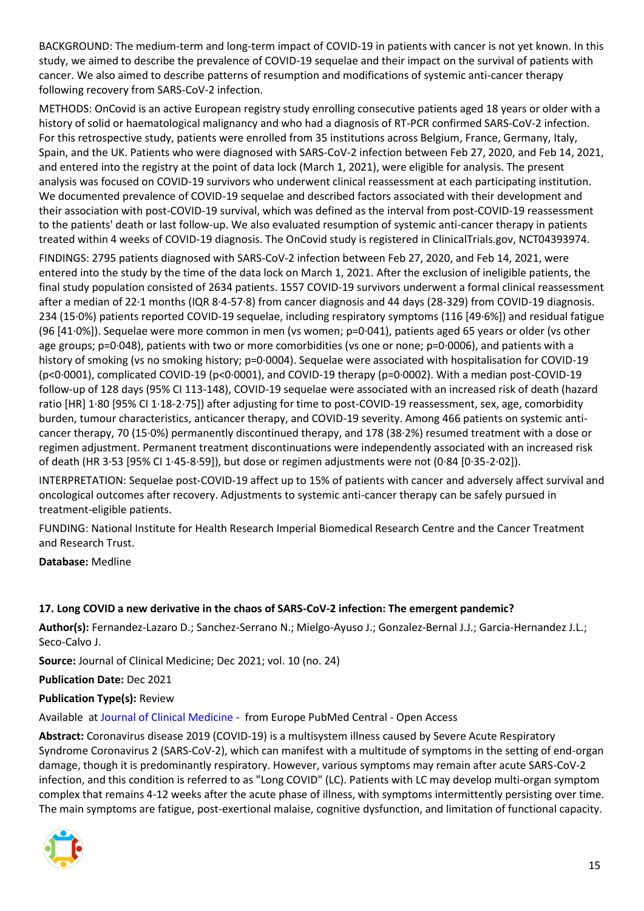BACKGROUND: The medium-term and long-term impact of COVID-19 in patients with cancer is not yet known. In this study, we aimed to describe the prevalence of COVID-19 sequelae and their impact on the survival of patients with cancer. We also aimed to describe patterns of resumption and modifications of systemic anti-cancer therapy following recovery from SARS-CoV-2 infection.

METHODS: OnCovid is an active European registry study enrolling consecutive patients aged 18 years or older with a history of solid or haematological malignancy and who had a diagnosis of RT-PCR confirmed SARS-CoV-2 infection. For this retrospective study, patients were enrolled from 35 institutions across Belgium, France, Germany, Italy, Spain, and the UK. Patients who were diagnosed with SARS-CoV-2 infection between Feb 27, 2020, and Feb 14, 2021, and entered into the registry at the point of data lock (March 1, 2021), were eligible for analysis. The present analysis was focused on COVID-19 survivors who underwent clinical reassessment at each participating institution. We documented prevalence of COVID-19 sequelae and described factors associated with their development and their association with post-COVID-19 survival, which was defined as the interval from post-COVID-19 reassessment to the patients' death or last follow-up. We also evaluated resumption of systemic anti-cancer therapy in patients treated within 4 weeks of COVID-19 diagnosis. The OnCovid study is registered in ClinicalTrials.gov, NCT04393974.

FINDINGS: 2795 patients diagnosed with SARS-CoV-2 infection between Feb 27, 2020, and Feb 14, 2021, were entered into the study by the time of the data lock on March 1, 2021. After the exclusion of ineligible patients, the final study population consisted of 2634 patients. 1557 COVID-19 survivors underwent a formal clinical reassessment after a median of 22·1 months (IQR 8·4-57·8) from cancer diagnosis and 44 days (28-329) from COVID-19 diagnosis. 234 (15·0%) patients reported COVID-19 sequelae, including respiratory symptoms (116 [49·6%]) and residual fatigue (96 [41·0%]). Sequelae were more common in men (vs women; p=0·041), patients aged 65 years or older (vs other age groups; p=0·048), patients with two or more comorbidities (vs one or none; p=0·0006), and patients with a history of smoking (vs no smoking history; p=0·0004). Sequelae were associated with hospitalisation for COVID-19 (p<0·0001), complicated COVID-19 (p<0·0001), and COVID-19 therapy (p=0·0002). With a median post-COVID-19 follow-up of 128 days (95% CI 113-148), COVID-19 sequelae were associated with an increased risk of death (hazard ratio [HR] 1·80 [95% CI 1·18-2·75]) after adjusting for time to post-COVID-19 reassessment, sex, age, comorbidity burden, tumour characteristics, anticancer therapy, and COVID-19 severity. Among 466 patients on systemic anticancer therapy, 70 (15·0%) permanently discontinued therapy, and 178 (38·2%) resumed treatment with a dose or regimen adjustment. Permanent treatment discontinuations were independently associated with an increased risk of death (HR 3·53 [95% CI 1·45-8·59]), but dose or regimen adjustments were not (0·84 [0·35-2·02]).

INTERPRETATION: Sequelae post-COVID-19 affect up to 15% of patients with cancer and adversely affect survival and oncological outcomes after recovery. Adjustments to systemic anti-cancer therapy can be safely pursued in treatment-eligible patients.

FUNDING: National Institute for Health Research Imperial Biomedical Research Centre and the Cancer Treatment and Research Trust.

**Database:** Medline

# <span id="page-14-0"></span>**17. Long COVID a new derivative in the chaos of SARS-CoV-2 infection: The emergent pandemic?**

**Author(s):** Fernandez-Lazaro D.; Sanchez-Serrano N.; Mielgo-Ayuso J.; Gonzalez-Bernal J.J.; Garcia-Hernandez J.L.; Seco-Calvo J.

**Source:** Journal of Clinical Medicine; Dec 2021; vol. 10 (no. 24)

**Publication Date:** Dec 2021

#### **Publication Type(s):** Review

Available at [Journal of Clinical Medicine](http://europepmc.org/search?query=(DOI:%22https://dx.10.3390/jcm10245799%22)) - from Europe PubMed Central - Open Access

**Abstract:** Coronavirus disease 2019 (COVID-19) is a multisystem illness caused by Severe Acute Respiratory Syndrome Coronavirus 2 (SARS-CoV-2), which can manifest with a multitude of symptoms in the setting of end-organ damage, though it is predominantly respiratory. However, various symptoms may remain after acute SARS-CoV-2 infection, and this condition is referred to as "Long COVID" (LC). Patients with LC may develop multi-organ symptom complex that remains 4-12 weeks after the acute phase of illness, with symptoms intermittently persisting over time. The main symptoms are fatigue, post-exertional malaise, cognitive dysfunction, and limitation of functional capacity.

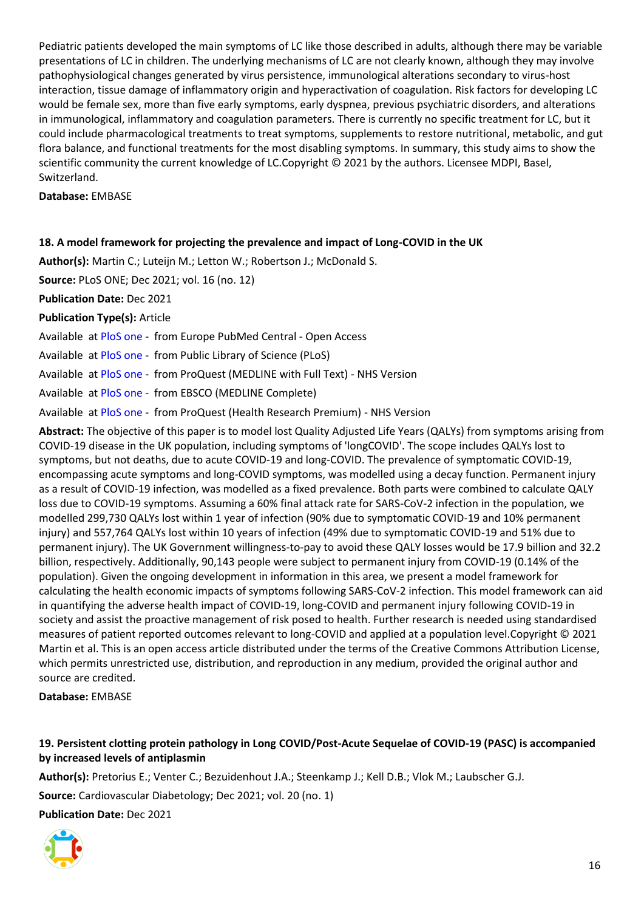Pediatric patients developed the main symptoms of LC like those described in adults, although there may be variable presentations of LC in children. The underlying mechanisms of LC are not clearly known, although they may involve pathophysiological changes generated by virus persistence, immunological alterations secondary to virus-host interaction, tissue damage of inflammatory origin and hyperactivation of coagulation. Risk factors for developing LC would be female sex, more than five early symptoms, early dyspnea, previous psychiatric disorders, and alterations in immunological, inflammatory and coagulation parameters. There is currently no specific treatment for LC, but it could include pharmacological treatments to treat symptoms, supplements to restore nutritional, metabolic, and gut flora balance, and functional treatments for the most disabling symptoms. In summary, this study aims to show the scientific community the current knowledge of LC.Copyright © 2021 by the authors. Licensee MDPI, Basel, Switzerland.

#### **Database:** EMBASE

#### <span id="page-15-0"></span>**18. A model framework for projecting the prevalence and impact of Long-COVID in the UK**

**Author(s):** Martin C.; Luteijn M.; Letton W.; Robertson J.; McDonald S.

**Source:** PLoS ONE; Dec 2021; vol. 16 (no. 12)

**Publication Date:** Dec 2021

**Publication Type(s):** Article

Available at [PloS one](http://europepmc.org/search?query=(DOI:%2210.1371/journal.pone.0260843%22)) - from Europe PubMed Central - Open Access

Available at [PloS one](https://doi.org/10.1371/journal.pone.0260843) - from Public Library of Science (PLoS)

Available at [PloS one](https://gateway.proquest.com/openurl?ctx_ver=Z39.88-2004&res_id=xri:pqm&req_dat=xri:pqil:pq_clntid=48229&rft_val_fmt=ori/fmt:kev:mtx:journal&genre=article&issn=1932-6203&volume=16&issue=12&spage=e0260843&atitle=A+model+framework+for+projecting+the+prevalence+and+impact+of+Long-COVID+in+the+UK) - from ProQuest (MEDLINE with Full Text) - NHS Version

Available at [PloS one](https://search.ebscohost.com/login.aspx?direct=true&scope=site&site=ehost-live&db=mdc&AN=34855874) - from EBSCO (MEDLINE Complete)

Available at [PloS one](https://gateway.proquest.com/openurl?ctx_ver=Z39.88-2004&res_id=xri:pqm&req_dat=xri:pqil:pq_clntid=48229&rft_val_fmt=ori/fmt:kev:mtx:journal&genre=article&issn=1932-6203&volume=16&issue=12&spage=e0260843&atitle=A+model+framework+for+projecting+the+prevalence+and+impact+of+Long-COVID+in+the+UK) - from ProQuest (Health Research Premium) - NHS Version

**Abstract:** The objective of this paper is to model lost Quality Adjusted Life Years (QALYs) from symptoms arising from COVID-19 disease in the UK population, including symptoms of 'longCOVID'. The scope includes QALYs lost to symptoms, but not deaths, due to acute COVID-19 and long-COVID. The prevalence of symptomatic COVID-19, encompassing acute symptoms and long-COVID symptoms, was modelled using a decay function. Permanent injury as a result of COVID-19 infection, was modelled as a fixed prevalence. Both parts were combined to calculate QALY loss due to COVID-19 symptoms. Assuming a 60% final attack rate for SARS-CoV-2 infection in the population, we modelled 299,730 QALYs lost within 1 year of infection (90% due to symptomatic COVID-19 and 10% permanent injury) and 557,764 QALYs lost within 10 years of infection (49% due to symptomatic COVID-19 and 51% due to permanent injury). The UK Government willingness-to-pay to avoid these QALY losses would be 17.9 billion and 32.2 billion, respectively. Additionally, 90,143 people were subject to permanent injury from COVID-19 (0.14% of the population). Given the ongoing development in information in this area, we present a model framework for calculating the health economic impacts of symptoms following SARS-CoV-2 infection. This model framework can aid in quantifying the adverse health impact of COVID-19, long-COVID and permanent injury following COVID-19 in society and assist the proactive management of risk posed to health. Further research is needed using standardised measures of patient reported outcomes relevant to long-COVID and applied at a population level.Copyright © 2021 Martin et al. This is an open access article distributed under the terms of the Creative Commons Attribution License, which permits unrestricted use, distribution, and reproduction in any medium, provided the original author and source are credited.

**Database:** EMBASE

# <span id="page-15-1"></span>**19. Persistent clotting protein pathology in Long COVID/Post-Acute Sequelae of COVID-19 (PASC) is accompanied by increased levels of antiplasmin**

**Author(s):** Pretorius E.; Venter C.; Bezuidenhout J.A.; Steenkamp J.; Kell D.B.; Vlok M.; Laubscher G.J.

**Source:** Cardiovascular Diabetology; Dec 2021; vol. 20 (no. 1)

**Publication Date:** Dec 2021

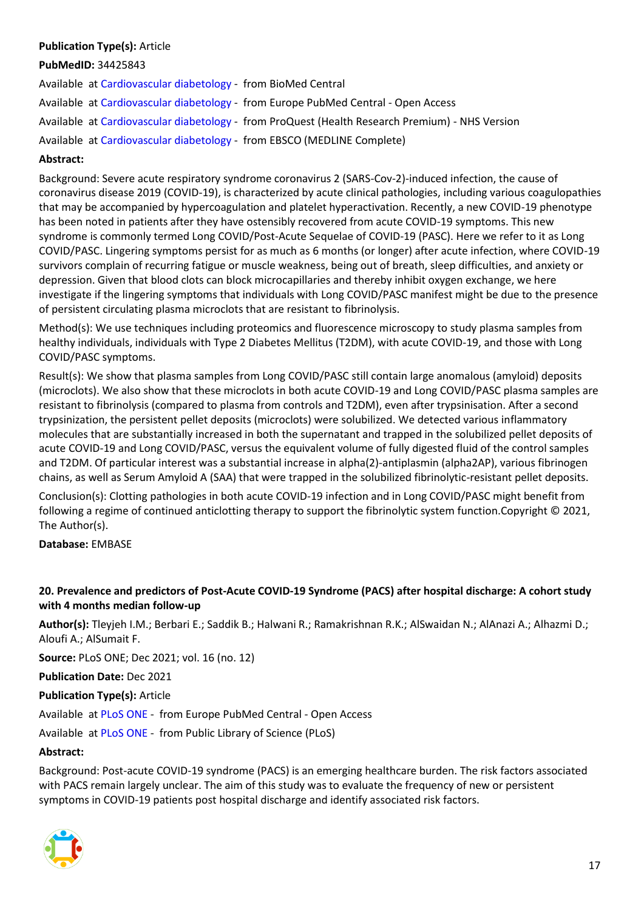# **Publication Type(s):** Article

#### **PubMedID:** 34425843

Available at [Cardiovascular diabetology](https://doi.org/10.1186/s12933-021-01359-7) - from BioMed Central Available at [Cardiovascular diabetology](http://europepmc.org/search?query=(DOI:%2210.1186/s12933-021-01359-7%22)) - from Europe PubMed Central - Open Access Available at [Cardiovascular diabetology](https://gateway.proquest.com/openurl?ctx_ver=Z39.88-2004&res_id=xri:pqm&req_dat=xri:pqil:pq_clntid=48229&rft_val_fmt=ori/fmt:kev:mtx:journal&genre=article&issn=1475-2840&volume=20&issue=1&spage=172&atitle=Persistent+clotting+protein+pathology+in+Long+COVID%2FPost-Acute+Sequelae+of+COVID-19+(PASC)+is+accompanied+by+increased+levels+of+antiplasmin) - from ProQuest (Health Research Premium) - NHS Version Available at [Cardiovascular diabetology](https://search.ebscohost.com/login.aspx?direct=true&scope=site&site=ehost-live&db=mdc&AN=34425843) - from EBSCO (MEDLINE Complete)

#### **Abstract:**

Background: Severe acute respiratory syndrome coronavirus 2 (SARS-Cov-2)-induced infection, the cause of coronavirus disease 2019 (COVID-19), is characterized by acute clinical pathologies, including various coagulopathies that may be accompanied by hypercoagulation and platelet hyperactivation. Recently, a new COVID-19 phenotype has been noted in patients after they have ostensibly recovered from acute COVID-19 symptoms. This new syndrome is commonly termed Long COVID/Post-Acute Sequelae of COVID-19 (PASC). Here we refer to it as Long COVID/PASC. Lingering symptoms persist for as much as 6 months (or longer) after acute infection, where COVID-19 survivors complain of recurring fatigue or muscle weakness, being out of breath, sleep difficulties, and anxiety or depression. Given that blood clots can block microcapillaries and thereby inhibit oxygen exchange, we here investigate if the lingering symptoms that individuals with Long COVID/PASC manifest might be due to the presence of persistent circulating plasma microclots that are resistant to fibrinolysis.

Method(s): We use techniques including proteomics and fluorescence microscopy to study plasma samples from healthy individuals, individuals with Type 2 Diabetes Mellitus (T2DM), with acute COVID-19, and those with Long COVID/PASC symptoms.

Result(s): We show that plasma samples from Long COVID/PASC still contain large anomalous (amyloid) deposits (microclots). We also show that these microclots in both acute COVID-19 and Long COVID/PASC plasma samples are resistant to fibrinolysis (compared to plasma from controls and T2DM), even after trypsinisation. After a second trypsinization, the persistent pellet deposits (microclots) were solubilized. We detected various inflammatory molecules that are substantially increased in both the supernatant and trapped in the solubilized pellet deposits of acute COVID-19 and Long COVID/PASC, versus the equivalent volume of fully digested fluid of the control samples and T2DM. Of particular interest was a substantial increase in alpha(2)-antiplasmin (alpha2AP), various fibrinogen chains, as well as Serum Amyloid A (SAA) that were trapped in the solubilized fibrinolytic-resistant pellet deposits.

Conclusion(s): Clotting pathologies in both acute COVID-19 infection and in Long COVID/PASC might benefit from following a regime of continued anticlotting therapy to support the fibrinolytic system function.Copyright © 2021, The Author(s).

**Database:** EMBASE

# <span id="page-16-0"></span>**20. Prevalence and predictors of Post-Acute COVID-19 Syndrome (PACS) after hospital discharge: A cohort study with 4 months median follow-up**

**Author(s):** Tleyjeh I.M.; Berbari E.; Saddik B.; Halwani R.; Ramakrishnan R.K.; AlSwaidan N.; AlAnazi A.; Alhazmi D.; Aloufi A.; AlSumait F.

**Source:** PLoS ONE; Dec 2021; vol. 16 (no. 12)

**Publication Date:** Dec 2021

**Publication Type(s):** Article

Available at [PLoS ONE](http://europepmc.org/search?query=(DOI:%22https://dx.10.1371/journal.pone.0260568%22)) - from Europe PubMed Central - Open Access

Available at [PLoS ONE](https://doi.org/https:/dx.10.1371/journal.pone.0260568) - from Public Library of Science (PLoS)

#### **Abstract:**

Background: Post-acute COVID-19 syndrome (PACS) is an emerging healthcare burden. The risk factors associated with PACS remain largely unclear. The aim of this study was to evaluate the frequency of new or persistent symptoms in COVID-19 patients post hospital discharge and identify associated risk factors.

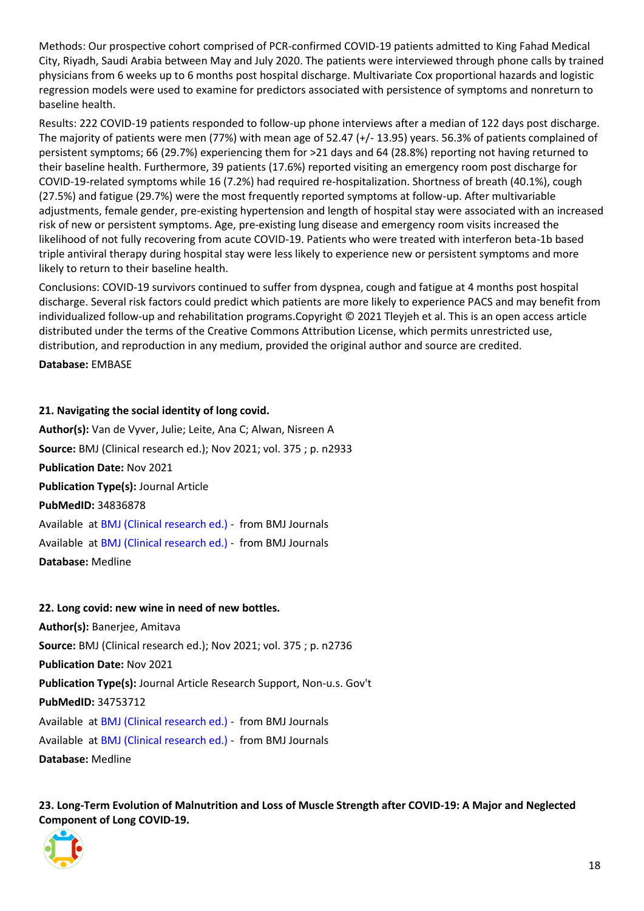Methods: Our prospective cohort comprised of PCR-confirmed COVID-19 patients admitted to King Fahad Medical City, Riyadh, Saudi Arabia between May and July 2020. The patients were interviewed through phone calls by trained physicians from 6 weeks up to 6 months post hospital discharge. Multivariate Cox proportional hazards and logistic regression models were used to examine for predictors associated with persistence of symptoms and nonreturn to baseline health.

Results: 222 COVID-19 patients responded to follow-up phone interviews after a median of 122 days post discharge. The majority of patients were men (77%) with mean age of 52.47 (+/- 13.95) years. 56.3% of patients complained of persistent symptoms; 66 (29.7%) experiencing them for >21 days and 64 (28.8%) reporting not having returned to their baseline health. Furthermore, 39 patients (17.6%) reported visiting an emergency room post discharge for COVID-19-related symptoms while 16 (7.2%) had required re-hospitalization. Shortness of breath (40.1%), cough (27.5%) and fatigue (29.7%) were the most frequently reported symptoms at follow-up. After multivariable adjustments, female gender, pre-existing hypertension and length of hospital stay were associated with an increased risk of new or persistent symptoms. Age, pre-existing lung disease and emergency room visits increased the likelihood of not fully recovering from acute COVID-19. Patients who were treated with interferon beta-1b based triple antiviral therapy during hospital stay were less likely to experience new or persistent symptoms and more likely to return to their baseline health.

Conclusions: COVID-19 survivors continued to suffer from dyspnea, cough and fatigue at 4 months post hospital discharge. Several risk factors could predict which patients are more likely to experience PACS and may benefit from individualized follow-up and rehabilitation programs.Copyright © 2021 Tleyjeh et al. This is an open access article distributed under the terms of the Creative Commons Attribution License, which permits unrestricted use, distribution, and reproduction in any medium, provided the original author and source are credited.

**Database:** EMBASE

#### <span id="page-17-0"></span>**21. Navigating the social identity of long covid.**

**Author(s):** Van de Vyver, Julie; Leite, Ana C; Alwan, Nisreen A **Source:** BMJ (Clinical research ed.); Nov 2021; vol. 375 ; p. n2933 **Publication Date:** Nov 2021 **Publication Type(s):** Journal Article **PubMedID:** 34836878 Available at [BMJ \(Clinical research ed.\)](https://go.openathens.net/redirector/nhs?url=https%3A%2F%2Fwww.bmj.com%2Flookup%2Fdoi%2F10.1136%2Fbmj.n2933) - from BMJ Journals Available at [BMJ \(Clinical research ed.\)](https://www.bmj.com/lookup/doi/10.1136/bmj.n2933) - from BMJ Journals **Database:** Medline

#### <span id="page-17-1"></span>**22. Long covid: new wine in need of new bottles.**

**Author(s):** Banerjee, Amitava

**Source:** BMJ (Clinical research ed.); Nov 2021; vol. 375 ; p. n2736

**Publication Date:** Nov 2021

**Publication Type(s):** Journal Article Research Support, Non-u.s. Gov't

**PubMedID:** 34753712

Available at [BMJ \(Clinical research ed.\)](https://go.openathens.net/redirector/nhs?url=https%3A%2F%2Fwww.bmj.com%2Flookup%2Fdoi%2F10.1136%2Fbmj.n2736) - from BMJ Journals

Available at [BMJ \(Clinical research ed.\)](https://www.bmj.com/lookup/doi/10.1136/bmj.n2736) - from BMJ Journals

**Database:** Medline

<span id="page-17-2"></span>**23. Long-Term Evolution of Malnutrition and Loss of Muscle Strength after COVID-19: A Major and Neglected Component of Long COVID-19.**

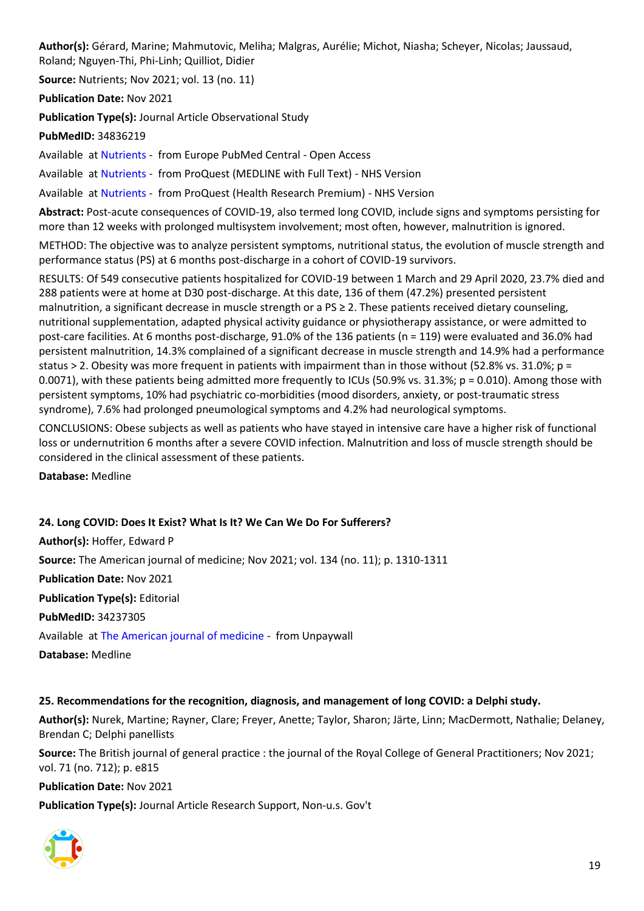**Author(s):** Gérard, Marine; Mahmutovic, Meliha; Malgras, Aurélie; Michot, Niasha; Scheyer, Nicolas; Jaussaud, Roland; Nguyen-Thi, Phi-Linh; Quilliot, Didier

**Source:** Nutrients; Nov 2021; vol. 13 (no. 11)

**Publication Date:** Nov 2021

**Publication Type(s):** Journal Article Observational Study

**PubMedID:** 34836219

Available at [Nutrients](http://europepmc.org/search?query=(DOI:%2210.3390/nu13113964%22)) - from Europe PubMed Central - Open Access

Available at [Nutrients](https://gateway.proquest.com/openurl?ctx_ver=Z39.88-2004&res_id=xri:pqm&req_dat=xri:pqil:pq_clntid=48229&rft_val_fmt=ori/fmt:kev:mtx:journal&genre=article&issn=2072-6643&volume=13&issue=11&spage=3964&atitle=Long-Term+Evolution+of+Malnutrition+and+Loss+of+Muscle+Strength+after+COVID-19%3A+A+Major+and+Neglected+Component+of+Long+COVID-19) - from ProQuest (MEDLINE with Full Text) - NHS Version

Available at [Nutrients](https://gateway.proquest.com/openurl?ctx_ver=Z39.88-2004&res_id=xri:pqm&req_dat=xri:pqil:pq_clntid=48229&rft_val_fmt=ori/fmt:kev:mtx:journal&genre=article&issn=2072-6643&volume=13&issue=11&spage=3964&atitle=Long-Term+Evolution+of+Malnutrition+and+Loss+of+Muscle+Strength+after+COVID-19%3A+A+Major+and+Neglected+Component+of+Long+COVID-19) - from ProQuest (Health Research Premium) - NHS Version

**Abstract:** Post-acute consequences of COVID-19, also termed long COVID, include signs and symptoms persisting for more than 12 weeks with prolonged multisystem involvement; most often, however, malnutrition is ignored.

METHOD: The objective was to analyze persistent symptoms, nutritional status, the evolution of muscle strength and performance status (PS) at 6 months post-discharge in a cohort of COVID-19 survivors.

RESULTS: Of 549 consecutive patients hospitalized for COVID-19 between 1 March and 29 April 2020, 23.7% died and 288 patients were at home at D30 post-discharge. At this date, 136 of them (47.2%) presented persistent malnutrition, a significant decrease in muscle strength or a PS ≥ 2. These patients received dietary counseling, nutritional supplementation, adapted physical activity guidance or physiotherapy assistance, or were admitted to post-care facilities. At 6 months post-discharge, 91.0% of the 136 patients (n = 119) were evaluated and 36.0% had persistent malnutrition, 14.3% complained of a significant decrease in muscle strength and 14.9% had a performance status > 2. Obesity was more frequent in patients with impairment than in those without (52.8% vs. 31.0%; p = 0.0071), with these patients being admitted more frequently to ICUs (50.9% vs. 31.3%; p = 0.010). Among those with persistent symptoms, 10% had psychiatric co-morbidities (mood disorders, anxiety, or post-traumatic stress syndrome), 7.6% had prolonged pneumological symptoms and 4.2% had neurological symptoms.

CONCLUSIONS: Obese subjects as well as patients who have stayed in intensive care have a higher risk of functional loss or undernutrition 6 months after a severe COVID infection. Malnutrition and loss of muscle strength should be considered in the clinical assessment of these patients.

**Database:** Medline

# <span id="page-18-0"></span>**24. Long COVID: Does It Exist? What Is It? We Can We Do For Sufferers?**

**Author(s):** Hoffer, Edward P

**Source:** The American journal of medicine; Nov 2021; vol. 134 (no. 11); p. 1310-1311

**Publication Date:** Nov 2021

**Publication Type(s):** Editorial

**PubMedID:** 34237305

Available at [The American journal of medicine](http://www.amjmed.com/article/S0002934321003995/pdf) - from Unpaywall

**Database:** Medline

#### <span id="page-18-1"></span>**25. Recommendations for the recognition, diagnosis, and management of long COVID: a Delphi study.**

**Author(s):** Nurek, Martine; Rayner, Clare; Freyer, Anette; Taylor, Sharon; Järte, Linn; MacDermott, Nathalie; Delaney, Brendan C; Delphi panellists

**Source:** The British journal of general practice : the journal of the Royal College of General Practitioners; Nov 2021; vol. 71 (no. 712); p. e815

**Publication Date:** Nov 2021

**Publication Type(s):** Journal Article Research Support, Non-u.s. Gov't

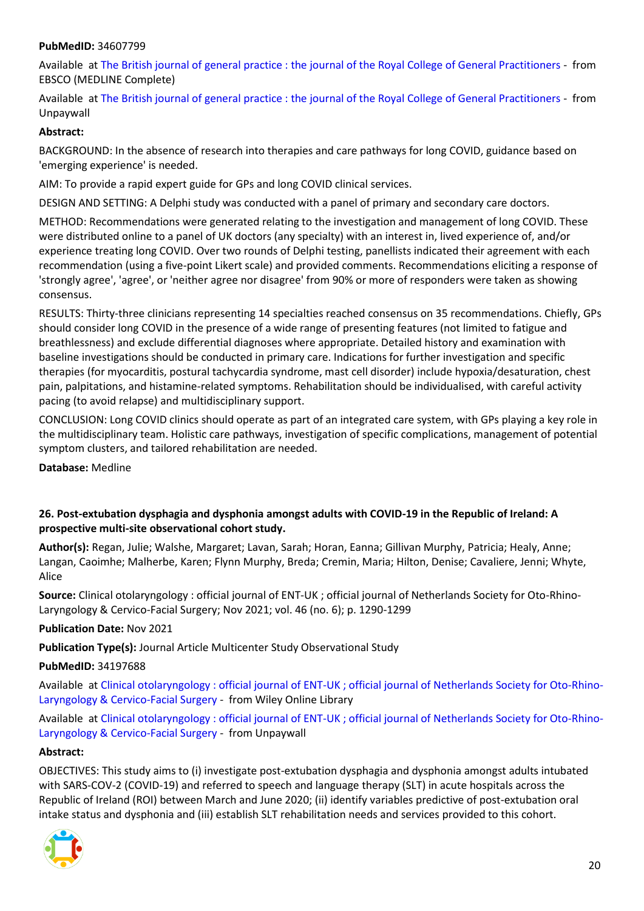#### **PubMedID:** 34607799

Available at [The British journal of general practice : the journal of the Royal College of General Practitioners](https://search.ebscohost.com/login.aspx?direct=true&scope=site&site=ehost-live&db=mdc&AN=34607799) - from EBSCO (MEDLINE Complete)

Available at [The British journal of general practice : the journal of the Royal College of General Practitioners](https://bjgp.org/content/bjgp/early/2021/07/27/BJGP.2021.0265.full.pdf) - from Unpaywall

#### **Abstract:**

BACKGROUND: In the absence of research into therapies and care pathways for long COVID, guidance based on 'emerging experience' is needed.

AIM: To provide a rapid expert guide for GPs and long COVID clinical services.

DESIGN AND SETTING: A Delphi study was conducted with a panel of primary and secondary care doctors.

METHOD: Recommendations were generated relating to the investigation and management of long COVID. These were distributed online to a panel of UK doctors (any specialty) with an interest in, lived experience of, and/or experience treating long COVID. Over two rounds of Delphi testing, panellists indicated their agreement with each recommendation (using a five-point Likert scale) and provided comments. Recommendations eliciting a response of 'strongly agree', 'agree', or 'neither agree nor disagree' from 90% or more of responders were taken as showing consensus.

RESULTS: Thirty-three clinicians representing 14 specialties reached consensus on 35 recommendations. Chiefly, GPs should consider long COVID in the presence of a wide range of presenting features (not limited to fatigue and breathlessness) and exclude differential diagnoses where appropriate. Detailed history and examination with baseline investigations should be conducted in primary care. Indications for further investigation and specific therapies (for myocarditis, postural tachycardia syndrome, mast cell disorder) include hypoxia/desaturation, chest pain, palpitations, and histamine-related symptoms. Rehabilitation should be individualised, with careful activity pacing (to avoid relapse) and multidisciplinary support.

CONCLUSION: Long COVID clinics should operate as part of an integrated care system, with GPs playing a key role in the multidisciplinary team. Holistic care pathways, investigation of specific complications, management of potential symptom clusters, and tailored rehabilitation are needed.

**Database:** Medline

#### <span id="page-19-0"></span>**26. Post-extubation dysphagia and dysphonia amongst adults with COVID-19 in the Republic of Ireland: A prospective multi-site observational cohort study.**

**Author(s):** Regan, Julie; Walshe, Margaret; Lavan, Sarah; Horan, Eanna; Gillivan Murphy, Patricia; Healy, Anne; Langan, Caoimhe; Malherbe, Karen; Flynn Murphy, Breda; Cremin, Maria; Hilton, Denise; Cavaliere, Jenni; Whyte, Alice

**Source:** Clinical otolaryngology : official journal of ENT-UK ; official journal of Netherlands Society for Oto-Rhino-Laryngology & Cervico-Facial Surgery; Nov 2021; vol. 46 (no. 6); p. 1290-1299

**Publication Date:** Nov 2021

**Publication Type(s):** Journal Article Multicenter Study Observational Study

#### **PubMedID:** 34197688

Available at [Clinical otolaryngology : official journal of ENT-UK ; official journal of Netherlands Society for Oto-Rhino-](https://go.openathens.net/redirector/nhs?url=https%3A%2F%2Fonlinelibrary.wiley.com%2Fdoi%2Ffull%2F10.1111%2Fcoa.13832)[Laryngology & Cervico-Facial Surgery](https://go.openathens.net/redirector/nhs?url=https%3A%2F%2Fonlinelibrary.wiley.com%2Fdoi%2Ffull%2F10.1111%2Fcoa.13832) - from Wiley Online Library

Available at [Clinical otolaryngology : official journal of ENT-UK ; official journal of Netherlands Society for Oto-Rhino-](https://onlinelibrary.wiley.com/doi/pdfdirect/10.1111/coa.13832)[Laryngology & Cervico-Facial Surgery](https://onlinelibrary.wiley.com/doi/pdfdirect/10.1111/coa.13832) - from Unpaywall

#### **Abstract:**

OBJECTIVES: This study aims to (i) investigate post-extubation dysphagia and dysphonia amongst adults intubated with SARS-COV-2 (COVID-19) and referred to speech and language therapy (SLT) in acute hospitals across the Republic of Ireland (ROI) between March and June 2020; (ii) identify variables predictive of post-extubation oral intake status and dysphonia and (iii) establish SLT rehabilitation needs and services provided to this cohort.

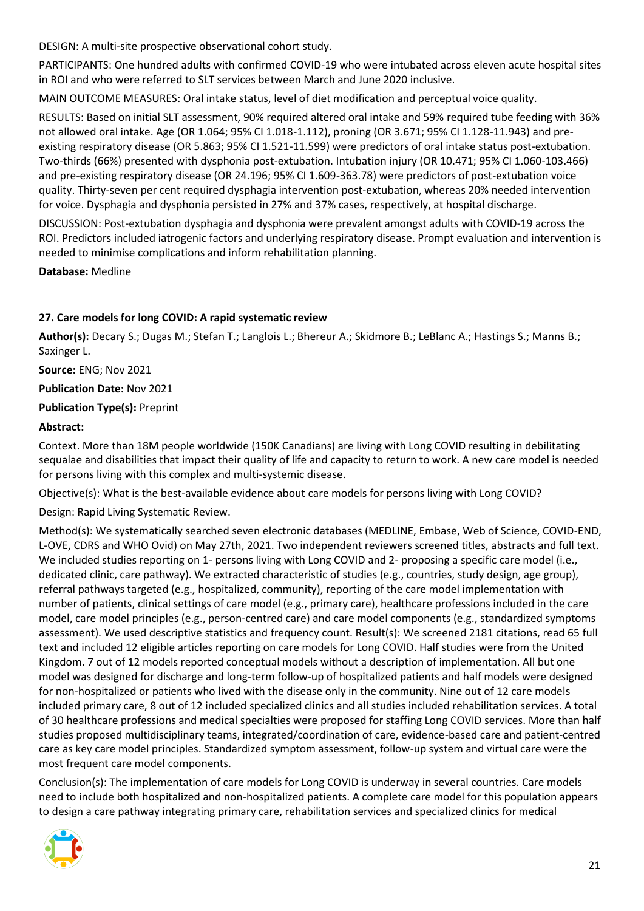DESIGN: A multi-site prospective observational cohort study.

PARTICIPANTS: One hundred adults with confirmed COVID-19 who were intubated across eleven acute hospital sites in ROI and who were referred to SLT services between March and June 2020 inclusive.

MAIN OUTCOME MEASURES: Oral intake status, level of diet modification and perceptual voice quality.

RESULTS: Based on initial SLT assessment, 90% required altered oral intake and 59% required tube feeding with 36% not allowed oral intake. Age (OR 1.064; 95% CI 1.018-1.112), proning (OR 3.671; 95% CI 1.128-11.943) and preexisting respiratory disease (OR 5.863; 95% CI 1.521-11.599) were predictors of oral intake status post-extubation. Two-thirds (66%) presented with dysphonia post-extubation. Intubation injury (OR 10.471; 95% CI 1.060-103.466) and pre-existing respiratory disease (OR 24.196; 95% CI 1.609-363.78) were predictors of post-extubation voice quality. Thirty-seven per cent required dysphagia intervention post-extubation, whereas 20% needed intervention for voice. Dysphagia and dysphonia persisted in 27% and 37% cases, respectively, at hospital discharge.

DISCUSSION: Post-extubation dysphagia and dysphonia were prevalent amongst adults with COVID-19 across the ROI. Predictors included iatrogenic factors and underlying respiratory disease. Prompt evaluation and intervention is needed to minimise complications and inform rehabilitation planning.

**Database:** Medline

#### <span id="page-20-0"></span>**27. Care models for long COVID: A rapid systematic review**

**Author(s):** Decary S.; Dugas M.; Stefan T.; Langlois L.; Bhereur A.; Skidmore B.; LeBlanc A.; Hastings S.; Manns B.; Saxinger L.

**Source:** ENG; Nov 2021

#### **Publication Date:** Nov 2021

#### **Publication Type(s):** Preprint

#### **Abstract:**

Context. More than 18M people worldwide (150K Canadians) are living with Long COVID resulting in debilitating sequalae and disabilities that impact their quality of life and capacity to return to work. A new care model is needed for persons living with this complex and multi-systemic disease.

Objective(s): What is the best-available evidence about care models for persons living with Long COVID?

Design: Rapid Living Systematic Review.

Method(s): We systematically searched seven electronic databases (MEDLINE, Embase, Web of Science, COVID-END, L-OVE, CDRS and WHO Ovid) on May 27th, 2021. Two independent reviewers screened titles, abstracts and full text. We included studies reporting on 1- persons living with Long COVID and 2- proposing a specific care model (i.e., dedicated clinic, care pathway). We extracted characteristic of studies (e.g., countries, study design, age group), referral pathways targeted (e.g., hospitalized, community), reporting of the care model implementation with number of patients, clinical settings of care model (e.g., primary care), healthcare professions included in the care model, care model principles (e.g., person-centred care) and care model components (e.g., standardized symptoms assessment). We used descriptive statistics and frequency count. Result(s): We screened 2181 citations, read 65 full text and included 12 eligible articles reporting on care models for Long COVID. Half studies were from the United Kingdom. 7 out of 12 models reported conceptual models without a description of implementation. All but one model was designed for discharge and long-term follow-up of hospitalized patients and half models were designed for non-hospitalized or patients who lived with the disease only in the community. Nine out of 12 care models included primary care, 8 out of 12 included specialized clinics and all studies included rehabilitation services. A total of 30 healthcare professions and medical specialties were proposed for staffing Long COVID services. More than half studies proposed multidisciplinary teams, integrated/coordination of care, evidence-based care and patient-centred care as key care model principles. Standardized symptom assessment, follow-up system and virtual care were the most frequent care model components.

Conclusion(s): The implementation of care models for Long COVID is underway in several countries. Care models need to include both hospitalized and non-hospitalized patients. A complete care model for this population appears to design a care pathway integrating primary care, rehabilitation services and specialized clinics for medical

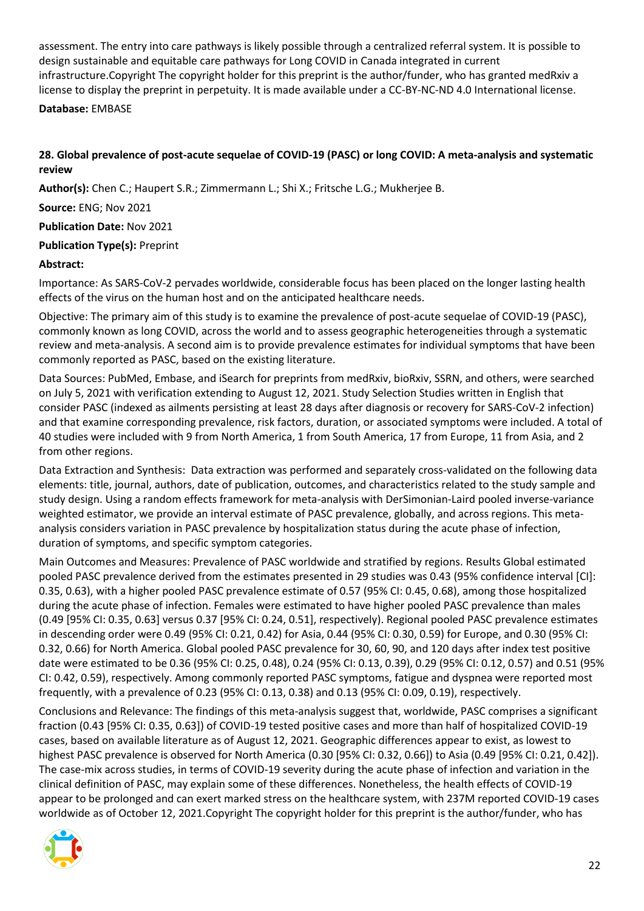assessment. The entry into care pathways is likely possible through a centralized referral system. It is possible to design sustainable and equitable care pathways for Long COVID in Canada integrated in current infrastructure.Copyright The copyright holder for this preprint is the author/funder, who has granted medRxiv a license to display the preprint in perpetuity. It is made available under a CC-BY-NC-ND 4.0 International license.

**Database:** EMBASE

# <span id="page-21-0"></span>**28. Global prevalence of post-acute sequelae of COVID-19 (PASC) or long COVID: A meta-analysis and systematic review**

**Author(s):** Chen C.; Haupert S.R.; Zimmermann L.; Shi X.; Fritsche L.G.; Mukherjee B.

**Source:** ENG; Nov 2021

**Publication Date:** Nov 2021

# **Publication Type(s):** Preprint

# **Abstract:**

Importance: As SARS-CoV-2 pervades worldwide, considerable focus has been placed on the longer lasting health effects of the virus on the human host and on the anticipated healthcare needs.

Objective: The primary aim of this study is to examine the prevalence of post-acute sequelae of COVID-19 (PASC), commonly known as long COVID, across the world and to assess geographic heterogeneities through a systematic review and meta-analysis. A second aim is to provide prevalence estimates for individual symptoms that have been commonly reported as PASC, based on the existing literature.

Data Sources: PubMed, Embase, and iSearch for preprints from medRxiv, bioRxiv, SSRN, and others, were searched on July 5, 2021 with verification extending to August 12, 2021. Study Selection Studies written in English that consider PASC (indexed as ailments persisting at least 28 days after diagnosis or recovery for SARS-CoV-2 infection) and that examine corresponding prevalence, risk factors, duration, or associated symptoms were included. A total of 40 studies were included with 9 from North America, 1 from South America, 17 from Europe, 11 from Asia, and 2 from other regions.

Data Extraction and Synthesis: Data extraction was performed and separately cross-validated on the following data elements: title, journal, authors, date of publication, outcomes, and characteristics related to the study sample and study design. Using a random effects framework for meta-analysis with DerSimonian-Laird pooled inverse-variance weighted estimator, we provide an interval estimate of PASC prevalence, globally, and across regions. This metaanalysis considers variation in PASC prevalence by hospitalization status during the acute phase of infection, duration of symptoms, and specific symptom categories.

Main Outcomes and Measures: Prevalence of PASC worldwide and stratified by regions. Results Global estimated pooled PASC prevalence derived from the estimates presented in 29 studies was 0.43 (95% confidence interval [CI]: 0.35, 0.63), with a higher pooled PASC prevalence estimate of 0.57 (95% CI: 0.45, 0.68), among those hospitalized during the acute phase of infection. Females were estimated to have higher pooled PASC prevalence than males (0.49 [95% CI: 0.35, 0.63] versus 0.37 [95% CI: 0.24, 0.51], respectively). Regional pooled PASC prevalence estimates in descending order were 0.49 (95% CI: 0.21, 0.42) for Asia, 0.44 (95% CI: 0.30, 0.59) for Europe, and 0.30 (95% CI: 0.32, 0.66) for North America. Global pooled PASC prevalence for 30, 60, 90, and 120 days after index test positive date were estimated to be 0.36 (95% CI: 0.25, 0.48), 0.24 (95% CI: 0.13, 0.39), 0.29 (95% CI: 0.12, 0.57) and 0.51 (95% CI: 0.42, 0.59), respectively. Among commonly reported PASC symptoms, fatigue and dyspnea were reported most frequently, with a prevalence of 0.23 (95% CI: 0.13, 0.38) and 0.13 (95% CI: 0.09, 0.19), respectively.

Conclusions and Relevance: The findings of this meta-analysis suggest that, worldwide, PASC comprises a significant fraction (0.43 [95% CI: 0.35, 0.63]) of COVID-19 tested positive cases and more than half of hospitalized COVID-19 cases, based on available literature as of August 12, 2021. Geographic differences appear to exist, as lowest to highest PASC prevalence is observed for North America (0.30 [95% CI: 0.32, 0.66]) to Asia (0.49 [95% CI: 0.21, 0.42]). The case-mix across studies, in terms of COVID-19 severity during the acute phase of infection and variation in the clinical definition of PASC, may explain some of these differences. Nonetheless, the health effects of COVID-19 appear to be prolonged and can exert marked stress on the healthcare system, with 237M reported COVID-19 cases worldwide as of October 12, 2021.Copyright The copyright holder for this preprint is the author/funder, who has

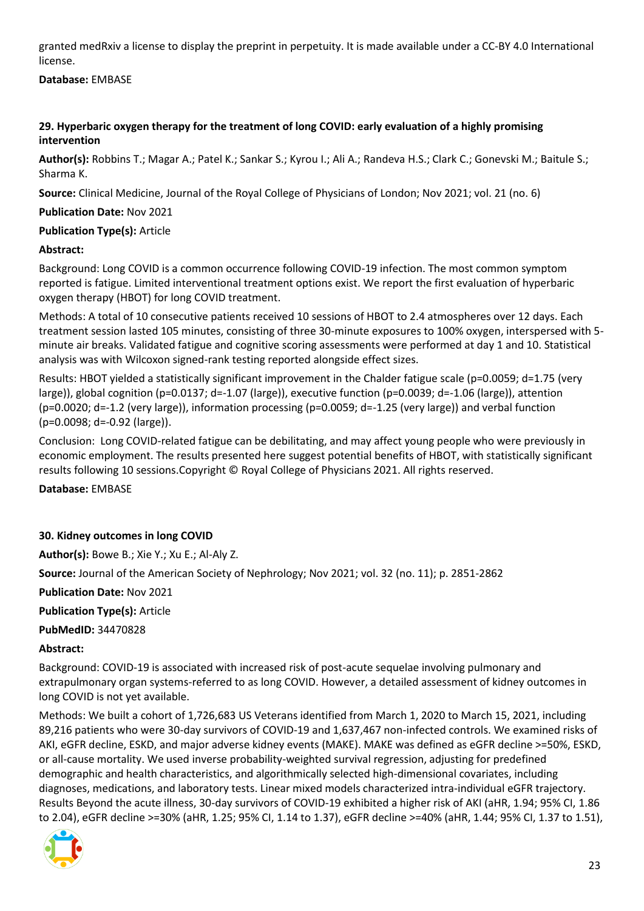granted medRxiv a license to display the preprint in perpetuity. It is made available under a CC-BY 4.0 International license.

# **Database:** EMBASE

# <span id="page-22-0"></span>**29. Hyperbaric oxygen therapy for the treatment of long COVID: early evaluation of a highly promising intervention**

**Author(s):** Robbins T.; Magar A.; Patel K.; Sankar S.; Kyrou I.; Ali A.; Randeva H.S.; Clark C.; Gonevski M.; Baitule S.; Sharma K.

**Source:** Clinical Medicine, Journal of the Royal College of Physicians of London; Nov 2021; vol. 21 (no. 6)

# **Publication Date:** Nov 2021

# **Publication Type(s):** Article

#### **Abstract:**

Background: Long COVID is a common occurrence following COVID-19 infection. The most common symptom reported is fatigue. Limited interventional treatment options exist. We report the first evaluation of hyperbaric oxygen therapy (HBOT) for long COVID treatment.

Methods: A total of 10 consecutive patients received 10 sessions of HBOT to 2.4 atmospheres over 12 days. Each treatment session lasted 105 minutes, consisting of three 30-minute exposures to 100% oxygen, interspersed with 5 minute air breaks. Validated fatigue and cognitive scoring assessments were performed at day 1 and 10. Statistical analysis was with Wilcoxon signed-rank testing reported alongside effect sizes.

Results: HBOT yielded a statistically significant improvement in the Chalder fatigue scale (p=0.0059; d=1.75 (very large)), global cognition (p=0.0137; d=-1.07 (large)), executive function (p=0.0039; d=-1.06 (large)), attention (p=0.0020; d=-1.2 (very large)), information processing (p=0.0059; d=-1.25 (very large)) and verbal function (p=0.0098; d=-0.92 (large)).

Conclusion: Long COVID-related fatigue can be debilitating, and may affect young people who were previously in economic employment. The results presented here suggest potential benefits of HBOT, with statistically significant results following 10 sessions.Copyright © Royal College of Physicians 2021. All rights reserved.

**Database:** EMBASE

# <span id="page-22-1"></span>**30. Kidney outcomes in long COVID**

**Author(s):** Bowe B.; Xie Y.; Xu E.; Al-Aly Z.

**Source:** Journal of the American Society of Nephrology; Nov 2021; vol. 32 (no. 11); p. 2851-2862

**Publication Date:** Nov 2021

**Publication Type(s):** Article

**PubMedID:** 34470828

#### **Abstract:**

Background: COVID-19 is associated with increased risk of post-acute sequelae involving pulmonary and extrapulmonary organ systems-referred to as long COVID. However, a detailed assessment of kidney outcomes in long COVID is not yet available.

Methods: We built a cohort of 1,726,683 US Veterans identified from March 1, 2020 to March 15, 2021, including 89,216 patients who were 30-day survivors of COVID-19 and 1,637,467 non-infected controls. We examined risks of AKI, eGFR decline, ESKD, and major adverse kidney events (MAKE). MAKE was defined as eGFR decline >=50%, ESKD, or all-cause mortality. We used inverse probability-weighted survival regression, adjusting for predefined demographic and health characteristics, and algorithmically selected high-dimensional covariates, including diagnoses, medications, and laboratory tests. Linear mixed models characterized intra-individual eGFR trajectory. Results Beyond the acute illness, 30-day survivors of COVID-19 exhibited a higher risk of AKI (aHR, 1.94; 95% CI, 1.86 to 2.04), eGFR decline >=30% (aHR, 1.25; 95% CI, 1.14 to 1.37), eGFR decline >=40% (aHR, 1.44; 95% CI, 1.37 to 1.51),

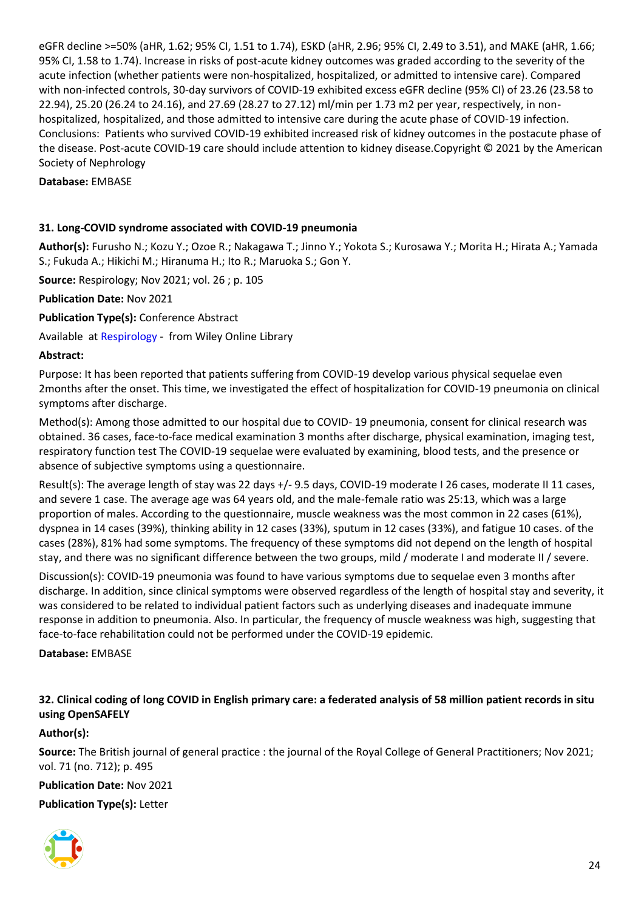eGFR decline >=50% (aHR, 1.62; 95% CI, 1.51 to 1.74), ESKD (aHR, 2.96; 95% CI, 2.49 to 3.51), and MAKE (aHR, 1.66; 95% CI, 1.58 to 1.74). Increase in risks of post-acute kidney outcomes was graded according to the severity of the acute infection (whether patients were non-hospitalized, hospitalized, or admitted to intensive care). Compared with non-infected controls, 30-day survivors of COVID-19 exhibited excess eGFR decline (95% CI) of 23.26 (23.58 to 22.94), 25.20 (26.24 to 24.16), and 27.69 (28.27 to 27.12) ml/min per 1.73 m2 per year, respectively, in nonhospitalized, hospitalized, and those admitted to intensive care during the acute phase of COVID-19 infection. Conclusions: Patients who survived COVID-19 exhibited increased risk of kidney outcomes in the postacute phase of the disease. Post-acute COVID-19 care should include attention to kidney disease.Copyright © 2021 by the American Society of Nephrology

**Database:** EMBASE

#### <span id="page-23-0"></span>**31. Long-COVID syndrome associated with COVID-19 pneumonia**

**Author(s):** Furusho N.; Kozu Y.; Ozoe R.; Nakagawa T.; Jinno Y.; Yokota S.; Kurosawa Y.; Morita H.; Hirata A.; Yamada S.; Fukuda A.; Hikichi M.; Hiranuma H.; Ito R.; Maruoka S.; Gon Y.

**Source:** Respirology; Nov 2021; vol. 26 ; p. 105

**Publication Date:** Nov 2021

**Publication Type(s):** Conference Abstract

Available at [Respirology](https://go.openathens.net/redirector/nhs?url=https%3A%2F%2Fonlinelibrary.wiley.com%2Fdoi%2Ffull%2Fhttps%3A%2F%2Fdx.10.1111%2Fresp.14150) - from Wiley Online Library

#### **Abstract:**

Purpose: It has been reported that patients suffering from COVID-19 develop various physical sequelae even 2months after the onset. This time, we investigated the effect of hospitalization for COVID-19 pneumonia on clinical symptoms after discharge.

Method(s): Among those admitted to our hospital due to COVID- 19 pneumonia, consent for clinical research was obtained. 36 cases, face-to-face medical examination 3 months after discharge, physical examination, imaging test, respiratory function test The COVID-19 sequelae were evaluated by examining, blood tests, and the presence or absence of subjective symptoms using a questionnaire.

Result(s): The average length of stay was 22 days +/- 9.5 days, COVID-19 moderate I 26 cases, moderate II 11 cases, and severe 1 case. The average age was 64 years old, and the male-female ratio was 25:13, which was a large proportion of males. According to the questionnaire, muscle weakness was the most common in 22 cases (61%), dyspnea in 14 cases (39%), thinking ability in 12 cases (33%), sputum in 12 cases (33%), and fatigue 10 cases. of the cases (28%), 81% had some symptoms. The frequency of these symptoms did not depend on the length of hospital stay, and there was no significant difference between the two groups, mild / moderate I and moderate II / severe.

Discussion(s): COVID-19 pneumonia was found to have various symptoms due to sequelae even 3 months after discharge. In addition, since clinical symptoms were observed regardless of the length of hospital stay and severity, it was considered to be related to individual patient factors such as underlying diseases and inadequate immune response in addition to pneumonia. Also. In particular, the frequency of muscle weakness was high, suggesting that face-to-face rehabilitation could not be performed under the COVID-19 epidemic.

**Database:** EMBASE

# <span id="page-23-1"></span>**32. Clinical coding of long COVID in English primary care: a federated analysis of 58 million patient records in situ using OpenSAFELY**

#### **Author(s):**

**Source:** The British journal of general practice : the journal of the Royal College of General Practitioners; Nov 2021; vol. 71 (no. 712); p. 495

**Publication Date:** Nov 2021

**Publication Type(s):** Letter

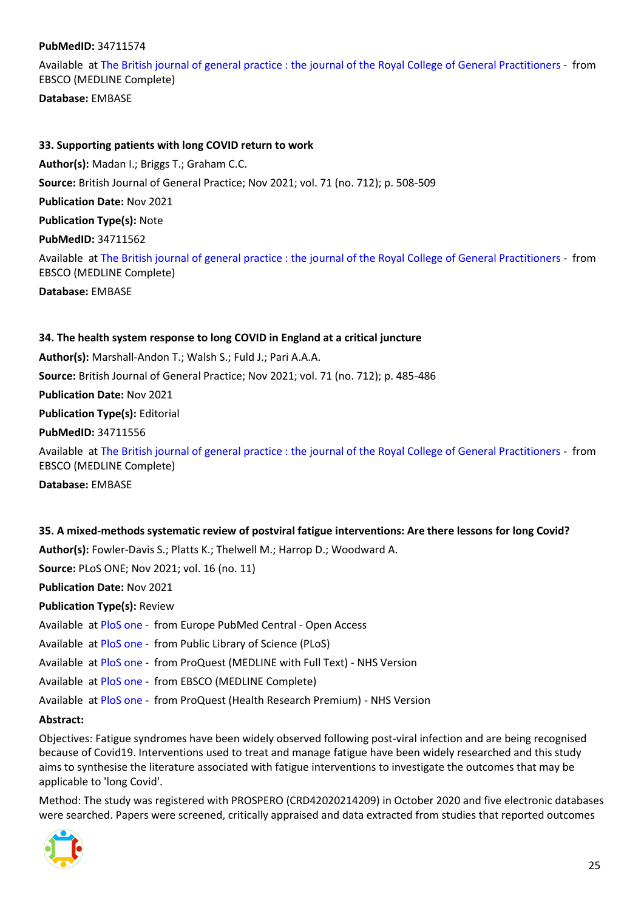#### **PubMedID:** 34711574

Available at [The British journal of general practice : the journal of the Royal College of General Practitioners](https://search.ebscohost.com/login.aspx?direct=true&scope=site&site=ehost-live&db=mdc&AN=34711574) - from EBSCO (MEDLINE Complete)

**Database:** EMBASE

#### <span id="page-24-0"></span>**33. Supporting patients with long COVID return to work**

**Author(s):** Madan I.; Briggs T.; Graham C.C.

**Source:** British Journal of General Practice; Nov 2021; vol. 71 (no. 712); p. 508-509

**Publication Date:** Nov 2021

**Publication Type(s):** Note

**PubMedID:** 34711562

Available at [The British journal of general practice : the journal of the Royal College of General Practitioners](https://search.ebscohost.com/login.aspx?direct=true&scope=site&site=ehost-live&db=mdc&AN=34711562) - from EBSCO (MEDLINE Complete)

**Database:** EMBASE

#### <span id="page-24-1"></span>**34. The health system response to long COVID in England at a critical juncture**

**Author(s):** Marshall-Andon T.; Walsh S.; Fuld J.; Pari A.A.A.

**Source:** British Journal of General Practice; Nov 2021; vol. 71 (no. 712); p. 485-486

**Publication Date:** Nov 2021

**Publication Type(s):** Editorial

**PubMedID:** 34711556

Available at [The British journal of general practice : the journal of the Royal College of General Practitioners](https://search.ebscohost.com/login.aspx?direct=true&scope=site&site=ehost-live&db=mdc&AN=34711556) - from EBSCO (MEDLINE Complete)

**Database:** EMBASE

#### <span id="page-24-2"></span>**35. A mixed-methods systematic review of postviral fatigue interventions: Are there lessons for long Covid?**

**Author(s):** Fowler-Davis S.; Platts K.; Thelwell M.; Harrop D.; Woodward A.

**Source:** PLoS ONE; Nov 2021; vol. 16 (no. 11)

**Publication Date:** Nov 2021

**Publication Type(s):** Review

Available at [PloS one](http://europepmc.org/search?query=(DOI:%2210.1371/journal.pone.0259533%22)) - from Europe PubMed Central - Open Access

Available at [PloS one](https://doi.org/10.1371/journal.pone.0259533) - from Public Library of Science (PLoS)

Available at [PloS one](https://gateway.proquest.com/openurl?ctx_ver=Z39.88-2004&res_id=xri:pqm&req_dat=xri:pqil:pq_clntid=48229&rft_val_fmt=ori/fmt:kev:mtx:journal&genre=article&issn=1932-6203&volume=16&issue=11&spage=e0259533&atitle=A+mixed-methods+systematic+review+of+post-viral+fatigue+interventions%3A+Are+there+lessons+for+long+Covid%3F) - from ProQuest (MEDLINE with Full Text) - NHS Version

Available at [PloS one](https://search.ebscohost.com/login.aspx?direct=true&scope=site&site=ehost-live&db=mdc&AN=34752489) - from EBSCO (MEDLINE Complete)

Available at [PloS one](https://gateway.proquest.com/openurl?ctx_ver=Z39.88-2004&res_id=xri:pqm&req_dat=xri:pqil:pq_clntid=48229&rft_val_fmt=ori/fmt:kev:mtx:journal&genre=article&issn=1932-6203&volume=16&issue=11&spage=e0259533&atitle=A+mixed-methods+systematic+review+of+post-viral+fatigue+interventions%3A+Are+there+lessons+for+long+Covid%3F) - from ProQuest (Health Research Premium) - NHS Version

#### **Abstract:**

Objectives: Fatigue syndromes have been widely observed following post-viral infection and are being recognised because of Covid19. Interventions used to treat and manage fatigue have been widely researched and this study aims to synthesise the literature associated with fatigue interventions to investigate the outcomes that may be applicable to 'long Covid'.

Method: The study was registered with PROSPERO (CRD42020214209) in October 2020 and five electronic databases were searched. Papers were screened, critically appraised and data extracted from studies that reported outcomes

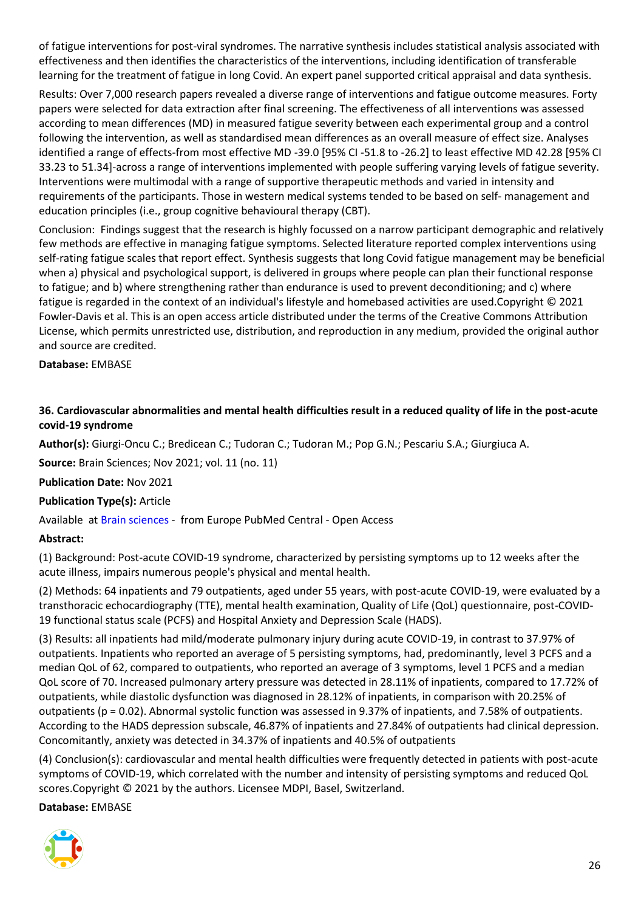of fatigue interventions for post-viral syndromes. The narrative synthesis includes statistical analysis associated with effectiveness and then identifies the characteristics of the interventions, including identification of transferable learning for the treatment of fatigue in long Covid. An expert panel supported critical appraisal and data synthesis.

Results: Over 7,000 research papers revealed a diverse range of interventions and fatigue outcome measures. Forty papers were selected for data extraction after final screening. The effectiveness of all interventions was assessed according to mean differences (MD) in measured fatigue severity between each experimental group and a control following the intervention, as well as standardised mean differences as an overall measure of effect size. Analyses identified a range of effects-from most effective MD -39.0 [95% CI -51.8 to -26.2] to least effective MD 42.28 [95% CI 33.23 to 51.34]-across a range of interventions implemented with people suffering varying levels of fatigue severity. Interventions were multimodal with a range of supportive therapeutic methods and varied in intensity and requirements of the participants. Those in western medical systems tended to be based on self- management and education principles (i.e., group cognitive behavioural therapy (CBT).

Conclusion: Findings suggest that the research is highly focussed on a narrow participant demographic and relatively few methods are effective in managing fatigue symptoms. Selected literature reported complex interventions using self-rating fatigue scales that report effect. Synthesis suggests that long Covid fatigue management may be beneficial when a) physical and psychological support, is delivered in groups where people can plan their functional response to fatigue; and b) where strengthening rather than endurance is used to prevent deconditioning; and c) where fatigue is regarded in the context of an individual's lifestyle and homebased activities are used.Copyright © 2021 Fowler-Davis et al. This is an open access article distributed under the terms of the Creative Commons Attribution License, which permits unrestricted use, distribution, and reproduction in any medium, provided the original author and source are credited.

#### **Database:** EMBASE

# <span id="page-25-0"></span>**36. Cardiovascular abnormalities and mental health difficulties result in a reduced quality of life in the post-acute covid-19 syndrome**

**Author(s):** Giurgi-Oncu C.; Bredicean C.; Tudoran C.; Tudoran M.; Pop G.N.; Pescariu S.A.; Giurgiuca A.

**Source:** Brain Sciences; Nov 2021; vol. 11 (no. 11)

**Publication Date:** Nov 2021

**Publication Type(s):** Article

Available at [Brain sciences](http://europepmc.org/search?query=(DOI:%2210.3390/brainsci11111456%22)) - from Europe PubMed Central - Open Access

#### **Abstract:**

(1) Background: Post-acute COVID-19 syndrome, characterized by persisting symptoms up to 12 weeks after the acute illness, impairs numerous people's physical and mental health.

(2) Methods: 64 inpatients and 79 outpatients, aged under 55 years, with post-acute COVID-19, were evaluated by a transthoracic echocardiography (TTE), mental health examination, Quality of Life (QoL) questionnaire, post-COVID-19 functional status scale (PCFS) and Hospital Anxiety and Depression Scale (HADS).

(3) Results: all inpatients had mild/moderate pulmonary injury during acute COVID-19, in contrast to 37.97% of outpatients. Inpatients who reported an average of 5 persisting symptoms, had, predominantly, level 3 PCFS and a median QoL of 62, compared to outpatients, who reported an average of 3 symptoms, level 1 PCFS and a median QoL score of 70. Increased pulmonary artery pressure was detected in 28.11% of inpatients, compared to 17.72% of outpatients, while diastolic dysfunction was diagnosed in 28.12% of inpatients, in comparison with 20.25% of outpatients (p = 0.02). Abnormal systolic function was assessed in 9.37% of inpatients, and 7.58% of outpatients. According to the HADS depression subscale, 46.87% of inpatients and 27.84% of outpatients had clinical depression. Concomitantly, anxiety was detected in 34.37% of inpatients and 40.5% of outpatients

(4) Conclusion(s): cardiovascular and mental health difficulties were frequently detected in patients with post-acute symptoms of COVID-19, which correlated with the number and intensity of persisting symptoms and reduced QoL scores.Copyright © 2021 by the authors. Licensee MDPI, Basel, Switzerland.

**Database:** EMBASE

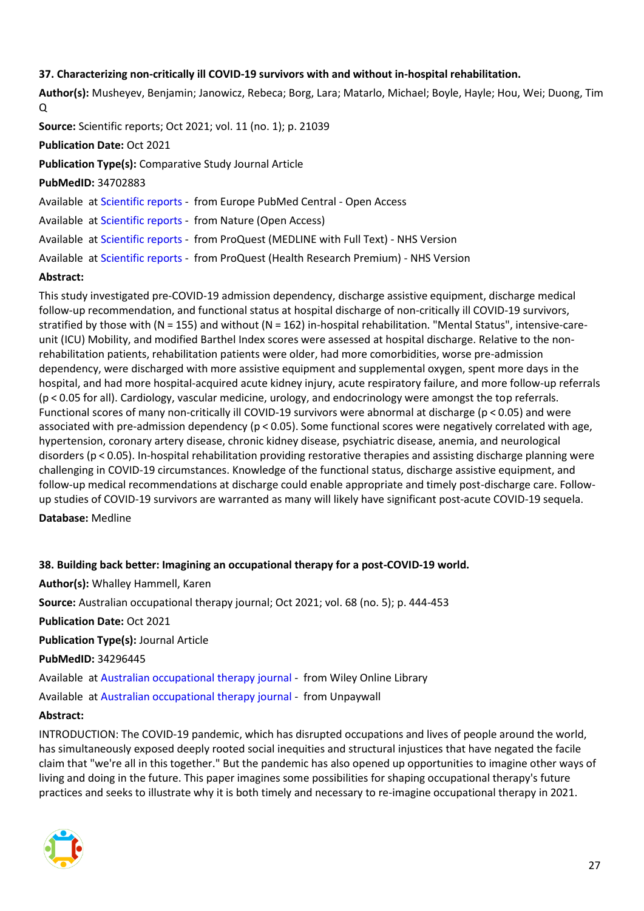#### <span id="page-26-0"></span>**37. Characterizing non-critically ill COVID-19 survivors with and without in-hospital rehabilitation.**

**Author(s):** Musheyev, Benjamin; Janowicz, Rebeca; Borg, Lara; Matarlo, Michael; Boyle, Hayle; Hou, Wei; Duong, Tim Q

**Source:** Scientific reports; Oct 2021; vol. 11 (no. 1); p. 21039

#### **Publication Date:** Oct 2021

**Publication Type(s):** Comparative Study Journal Article

**PubMedID:** 34702883

Available at [Scientific reports](http://europepmc.org/search?query=(DOI:%2210.1038/s41598-021-00246-1%22)) - from Europe PubMed Central - Open Access

Available at [Scientific reports](http://www.nature.com/articles/doi:10.1038/s41598-021-00246-1) - from Nature (Open Access)

Available at [Scientific reports](https://gateway.proquest.com/openurl?ctx_ver=Z39.88-2004&res_id=xri:pqm&req_dat=xri:pqil:pq_clntid=48229&rft_val_fmt=ori/fmt:kev:mtx:journal&genre=article&issn=2045-2322&volume=11&issue=1&spage=21039&atitle=Characterizing+non-critically+ill+COVID-19+survivors+with+and+without+in-hospital+rehabilitation) - from ProQuest (MEDLINE with Full Text) - NHS Version

Available at [Scientific reports](https://gateway.proquest.com/openurl?ctx_ver=Z39.88-2004&res_id=xri:pqm&req_dat=xri:pqil:pq_clntid=48229&rft_val_fmt=ori/fmt:kev:mtx:journal&genre=article&issn=2045-2322&volume=11&issue=1&spage=21039&atitle=Characterizing+non-critically+ill+COVID-19+survivors+with+and+without+in-hospital+rehabilitation) - from ProQuest (Health Research Premium) - NHS Version

#### **Abstract:**

This study investigated pre-COVID-19 admission dependency, discharge assistive equipment, discharge medical follow-up recommendation, and functional status at hospital discharge of non-critically ill COVID-19 survivors, stratified by those with (N = 155) and without (N = 162) in-hospital rehabilitation. "Mental Status", intensive-careunit (ICU) Mobility, and modified Barthel Index scores were assessed at hospital discharge. Relative to the nonrehabilitation patients, rehabilitation patients were older, had more comorbidities, worse pre-admission dependency, were discharged with more assistive equipment and supplemental oxygen, spent more days in the hospital, and had more hospital-acquired acute kidney injury, acute respiratory failure, and more follow-up referrals (p < 0.05 for all). Cardiology, vascular medicine, urology, and endocrinology were amongst the top referrals. Functional scores of many non-critically ill COVID-19 survivors were abnormal at discharge (p < 0.05) and were associated with pre-admission dependency (p < 0.05). Some functional scores were negatively correlated with age, hypertension, coronary artery disease, chronic kidney disease, psychiatric disease, anemia, and neurological disorders (p < 0.05). In-hospital rehabilitation providing restorative therapies and assisting discharge planning were challenging in COVID-19 circumstances. Knowledge of the functional status, discharge assistive equipment, and follow-up medical recommendations at discharge could enable appropriate and timely post-discharge care. Followup studies of COVID-19 survivors are warranted as many will likely have significant post-acute COVID-19 sequela.

**Database:** Medline

<span id="page-26-1"></span>**38. Building back better: Imagining an occupational therapy for a post-COVID-19 world. Author(s):** Whalley Hammell, Karen **Source:** Australian occupational therapy journal; Oct 2021; vol. 68 (no. 5); p. 444-453 **Publication Date:** Oct 2021 **Publication Type(s):** Journal Article **PubMedID:** 34296445 Available at [Australian occupational therapy journal](https://go.openathens.net/redirector/nhs?url=https%3A%2F%2Fonlinelibrary.wiley.com%2Fdoi%2Ffull%2F10.1111%2F1440-1630.12760) - from Wiley Online Library Available at [Australian occupational therapy journal](https://onlinelibrary.wiley.com/doi/pdfdirect/10.1111/1440-1630.12760) - from Unpaywall

#### **Abstract:**

INTRODUCTION: The COVID-19 pandemic, which has disrupted occupations and lives of people around the world, has simultaneously exposed deeply rooted social inequities and structural injustices that have negated the facile claim that "we're all in this together." But the pandemic has also opened up opportunities to imagine other ways of living and doing in the future. This paper imagines some possibilities for shaping occupational therapy's future practices and seeks to illustrate why it is both timely and necessary to re-imagine occupational therapy in 2021.

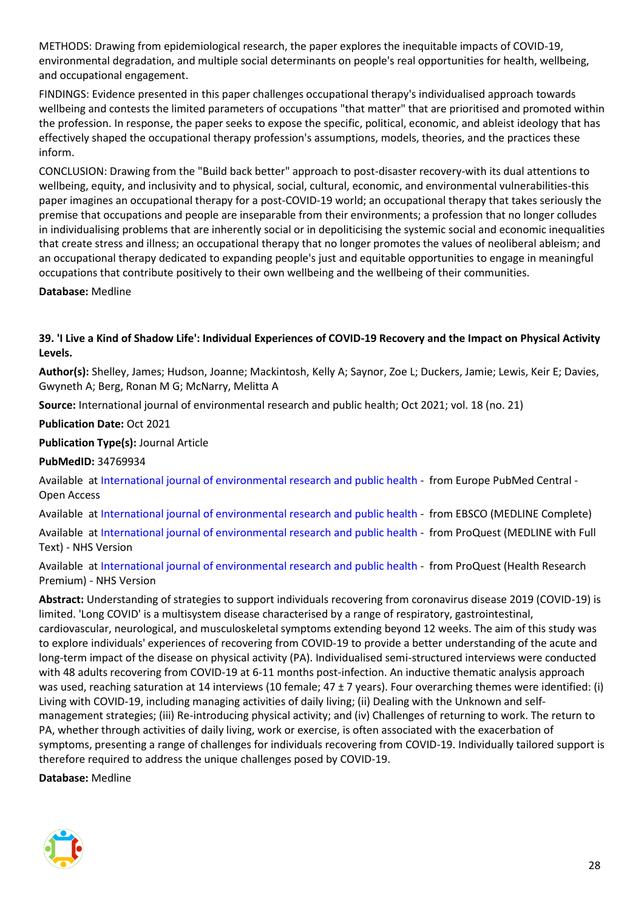METHODS: Drawing from epidemiological research, the paper explores the inequitable impacts of COVID-19, environmental degradation, and multiple social determinants on people's real opportunities for health, wellbeing, and occupational engagement.

FINDINGS: Evidence presented in this paper challenges occupational therapy's individualised approach towards wellbeing and contests the limited parameters of occupations "that matter" that are prioritised and promoted within the profession. In response, the paper seeks to expose the specific, political, economic, and ableist ideology that has effectively shaped the occupational therapy profession's assumptions, models, theories, and the practices these inform.

CONCLUSION: Drawing from the "Build back better" approach to post-disaster recovery-with its dual attentions to wellbeing, equity, and inclusivity and to physical, social, cultural, economic, and environmental vulnerabilities-this paper imagines an occupational therapy for a post-COVID-19 world; an occupational therapy that takes seriously the premise that occupations and people are inseparable from their environments; a profession that no longer colludes in individualising problems that are inherently social or in depoliticising the systemic social and economic inequalities that create stress and illness; an occupational therapy that no longer promotes the values of neoliberal ableism; and an occupational therapy dedicated to expanding people's just and equitable opportunities to engage in meaningful occupations that contribute positively to their own wellbeing and the wellbeing of their communities.

**Database:** Medline

# <span id="page-27-0"></span>**39. 'I Live a Kind of Shadow Life': Individual Experiences of COVID-19 Recovery and the Impact on Physical Activity Levels.**

**Author(s):** Shelley, James; Hudson, Joanne; Mackintosh, Kelly A; Saynor, Zoe L; Duckers, Jamie; Lewis, Keir E; Davies, Gwyneth A; Berg, Ronan M G; McNarry, Melitta A

**Source:** International journal of environmental research and public health; Oct 2021; vol. 18 (no. 21)

**Publication Date:** Oct 2021

**Publication Type(s):** Journal Article

**PubMedID:** 34769934

Available at [International journal of environmental research and public health](http://europepmc.org/search?query=(DOI:%2210.3390/ijerph182111417%22)) - from Europe PubMed Central - Open Access

Available at [International journal of environmental research and public health](https://search.ebscohost.com/login.aspx?direct=true&scope=site&site=ehost-live&db=mdc&AN=34769934) - from EBSCO (MEDLINE Complete)

Available at [International journal of environmental research and public health](https://gateway.proquest.com/openurl?ctx_ver=Z39.88-2004&res_id=xri:pqm&req_dat=xri:pqil:pq_clntid=48229&rft_val_fmt=ori/fmt:kev:mtx:journal&genre=article&issn=1661-7827&volume=18&issue=21&spage=11417&atitle=I+Live+a+Kind+of+Shadow+Life%3A+Individual+Experiences+of+COVID-19+Recovery+and+the+Impact+on+Physical+Activity+Levels) - from ProQuest (MEDLINE with Full Text) - NHS Version

Available at [International journal of environmental research and public health](https://gateway.proquest.com/openurl?ctx_ver=Z39.88-2004&res_id=xri:pqm&req_dat=xri:pqil:pq_clntid=48229&rft_val_fmt=ori/fmt:kev:mtx:journal&genre=article&issn=1661-7827&volume=18&issue=21&spage=11417&atitle=I+Live+a+Kind+of+Shadow+Life%3A+Individual+Experiences+of+COVID-19+Recovery+and+the+Impact+on+Physical+Activity+Levels) - from ProQuest (Health Research Premium) - NHS Version

**Abstract:** Understanding of strategies to support individuals recovering from coronavirus disease 2019 (COVID-19) is limited. 'Long COVID' is a multisystem disease characterised by a range of respiratory, gastrointestinal, cardiovascular, neurological, and musculoskeletal symptoms extending beyond 12 weeks. The aim of this study was to explore individuals' experiences of recovering from COVID-19 to provide a better understanding of the acute and long-term impact of the disease on physical activity (PA). Individualised semi-structured interviews were conducted with 48 adults recovering from COVID-19 at 6-11 months post-infection. An inductive thematic analysis approach was used, reaching saturation at 14 interviews (10 female;  $47 \pm 7$  years). Four overarching themes were identified: (i) Living with COVID-19, including managing activities of daily living; (ii) Dealing with the Unknown and selfmanagement strategies; (iii) Re-introducing physical activity; and (iv) Challenges of returning to work. The return to PA, whether through activities of daily living, work or exercise, is often associated with the exacerbation of symptoms, presenting a range of challenges for individuals recovering from COVID-19. Individually tailored support is therefore required to address the unique challenges posed by COVID-19.

**Database:** Medline

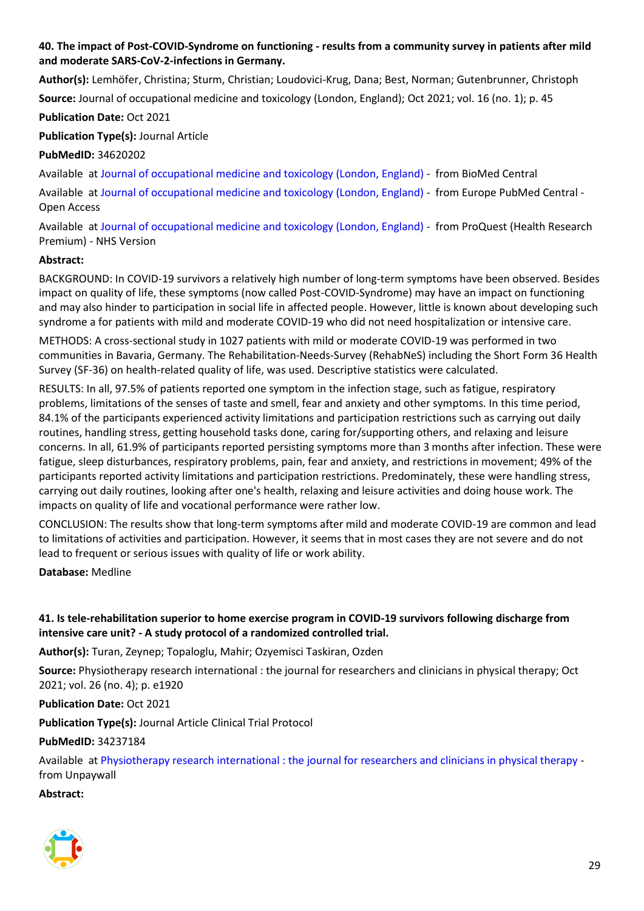# <span id="page-28-0"></span>**40. The impact of Post-COVID-Syndrome on functioning - results from a community survey in patients after mild and moderate SARS-CoV-2-infections in Germany.**

**Author(s):** Lemhöfer, Christina; Sturm, Christian; Loudovici-Krug, Dana; Best, Norman; Gutenbrunner, Christoph **Source:** Journal of occupational medicine and toxicology (London, England); Oct 2021; vol. 16 (no. 1); p. 45

**Publication Date:** Oct 2021

**Publication Type(s):** Journal Article

**PubMedID:** 34620202

Available at [Journal of occupational medicine and toxicology \(London, England\)](https://doi.org/10.1186/s12995-021-00337-9) - from BioMed Central

Available at [Journal of occupational medicine and toxicology \(London, England\)](http://europepmc.org/search?query=(DOI:%2210.1186/s12995-021-00337-9%22)) - from Europe PubMed Central - Open Access

Available at [Journal of occupational medicine and toxicology \(London, England\)](https://gateway.proquest.com/openurl?ctx_ver=Z39.88-2004&res_id=xri:pqm&req_dat=xri:pqil:pq_clntid=48229&rft_val_fmt=ori/fmt:kev:mtx:journal&genre=article&issn=1054-044X&volume=16&issue=1&spage=45&atitle=The+impact+of+Post-COVID-Syndrome+on+functioning+-+results+from+a+community+survey+in+patients+after+mild+and+moderate+SARS-CoV-2-infections+in+Germany) - from ProQuest (Health Research Premium) - NHS Version

# **Abstract:**

BACKGROUND: In COVID-19 survivors a relatively high number of long-term symptoms have been observed. Besides impact on quality of life, these symptoms (now called Post-COVID-Syndrome) may have an impact on functioning and may also hinder to participation in social life in affected people. However, little is known about developing such syndrome a for patients with mild and moderate COVID-19 who did not need hospitalization or intensive care.

METHODS: A cross-sectional study in 1027 patients with mild or moderate COVID-19 was performed in two communities in Bavaria, Germany. The Rehabilitation-Needs-Survey (RehabNeS) including the Short Form 36 Health Survey (SF-36) on health-related quality of life, was used. Descriptive statistics were calculated.

RESULTS: In all, 97.5% of patients reported one symptom in the infection stage, such as fatigue, respiratory problems, limitations of the senses of taste and smell, fear and anxiety and other symptoms. In this time period, 84.1% of the participants experienced activity limitations and participation restrictions such as carrying out daily routines, handling stress, getting household tasks done, caring for/supporting others, and relaxing and leisure concerns. In all, 61.9% of participants reported persisting symptoms more than 3 months after infection. These were fatigue, sleep disturbances, respiratory problems, pain, fear and anxiety, and restrictions in movement; 49% of the participants reported activity limitations and participation restrictions. Predominately, these were handling stress, carrying out daily routines, looking after one's health, relaxing and leisure activities and doing house work. The impacts on quality of life and vocational performance were rather low.

CONCLUSION: The results show that long-term symptoms after mild and moderate COVID-19 are common and lead to limitations of activities and participation. However, it seems that in most cases they are not severe and do not lead to frequent or serious issues with quality of life or work ability.

**Database:** Medline

# <span id="page-28-1"></span>**41. Is tele-rehabilitation superior to home exercise program in COVID-19 survivors following discharge from intensive care unit? - A study protocol of a randomized controlled trial.**

**Author(s):** Turan, Zeynep; Topaloglu, Mahir; Ozyemisci Taskiran, Ozden

**Source:** Physiotherapy research international : the journal for researchers and clinicians in physical therapy; Oct 2021; vol. 26 (no. 4); p. e1920

#### **Publication Date:** Oct 2021

**Publication Type(s):** Journal Article Clinical Trial Protocol

#### **PubMedID:** 34237184

Available at [Physiotherapy research international : the journal for researchers and clinicians in physical therapy](https://doi.org/10.1002/pri.1920) from Unpaywall

#### **Abstract:**

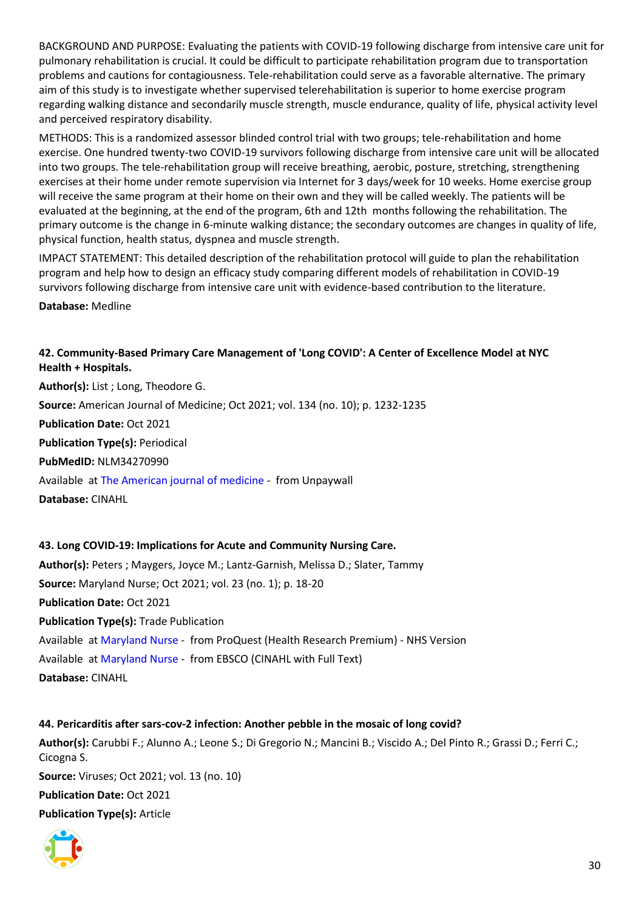BACKGROUND AND PURPOSE: Evaluating the patients with COVID-19 following discharge from intensive care unit for pulmonary rehabilitation is crucial. It could be difficult to participate rehabilitation program due to transportation problems and cautions for contagiousness. Tele-rehabilitation could serve as a favorable alternative. The primary aim of this study is to investigate whether supervised telerehabilitation is superior to home exercise program regarding walking distance and secondarily muscle strength, muscle endurance, quality of life, physical activity level and perceived respiratory disability.

METHODS: This is a randomized assessor blinded control trial with two groups; tele-rehabilitation and home exercise. One hundred twenty-two COVID-19 survivors following discharge from intensive care unit will be allocated into two groups. The tele-rehabilitation group will receive breathing, aerobic, posture, stretching, strengthening exercises at their home under remote supervision via Internet for 3 days/week for 10 weeks. Home exercise group will receive the same program at their home on their own and they will be called weekly. The patients will be evaluated at the beginning, at the end of the program, 6th and 12th months following the rehabilitation. The primary outcome is the change in 6-minute walking distance; the secondary outcomes are changes in quality of life, physical function, health status, dyspnea and muscle strength.

IMPACT STATEMENT: This detailed description of the rehabilitation protocol will guide to plan the rehabilitation program and help how to design an efficacy study comparing different models of rehabilitation in COVID-19 survivors following discharge from intensive care unit with evidence-based contribution to the literature.

**Database:** Medline

# <span id="page-29-0"></span>**42. Community-Based Primary Care Management of 'Long COVID': A Center of Excellence Model at NYC Health + Hospitals.**

**Author(s):** List ; Long, Theodore G. **Source:** American Journal of Medicine; Oct 2021; vol. 134 (no. 10); p. 1232-1235 **Publication Date:** Oct 2021 **Publication Type(s):** Periodical **PubMedID:** NLM34270990 Available at [The American journal of medicine](https://www.ncbi.nlm.nih.gov/pmc/articles/PMC8277950) - from Unpaywall **Database:** CINAHL

<span id="page-29-1"></span>**43. Long COVID-19: Implications for Acute and Community Nursing Care. Author(s):** Peters ; Maygers, Joyce M.; Lantz-Garnish, Melissa D.; Slater, Tammy **Source:** Maryland Nurse; Oct 2021; vol. 23 (no. 1); p. 18-20 **Publication Date:** Oct 2021 **Publication Type(s):** Trade Publication Available at [Maryland Nurse](https://gateway.proquest.com/openurl?ctx_ver=Z39.88-2004&res_id=xri:pqm&req_dat=xri:pqil:pq_clntid=48229&rft_val_fmt=ori/fmt:kev:mtx:journal&genre=article&issn=0047-6080&volume=23&issue=1&spage=18&atitle=Long+COVID-19%3A+Implications+for+Acute+and+Community+Nursing+Care) - from ProQuest (Health Research Premium) - NHS Version Available at [Maryland Nurse](https://openurl.ebsco.com/openurl?genre=article&issn=0047-6080&volume=23&issue=1&spage=18) - from EBSCO (CINAHL with Full Text) **Database:** CINAHL

<span id="page-29-2"></span>**44. Pericarditis after sars-cov-2 infection: Another pebble in the mosaic of long covid? Author(s):** Carubbi F.; Alunno A.; Leone S.; Di Gregorio N.; Mancini B.; Viscido A.; Del Pinto R.; Grassi D.; Ferri C.; Cicogna S. **Source:** Viruses; Oct 2021; vol. 13 (no. 10) **Publication Date:** Oct 2021 **Publication Type(s):** Article

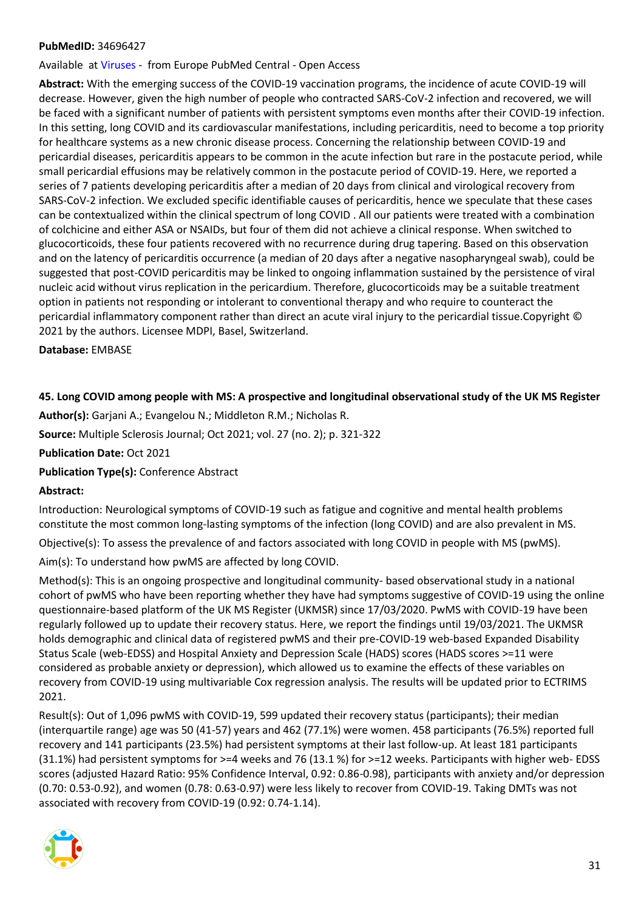#### **PubMedID:** 34696427

Available at [Viruses](http://europepmc.org/search?query=(DOI:%2210.3390/v13101997%22)) - from Europe PubMed Central - Open Access

**Abstract:** With the emerging success of the COVID-19 vaccination programs, the incidence of acute COVID-19 will decrease. However, given the high number of people who contracted SARS-CoV-2 infection and recovered, we will be faced with a significant number of patients with persistent symptoms even months after their COVID-19 infection. In this setting, long COVID and its cardiovascular manifestations, including pericarditis, need to become a top priority for healthcare systems as a new chronic disease process. Concerning the relationship between COVID-19 and pericardial diseases, pericarditis appears to be common in the acute infection but rare in the postacute period, while small pericardial effusions may be relatively common in the postacute period of COVID-19. Here, we reported a series of 7 patients developing pericarditis after a median of 20 days from clinical and virological recovery from SARS-CoV-2 infection. We excluded specific identifiable causes of pericarditis, hence we speculate that these cases can be contextualized within the clinical spectrum of long COVID . All our patients were treated with a combination of colchicine and either ASA or NSAIDs, but four of them did not achieve a clinical response. When switched to glucocorticoids, these four patients recovered with no recurrence during drug tapering. Based on this observation and on the latency of pericarditis occurrence (a median of 20 days after a negative nasopharyngeal swab), could be suggested that post-COVID pericarditis may be linked to ongoing inflammation sustained by the persistence of viral nucleic acid without virus replication in the pericardium. Therefore, glucocorticoids may be a suitable treatment option in patients not responding or intolerant to conventional therapy and who require to counteract the pericardial inflammatory component rather than direct an acute viral injury to the pericardial tissue.Copyright © 2021 by the authors. Licensee MDPI, Basel, Switzerland.

**Database:** EMBASE

#### <span id="page-30-0"></span>**45. Long COVID among people with MS: A prospective and longitudinal observational study of the UK MS Register**

**Author(s):** Garjani A.; Evangelou N.; Middleton R.M.; Nicholas R.

**Source:** Multiple Sclerosis Journal; Oct 2021; vol. 27 (no. 2); p. 321-322

**Publication Date:** Oct 2021

**Publication Type(s):** Conference Abstract

#### **Abstract:**

Introduction: Neurological symptoms of COVID-19 such as fatigue and cognitive and mental health problems constitute the most common long-lasting symptoms of the infection (long COVID) and are also prevalent in MS.

Objective(s): To assess the prevalence of and factors associated with long COVID in people with MS (pwMS).

Aim(s): To understand how pwMS are affected by long COVID.

Method(s): This is an ongoing prospective and longitudinal community- based observational study in a national cohort of pwMS who have been reporting whether they have had symptoms suggestive of COVID-19 using the online questionnaire-based platform of the UK MS Register (UKMSR) since 17/03/2020. PwMS with COVID-19 have been regularly followed up to update their recovery status. Here, we report the findings until 19/03/2021. The UKMSR holds demographic and clinical data of registered pwMS and their pre-COVID-19 web-based Expanded Disability Status Scale (web-EDSS) and Hospital Anxiety and Depression Scale (HADS) scores (HADS scores >=11 were considered as probable anxiety or depression), which allowed us to examine the effects of these variables on recovery from COVID-19 using multivariable Cox regression analysis. The results will be updated prior to ECTRIMS 2021.

Result(s): Out of 1,096 pwMS with COVID-19, 599 updated their recovery status (participants); their median (interquartile range) age was 50 (41-57) years and 462 (77.1%) were women. 458 participants (76.5%) reported full recovery and 141 participants (23.5%) had persistent symptoms at their last follow-up. At least 181 participants (31.1%) had persistent symptoms for >=4 weeks and 76 (13.1 %) for >=12 weeks. Participants with higher web- EDSS scores (adjusted Hazard Ratio: 95% Confidence Interval, 0.92: 0.86-0.98), participants with anxiety and/or depression (0.70: 0.53-0.92), and women (0.78: 0.63-0.97) were less likely to recover from COVID-19. Taking DMTs was not associated with recovery from COVID-19 (0.92: 0.74-1.14).

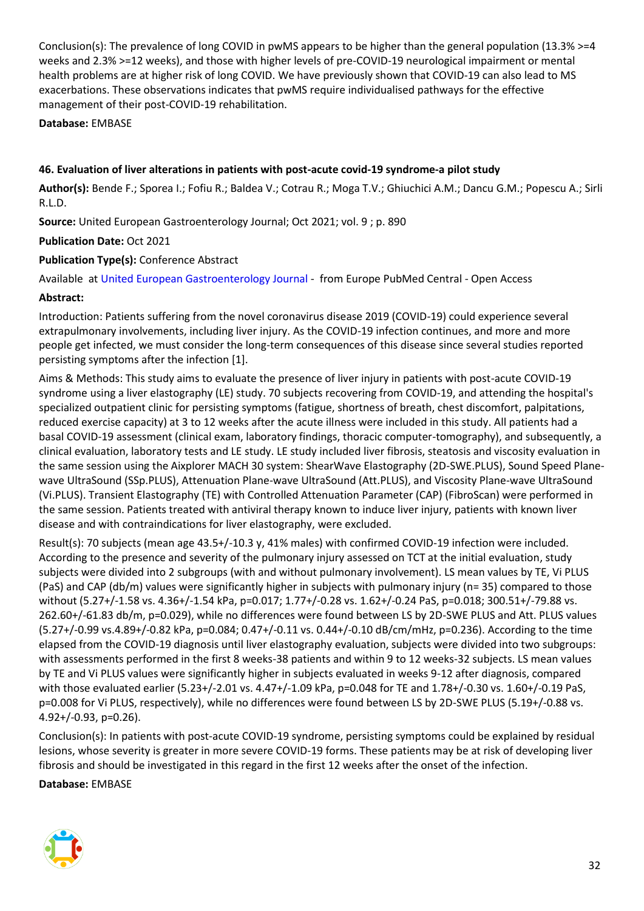Conclusion(s): The prevalence of long COVID in pwMS appears to be higher than the general population (13.3% >=4 weeks and 2.3% >=12 weeks), and those with higher levels of pre-COVID-19 neurological impairment or mental health problems are at higher risk of long COVID. We have previously shown that COVID-19 can also lead to MS exacerbations. These observations indicates that pwMS require individualised pathways for the effective management of their post-COVID-19 rehabilitation.

**Database:** EMBASE

#### <span id="page-31-0"></span>**46. Evaluation of liver alterations in patients with post-acute covid-19 syndrome-a pilot study**

**Author(s):** Bende F.; Sporea I.; Fofiu R.; Baldea V.; Cotrau R.; Moga T.V.; Ghiuchici A.M.; Dancu G.M.; Popescu A.; Sirli R.L.D.

**Source:** United European Gastroenterology Journal; Oct 2021; vol. 9 ; p. 890

#### **Publication Date:** Oct 2021

**Publication Type(s):** Conference Abstract

Available at [United European Gastroenterology Journal](http://europepmc.org/search?query=(DOI:%2210.1002/ueg2.12144%22)) - from Europe PubMed Central - Open Access

#### **Abstract:**

Introduction: Patients suffering from the novel coronavirus disease 2019 (COVID-19) could experience several extrapulmonary involvements, including liver injury. As the COVID-19 infection continues, and more and more people get infected, we must consider the long-term consequences of this disease since several studies reported persisting symptoms after the infection [1].

Aims & Methods: This study aims to evaluate the presence of liver injury in patients with post-acute COVID-19 syndrome using a liver elastography (LE) study. 70 subjects recovering from COVID-19, and attending the hospital's specialized outpatient clinic for persisting symptoms (fatigue, shortness of breath, chest discomfort, palpitations, reduced exercise capacity) at 3 to 12 weeks after the acute illness were included in this study. All patients had a basal COVID-19 assessment (clinical exam, laboratory findings, thoracic computer-tomography), and subsequently, a clinical evaluation, laboratory tests and LE study. LE study included liver fibrosis, steatosis and viscosity evaluation in the same session using the Aixplorer MACH 30 system: ShearWave Elastography (2D-SWE.PLUS), Sound Speed Planewave UltraSound (SSp.PLUS), Attenuation Plane-wave UltraSound (Att.PLUS), and Viscosity Plane-wave UltraSound (Vi.PLUS). Transient Elastography (TE) with Controlled Attenuation Parameter (CAP) (FibroScan) were performed in the same session. Patients treated with antiviral therapy known to induce liver injury, patients with known liver disease and with contraindications for liver elastography, were excluded.

Result(s): 70 subjects (mean age 43.5+/-10.3 y, 41% males) with confirmed COVID-19 infection were included. According to the presence and severity of the pulmonary injury assessed on TCT at the initial evaluation, study subjects were divided into 2 subgroups (with and without pulmonary involvement). LS mean values by TE, Vi PLUS (PaS) and CAP (db/m) values were significantly higher in subjects with pulmonary injury (n= 35) compared to those without (5.27+/-1.58 vs. 4.36+/-1.54 kPa, p=0.017; 1.77+/-0.28 vs. 1.62+/-0.24 PaS, p=0.018; 300.51+/-79.88 vs. 262.60+/-61.83 db/m, p=0.029), while no differences were found between LS by 2D-SWE PLUS and Att. PLUS values (5.27+/-0.99 vs.4.89+/-0.82 kPa, p=0.084; 0.47+/-0.11 vs. 0.44+/-0.10 dB/cm/mHz, p=0.236). According to the time elapsed from the COVID-19 diagnosis until liver elastography evaluation, subjects were divided into two subgroups: with assessments performed in the first 8 weeks-38 patients and within 9 to 12 weeks-32 subjects. LS mean values by TE and Vi PLUS values were significantly higher in subjects evaluated in weeks 9-12 after diagnosis, compared with those evaluated earlier (5.23+/-2.01 vs. 4.47+/-1.09 kPa, p=0.048 for TE and 1.78+/-0.30 vs. 1.60+/-0.19 PaS, p=0.008 for Vi PLUS, respectively), while no differences were found between LS by 2D-SWE PLUS (5.19+/-0.88 vs. 4.92+/-0.93, p=0.26).

Conclusion(s): In patients with post-acute COVID-19 syndrome, persisting symptoms could be explained by residual lesions, whose severity is greater in more severe COVID-19 forms. These patients may be at risk of developing liver fibrosis and should be investigated in this regard in the first 12 weeks after the onset of the infection.

**Database:** EMBASE

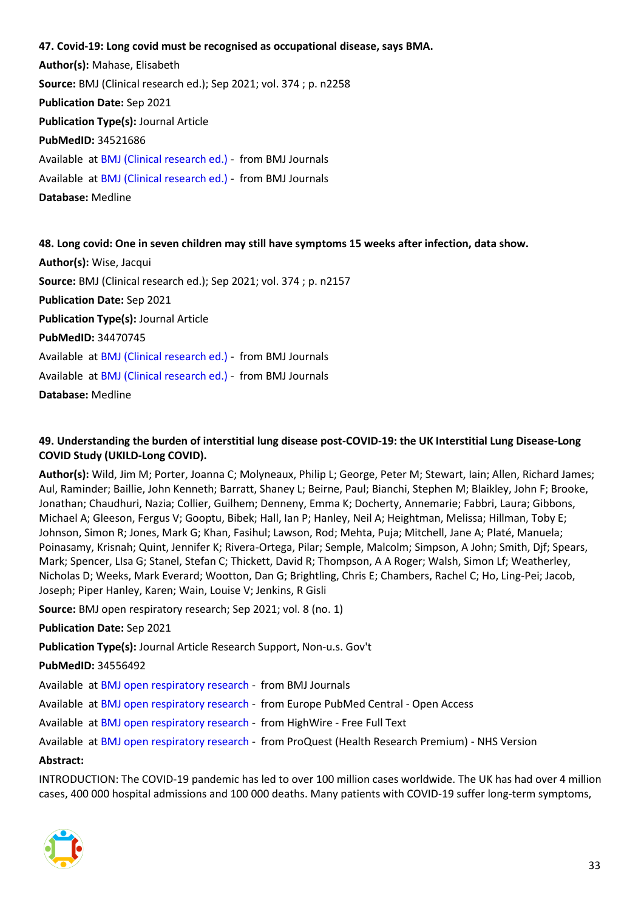<span id="page-32-0"></span>**47. Covid-19: Long covid must be recognised as occupational disease, says BMA. Author(s):** Mahase, Elisabeth **Source:** BMJ (Clinical research ed.); Sep 2021; vol. 374 ; p. n2258 **Publication Date:** Sep 2021 **Publication Type(s):** Journal Article **PubMedID:** 34521686 Available at [BMJ \(Clinical research ed.\)](https://go.openathens.net/redirector/nhs?url=https%3A%2F%2Fwww.bmj.com%2Flookup%2Fdoi%2F10.1136%2Fbmj.n2258) - from BMJ Journals Available at [BMJ \(Clinical research ed.\)](https://www.bmj.com/lookup/doi/10.1136/bmj.n2258) - from BMJ Journals **Database:** Medline

<span id="page-32-1"></span>**48. Long covid: One in seven children may still have symptoms 15 weeks after infection, data show. Author(s):** Wise, Jacqui **Source:** BMJ (Clinical research ed.); Sep 2021; vol. 374 ; p. n2157 **Publication Date:** Sep 2021 **Publication Type(s):** Journal Article **PubMedID:** 34470745 Available at [BMJ \(Clinical research ed.\)](https://go.openathens.net/redirector/nhs?url=https%3A%2F%2Fwww.bmj.com%2Flookup%2Fdoi%2F10.1136%2Fbmj.n2157) - from BMJ Journals Available at [BMJ \(Clinical research ed.\)](https://www.bmj.com/lookup/doi/10.1136/bmj.n2157) - from BMJ Journals **Database:** Medline

# <span id="page-32-2"></span>**49. Understanding the burden of interstitial lung disease post-COVID-19: the UK Interstitial Lung Disease-Long COVID Study (UKILD-Long COVID).**

**Author(s):** Wild, Jim M; Porter, Joanna C; Molyneaux, Philip L; George, Peter M; Stewart, Iain; Allen, Richard James; Aul, Raminder; Baillie, John Kenneth; Barratt, Shaney L; Beirne, Paul; Bianchi, Stephen M; Blaikley, John F; Brooke, Jonathan; Chaudhuri, Nazia; Collier, Guilhem; Denneny, Emma K; Docherty, Annemarie; Fabbri, Laura; Gibbons, Michael A; Gleeson, Fergus V; Gooptu, Bibek; Hall, Ian P; Hanley, Neil A; Heightman, Melissa; Hillman, Toby E; Johnson, Simon R; Jones, Mark G; Khan, Fasihul; Lawson, Rod; Mehta, Puja; Mitchell, Jane A; Platé, Manuela; Poinasamy, Krisnah; Quint, Jennifer K; Rivera-Ortega, Pilar; Semple, Malcolm; Simpson, A John; Smith, Djf; Spears, Mark; Spencer, LIsa G; Stanel, Stefan C; Thickett, David R; Thompson, A A Roger; Walsh, Simon Lf; Weatherley, Nicholas D; Weeks, Mark Everard; Wootton, Dan G; Brightling, Chris E; Chambers, Rachel C; Ho, Ling-Pei; Jacob, Joseph; Piper Hanley, Karen; Wain, Louise V; Jenkins, R Gisli

**Source:** BMJ open respiratory research; Sep 2021; vol. 8 (no. 1)

**Publication Date:** Sep 2021

**Publication Type(s):** Journal Article Research Support, Non-u.s. Gov't

#### **PubMedID:** 34556492

Available at [BMJ open respiratory research](https://bmjopenrespres.bmj.com/lookup/doi/10.1136/bmjresp-2021-001049) - from BMJ Journals

Available at [BMJ open respiratory research](http://europepmc.org/search?query=(DOI:%2210.1136/bmjresp-2021-001049%22)) - from Europe PubMed Central - Open Access

Available at [BMJ open respiratory research](https://doi.org/10.1136/bmjresp-2021-001049) - from HighWire - Free Full Text

Available at BMJ [open respiratory research](https://gateway.proquest.com/openurl?ctx_ver=Z39.88-2004&res_id=xri:pqm&req_dat=xri:pqil:pq_clntid=48229&rft_val_fmt=ori/fmt:kev:mtx:journal&genre=article&issn=2052-4439&volume=8&issue=1&spage=e001049&atitle=Understanding+the+burden+of+interstitial+lung+disease+post-COVID-19%3A+the+UK+Interstitial+Lung+Disease-Long+COVID+Study+(UKILD-Long+COVID)) - from ProQuest (Health Research Premium) - NHS Version

#### **Abstract:**

INTRODUCTION: The COVID-19 pandemic has led to over 100 million cases worldwide. The UK has had over 4 million cases, 400 000 hospital admissions and 100 000 deaths. Many patients with COVID-19 suffer long-term symptoms,

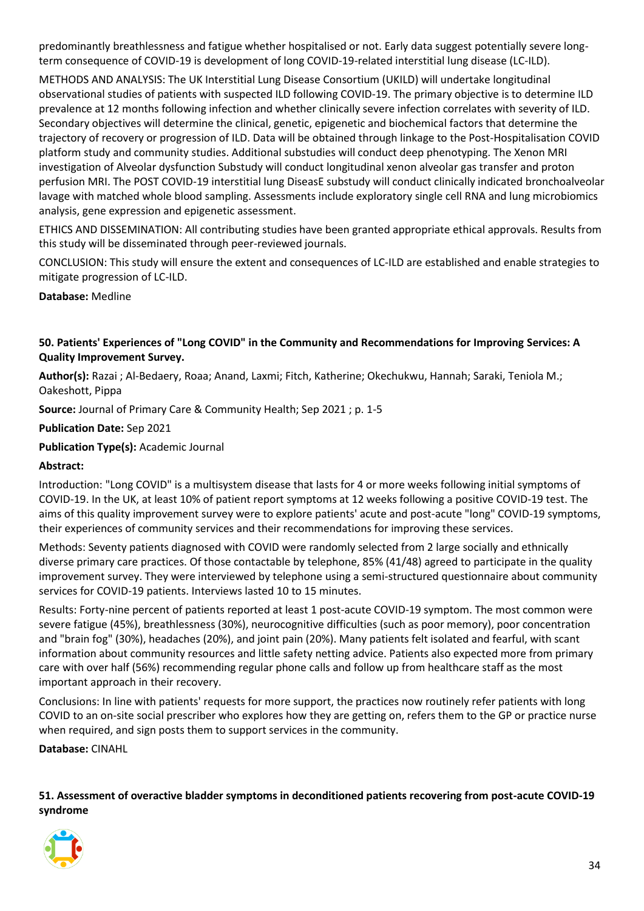predominantly breathlessness and fatigue whether hospitalised or not. Early data suggest potentially severe longterm consequence of COVID-19 is development of long COVID-19-related interstitial lung disease (LC-ILD).

METHODS AND ANALYSIS: The UK Interstitial Lung Disease Consortium (UKILD) will undertake longitudinal observational studies of patients with suspected ILD following COVID-19. The primary objective is to determine ILD prevalence at 12 months following infection and whether clinically severe infection correlates with severity of ILD. Secondary objectives will determine the clinical, genetic, epigenetic and biochemical factors that determine the trajectory of recovery or progression of ILD. Data will be obtained through linkage to the Post-Hospitalisation COVID platform study and community studies. Additional substudies will conduct deep phenotyping. The Xenon MRI investigation of Alveolar dysfunction Substudy will conduct longitudinal xenon alveolar gas transfer and proton perfusion MRI. The POST COVID-19 interstitial lung DiseasE substudy will conduct clinically indicated bronchoalveolar lavage with matched whole blood sampling. Assessments include exploratory single cell RNA and lung microbiomics analysis, gene expression and epigenetic assessment.

ETHICS AND DISSEMINATION: All contributing studies have been granted appropriate ethical approvals. Results from this study will be disseminated through peer-reviewed journals.

CONCLUSION: This study will ensure the extent and consequences of LC-ILD are established and enable strategies to mitigate progression of LC-ILD.

**Database:** Medline

#### <span id="page-33-0"></span>**50. Patients' Experiences of "Long COVID" in the Community and Recommendations for Improving Services: A Quality Improvement Survey.**

**Author(s):** Razai ; Al-Bedaery, Roaa; Anand, Laxmi; Fitch, Katherine; Okechukwu, Hannah; Saraki, Teniola M.; Oakeshott, Pippa

**Source:** Journal of Primary Care & Community Health; Sep 2021 ; p. 1-5

**Publication Date:** Sep 2021

**Publication Type(s):** Academic Journal

#### **Abstract:**

Introduction: "Long COVID" is a multisystem disease that lasts for 4 or more weeks following initial symptoms of COVID-19. In the UK, at least 10% of patient report symptoms at 12 weeks following a positive COVID-19 test. The aims of this quality improvement survey were to explore patients' acute and post-acute "long" COVID-19 symptoms, their experiences of community services and their recommendations for improving these services.

Methods: Seventy patients diagnosed with COVID were randomly selected from 2 large socially and ethnically diverse primary care practices. Of those contactable by telephone, 85% (41/48) agreed to participate in the quality improvement survey. They were interviewed by telephone using a semi-structured questionnaire about community services for COVID-19 patients. Interviews lasted 10 to 15 minutes.

Results: Forty-nine percent of patients reported at least 1 post-acute COVID-19 symptom. The most common were severe fatigue (45%), breathlessness (30%), neurocognitive difficulties (such as poor memory), poor concentration and "brain fog" (30%), headaches (20%), and joint pain (20%). Many patients felt isolated and fearful, with scant information about community resources and little safety netting advice. Patients also expected more from primary care with over half (56%) recommending regular phone calls and follow up from healthcare staff as the most important approach in their recovery.

Conclusions: In line with patients' requests for more support, the practices now routinely refer patients with long COVID to an on-site social prescriber who explores how they are getting on, refers them to the GP or practice nurse when required, and sign posts them to support services in the community.

**Database:** CINAHL

<span id="page-33-1"></span>**51. Assessment of overactive bladder symptoms in deconditioned patients recovering from post-acute COVID-19 syndrome**

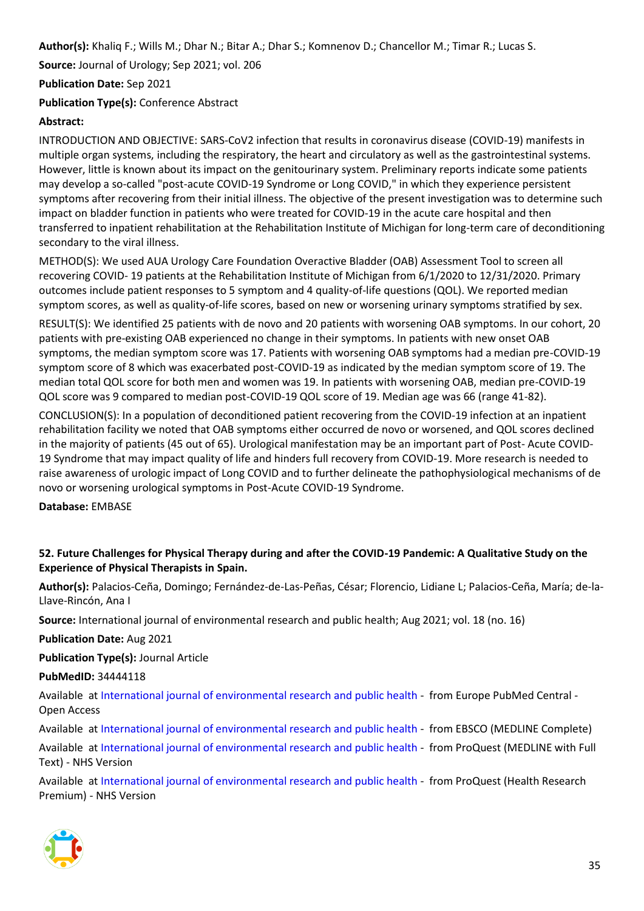**Author(s):** Khaliq F.; Wills M.; Dhar N.; Bitar A.; Dhar S.; Komnenov D.; Chancellor M.; Timar R.; Lucas S.

**Source:** Journal of Urology; Sep 2021; vol. 206

**Publication Date:** Sep 2021

**Publication Type(s):** Conference Abstract

# **Abstract:**

INTRODUCTION AND OBJECTIVE: SARS-CoV2 infection that results in coronavirus disease (COVID-19) manifests in multiple organ systems, including the respiratory, the heart and circulatory as well as the gastrointestinal systems. However, little is known about its impact on the genitourinary system. Preliminary reports indicate some patients may develop a so-called "post-acute COVID-19 Syndrome or Long COVID," in which they experience persistent symptoms after recovering from their initial illness. The objective of the present investigation was to determine such impact on bladder function in patients who were treated for COVID-19 in the acute care hospital and then transferred to inpatient rehabilitation at the Rehabilitation Institute of Michigan for long-term care of deconditioning secondary to the viral illness.

METHOD(S): We used AUA Urology Care Foundation Overactive Bladder (OAB) Assessment Tool to screen all recovering COVID- 19 patients at the Rehabilitation Institute of Michigan from 6/1/2020 to 12/31/2020. Primary outcomes include patient responses to 5 symptom and 4 quality-of-life questions (QOL). We reported median symptom scores, as well as quality-of-life scores, based on new or worsening urinary symptoms stratified by sex.

RESULT(S): We identified 25 patients with de novo and 20 patients with worsening OAB symptoms. In our cohort, 20 patients with pre-existing OAB experienced no change in their symptoms. In patients with new onset OAB symptoms, the median symptom score was 17. Patients with worsening OAB symptoms had a median pre-COVID-19 symptom score of 8 which was exacerbated post-COVID-19 as indicated by the median symptom score of 19. The median total QOL score for both men and women was 19. In patients with worsening OAB, median pre-COVID-19 QOL score was 9 compared to median post-COVID-19 QOL score of 19. Median age was 66 (range 41-82).

CONCLUSION(S): In a population of deconditioned patient recovering from the COVID-19 infection at an inpatient rehabilitation facility we noted that OAB symptoms either occurred de novo or worsened, and QOL scores declined in the majority of patients (45 out of 65). Urological manifestation may be an important part of Post- Acute COVID-19 Syndrome that may impact quality of life and hinders full recovery from COVID-19. More research is needed to raise awareness of urologic impact of Long COVID and to further delineate the pathophysiological mechanisms of de novo or worsening urological symptoms in Post-Acute COVID-19 Syndrome.

**Database:** EMBASE

#### <span id="page-34-0"></span>**52. Future Challenges for Physical Therapy during and after the COVID-19 Pandemic: A Qualitative Study on the Experience of Physical Therapists in Spain.**

**Author(s):** Palacios-Ceña, Domingo; Fernández-de-Las-Peñas, César; Florencio, Lidiane L; Palacios-Ceña, María; de-la-Llave-Rincón, Ana I

**Source:** International journal of environmental research and public health; Aug 2021; vol. 18 (no. 16)

**Publication Date:** Aug 2021

**Publication Type(s):** Journal Article

**PubMedID:** 34444118

Available at [International journal of environmental research and public health](http://europepmc.org/search?query=(DOI:%2210.3390/ijerph18168368%22)) - from Europe PubMed Central - Open Access

Available at [International journal of environmental research and public health](https://search.ebscohost.com/login.aspx?direct=true&scope=site&site=ehost-live&db=mdc&AN=34444118) - from EBSCO (MEDLINE Complete)

Available at [International journal of environmental research and public health](https://gateway.proquest.com/openurl?ctx_ver=Z39.88-2004&res_id=xri:pqm&req_dat=xri:pqil:pq_clntid=48229&rft_val_fmt=ori/fmt:kev:mtx:journal&genre=article&issn=1661-7827&volume=18&issue=16&spage=8368&atitle=Future+Challenges+for+Physical+Therapy+during+and+after+the+COVID-19+Pandemic%3A+A+Qualitative+Study+on+the+Experience+of+Physical+Therapists+in+Spain) - from ProQuest (MEDLINE with Full Text) - NHS Version

Available at [International journal of environmental research and public health](https://gateway.proquest.com/openurl?ctx_ver=Z39.88-2004&res_id=xri:pqm&req_dat=xri:pqil:pq_clntid=48229&rft_val_fmt=ori/fmt:kev:mtx:journal&genre=article&issn=1661-7827&volume=18&issue=16&spage=8368&atitle=Future+Challenges+for+Physical+Therapy+during+and+after+the+COVID-19+Pandemic%3A+A+Qualitative+Study+on+the+Experience+of+Physical+Therapists+in+Spain) - from ProQuest (Health Research Premium) - NHS Version

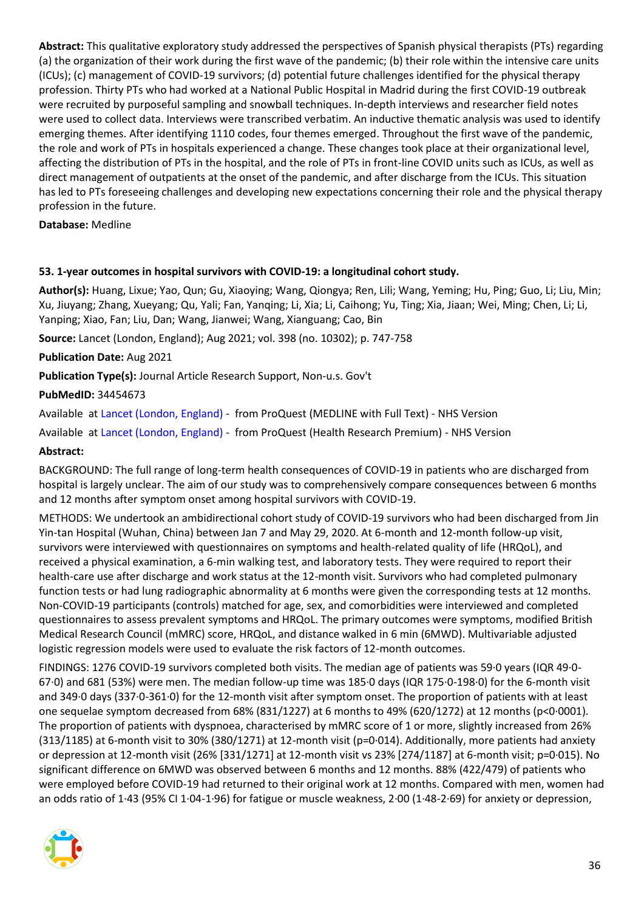**Abstract:** This qualitative exploratory study addressed the perspectives of Spanish physical therapists (PTs) regarding (a) the organization of their work during the first wave of the pandemic; (b) their role within the intensive care units (ICUs); (c) management of COVID-19 survivors; (d) potential future challenges identified for the physical therapy profession. Thirty PTs who had worked at a National Public Hospital in Madrid during the first COVID-19 outbreak were recruited by purposeful sampling and snowball techniques. In-depth interviews and researcher field notes were used to collect data. Interviews were transcribed verbatim. An inductive thematic analysis was used to identify emerging themes. After identifying 1110 codes, four themes emerged. Throughout the first wave of the pandemic, the role and work of PTs in hospitals experienced a change. These changes took place at their organizational level, affecting the distribution of PTs in the hospital, and the role of PTs in front-line COVID units such as ICUs, as well as direct management of outpatients at the onset of the pandemic, and after discharge from the ICUs. This situation has led to PTs foreseeing challenges and developing new expectations concerning their role and the physical therapy profession in the future.

#### **Database:** Medline

#### <span id="page-35-0"></span>**53. 1-year outcomes in hospital survivors with COVID-19: a longitudinal cohort study.**

**Author(s):** Huang, Lixue; Yao, Qun; Gu, Xiaoying; Wang, Qiongya; Ren, Lili; Wang, Yeming; Hu, Ping; Guo, Li; Liu, Min; Xu, Jiuyang; Zhang, Xueyang; Qu, Yali; Fan, Yanqing; Li, Xia; Li, Caihong; Yu, Ting; Xia, Jiaan; Wei, Ming; Chen, Li; Li, Yanping; Xiao, Fan; Liu, Dan; Wang, Jianwei; Wang, Xianguang; Cao, Bin

**Source:** Lancet (London, England); Aug 2021; vol. 398 (no. 10302); p. 747-758

**Publication Date:** Aug 2021

**Publication Type(s):** Journal Article Research Support, Non-u.s. Gov't

#### **PubMedID:** 34454673

Available at [Lancet \(London, England\)](https://gateway.proquest.com/openurl?ctx_ver=Z39.88-2004&res_id=xri:pqm&req_dat=xri:pqil:pq_clntid=48229&rft_val_fmt=ori/fmt:kev:mtx:journal&genre=article&issn=0140-6736&volume=398&issue=10302&spage=747&atitle=1-year+outcomes+in+hospital+survivors+with+COVID-19%3A+a+longitudinal+cohort+study) - from ProQuest (MEDLINE with Full Text) - NHS Version

Available at [Lancet \(London, England\)](https://gateway.proquest.com/openurl?ctx_ver=Z39.88-2004&res_id=xri:pqm&req_dat=xri:pqil:pq_clntid=48229&rft_val_fmt=ori/fmt:kev:mtx:journal&genre=article&issn=0140-6736&volume=398&issue=10302&spage=747&atitle=1-year+outcomes+in+hospital+survivors+with+COVID-19%3A+a+longitudinal+cohort+study) - from ProQuest (Health Research Premium) - NHS Version

#### **Abstract:**

BACKGROUND: The full range of long-term health consequences of COVID-19 in patients who are discharged from hospital is largely unclear. The aim of our study was to comprehensively compare consequences between 6 months and 12 months after symptom onset among hospital survivors with COVID-19.

METHODS: We undertook an ambidirectional cohort study of COVID-19 survivors who had been discharged from Jin Yin-tan Hospital (Wuhan, China) between Jan 7 and May 29, 2020. At 6-month and 12-month follow-up visit, survivors were interviewed with questionnaires on symptoms and health-related quality of life (HRQoL), and received a physical examination, a 6-min walking test, and laboratory tests. They were required to report their health-care use after discharge and work status at the 12-month visit. Survivors who had completed pulmonary function tests or had lung radiographic abnormality at 6 months were given the corresponding tests at 12 months. Non-COVID-19 participants (controls) matched for age, sex, and comorbidities were interviewed and completed questionnaires to assess prevalent symptoms and HRQoL. The primary outcomes were symptoms, modified British Medical Research Council (mMRC) score, HRQoL, and distance walked in 6 min (6MWD). Multivariable adjusted logistic regression models were used to evaluate the risk factors of 12-month outcomes.

FINDINGS: 1276 COVID-19 survivors completed both visits. The median age of patients was 59·0 years (IQR 49·0- 67·0) and 681 (53%) were men. The median follow-up time was 185·0 days (IQR 175·0-198·0) for the 6-month visit and 349·0 days (337·0-361·0) for the 12-month visit after symptom onset. The proportion of patients with at least one sequelae symptom decreased from 68% (831/1227) at 6 months to 49% (620/1272) at 12 months (p<0·0001). The proportion of patients with dyspnoea, characterised by mMRC score of 1 or more, slightly increased from 26%  $(313/1185)$  at 6-month visit to 30%  $(380/1271)$  at 12-month visit (p=0·014). Additionally, more patients had anxiety or depression at 12-month visit (26% [331/1271] at 12-month visit vs 23% [274/1187] at 6-month visit; p=0·015). No significant difference on 6MWD was observed between 6 months and 12 months. 88% (422/479) of patients who were employed before COVID-19 had returned to their original work at 12 months. Compared with men, women had an odds ratio of 1·43 (95% CI 1·04-1·96) for fatigue or muscle weakness, 2·00 (1·48-2·69) for anxiety or depression,

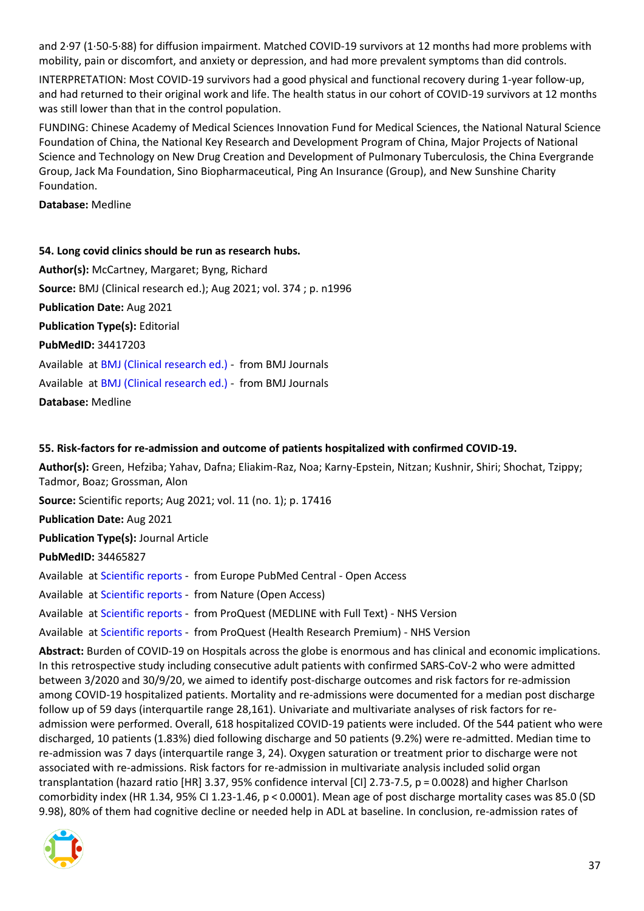and 2·97 (1·50-5·88) for diffusion impairment. Matched COVID-19 survivors at 12 months had more problems with mobility, pain or discomfort, and anxiety or depression, and had more prevalent symptoms than did controls.

INTERPRETATION: Most COVID-19 survivors had a good physical and functional recovery during 1-year follow-up, and had returned to their original work and life. The health status in our cohort of COVID-19 survivors at 12 months was still lower than that in the control population.

FUNDING: Chinese Academy of Medical Sciences Innovation Fund for Medical Sciences, the National Natural Science Foundation of China, the National Key Research and Development Program of China, Major Projects of National Science and Technology on New Drug Creation and Development of Pulmonary Tuberculosis, the China Evergrande Group, Jack Ma Foundation, Sino Biopharmaceutical, Ping An Insurance (Group), and New Sunshine Charity Foundation.

**Database:** Medline

#### <span id="page-36-0"></span>**54. Long covid clinics should be run as research hubs.**

**Author(s):** McCartney, Margaret; Byng, Richard **Source:** BMJ (Clinical research ed.); Aug 2021; vol. 374 ; p. n1996 **Publication Date:** Aug 2021 **Publication Type(s):** Editorial **PubMedID:** 34417203 Available at [BMJ \(Clinical research ed.\)](https://go.openathens.net/redirector/nhs?url=https%3A%2F%2Fwww.bmj.com%2Flookup%2Fdoi%2F10.1136%2Fbmj.n1996) - from BMJ Journals Available at [BMJ \(Clinical research ed.\)](https://www.bmj.com/lookup/doi/10.1136/bmj.n1996) - from BMJ Journals **Database:** Medline

#### <span id="page-36-1"></span>**55. Risk-factors for re-admission and outcome of patients hospitalized with confirmed COVID-19.**

**Author(s):** Green, Hefziba; Yahav, Dafna; Eliakim-Raz, Noa; Karny-Epstein, Nitzan; Kushnir, Shiri; Shochat, Tzippy; Tadmor, Boaz; Grossman, Alon

**Source:** Scientific reports; Aug 2021; vol. 11 (no. 1); p. 17416

**Publication Date:** Aug 2021

**Publication Type(s):** Journal Article

**PubMedID:** 34465827

Available at [Scientific reports](http://europepmc.org/search?query=(DOI:%2210.1038/s41598-021-96716-7%22)) - from Europe PubMed Central - Open Access

Available at [Scientific reports](http://www.nature.com/articles/doi:10.1038/s41598-021-96716-7) - from Nature (Open Access)

Available at [Scientific reports](https://gateway.proquest.com/openurl?ctx_ver=Z39.88-2004&res_id=xri:pqm&req_dat=xri:pqil:pq_clntid=48229&rft_val_fmt=ori/fmt:kev:mtx:journal&genre=article&issn=2045-2322&volume=11&issue=1&spage=17416&atitle=Risk-factors+for+re-admission+and+outcome+of+patients+hospitalized+with+confirmed+COVID-19) - from ProQuest (MEDLINE with Full Text) - NHS Version

Available at [Scientific reports](https://gateway.proquest.com/openurl?ctx_ver=Z39.88-2004&res_id=xri:pqm&req_dat=xri:pqil:pq_clntid=48229&rft_val_fmt=ori/fmt:kev:mtx:journal&genre=article&issn=2045-2322&volume=11&issue=1&spage=17416&atitle=Risk-factors+for+re-admission+and+outcome+of+patients+hospitalized+with+confirmed+COVID-19) - from ProQuest (Health Research Premium) - NHS Version

**Abstract:** Burden of COVID-19 on Hospitals across the globe is enormous and has clinical and economic implications. In this retrospective study including consecutive adult patients with confirmed SARS-CoV-2 who were admitted between 3/2020 and 30/9/20, we aimed to identify post-discharge outcomes and risk factors for re-admission among COVID-19 hospitalized patients. Mortality and re-admissions were documented for a median post discharge follow up of 59 days (interquartile range 28,161). Univariate and multivariate analyses of risk factors for readmission were performed. Overall, 618 hospitalized COVID-19 patients were included. Of the 544 patient who were discharged, 10 patients (1.83%) died following discharge and 50 patients (9.2%) were re-admitted. Median time to re-admission was 7 days (interquartile range 3, 24). Oxygen saturation or treatment prior to discharge were not associated with re-admissions. Risk factors for re-admission in multivariate analysis included solid organ transplantation (hazard ratio [HR] 3.37, 95% confidence interval [CI] 2.73-7.5, p = 0.0028) and higher Charlson comorbidity index (HR 1.34, 95% CI 1.23-1.46, p < 0.0001). Mean age of post discharge mortality cases was 85.0 (SD 9.98), 80% of them had cognitive decline or needed help in ADL at baseline. In conclusion, re-admission rates of

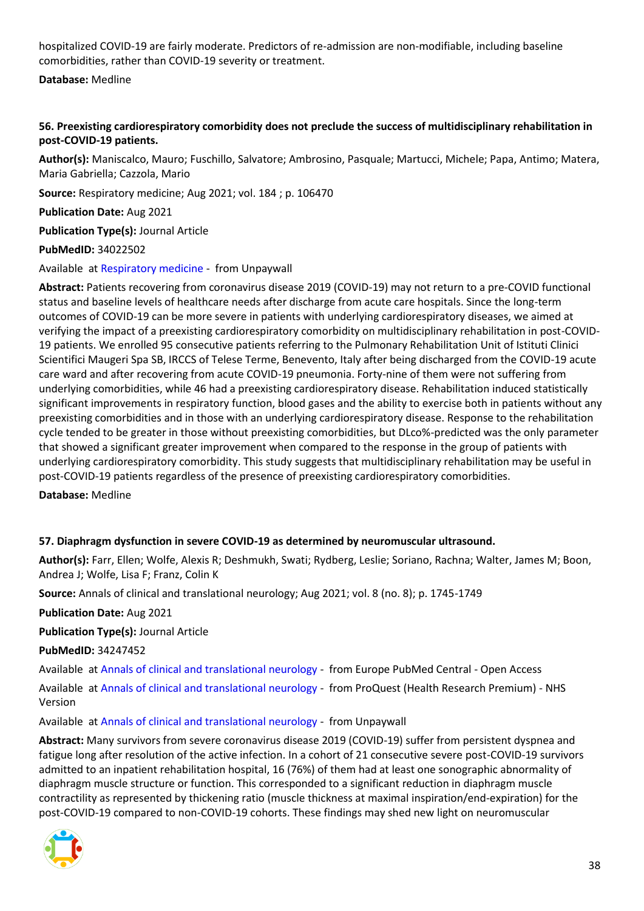hospitalized COVID-19 are fairly moderate. Predictors of re-admission are non-modifiable, including baseline comorbidities, rather than COVID-19 severity or treatment.

**Database:** Medline

# <span id="page-37-0"></span>**56. Preexisting cardiorespiratory comorbidity does not preclude the success of multidisciplinary rehabilitation in post-COVID-19 patients.**

**Author(s):** Maniscalco, Mauro; Fuschillo, Salvatore; Ambrosino, Pasquale; Martucci, Michele; Papa, Antimo; Matera, Maria Gabriella; Cazzola, Mario

**Source:** Respiratory medicine; Aug 2021; vol. 184 ; p. 106470

**Publication Date:** Aug 2021

**Publication Type(s):** Journal Article

**PubMedID:** 34022502

Available at [Respiratory medicine](https://www.ncbi.nlm.nih.gov/pmc/articles/PMC8123366) - from Unpaywall

**Abstract:** Patients recovering from coronavirus disease 2019 (COVID-19) may not return to a pre-COVID functional status and baseline levels of healthcare needs after discharge from acute care hospitals. Since the long-term outcomes of COVID-19 can be more severe in patients with underlying cardiorespiratory diseases, we aimed at verifying the impact of a preexisting cardiorespiratory comorbidity on multidisciplinary rehabilitation in post-COVID-19 patients. We enrolled 95 consecutive patients referring to the Pulmonary Rehabilitation Unit of Istituti Clinici Scientifici Maugeri Spa SB, IRCCS of Telese Terme, Benevento, Italy after being discharged from the COVID-19 acute care ward and after recovering from acute COVID-19 pneumonia. Forty-nine of them were not suffering from underlying comorbidities, while 46 had a preexisting cardiorespiratory disease. Rehabilitation induced statistically significant improvements in respiratory function, blood gases and the ability to exercise both in patients without any preexisting comorbidities and in those with an underlying cardiorespiratory disease. Response to the rehabilitation cycle tended to be greater in those without preexisting comorbidities, but DLco%-predicted was the only parameter that showed a significant greater improvement when compared to the response in the group of patients with underlying cardiorespiratory comorbidity. This study suggests that multidisciplinary rehabilitation may be useful in post-COVID-19 patients regardless of the presence of preexisting cardiorespiratory comorbidities.

**Database:** Medline

#### <span id="page-37-1"></span>**57. Diaphragm dysfunction in severe COVID-19 as determined by neuromuscular ultrasound.**

**Author(s):** Farr, Ellen; Wolfe, Alexis R; Deshmukh, Swati; Rydberg, Leslie; Soriano, Rachna; Walter, James M; Boon, Andrea J; Wolfe, Lisa F; Franz, Colin K

**Source:** Annals of clinical and translational neurology; Aug 2021; vol. 8 (no. 8); p. 1745-1749

**Publication Date:** Aug 2021

**Publication Type(s):** Journal Article

**PubMedID:** 34247452

Available at [Annals of clinical and translational neurology](http://europepmc.org/search?query=(DOI:%2210.1002/acn3.51416%22)) - from Europe PubMed Central - Open Access

Available at [Annals of clinical and translational neurology](https://gateway.proquest.com/openurl?ctx_ver=Z39.88-2004&res_id=xri:pqm&req_dat=xri:pqil:pq_clntid=48229&rft_val_fmt=ori/fmt:kev:mtx:journal&genre=article&issn=2328-9503&volume=8&issue=8&spage=1745&atitle=Diaphragm+dysfunction+in+severe+COVID-19+as+determined+by+neuromuscular+ultrasound) - from ProQuest (Health Research Premium) - NHS Version

Available at [Annals of clinical and translational neurology](https://onlinelibrary.wiley.com/doi/pdfdirect/10.1002/acn3.51416) - from Unpaywall

**Abstract:** Many survivors from severe coronavirus disease 2019 (COVID-19) suffer from persistent dyspnea and fatigue long after resolution of the active infection. In a cohort of 21 consecutive severe post-COVID-19 survivors admitted to an inpatient rehabilitation hospital, 16 (76%) of them had at least one sonographic abnormality of diaphragm muscle structure or function. This corresponded to a significant reduction in diaphragm muscle contractility as represented by thickening ratio (muscle thickness at maximal inspiration/end-expiration) for the post-COVID-19 compared to non-COVID-19 cohorts. These findings may shed new light on neuromuscular

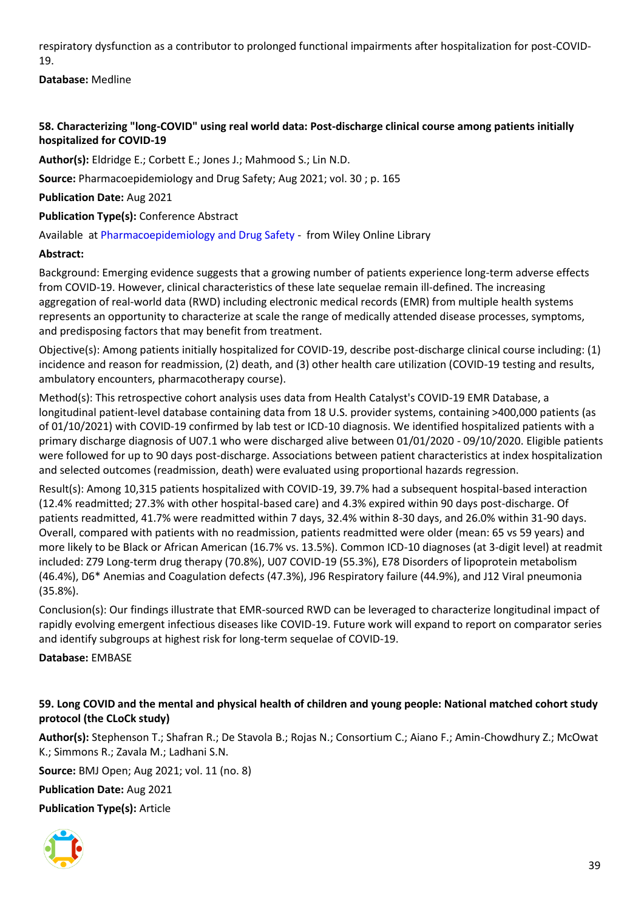respiratory dysfunction as a contributor to prolonged functional impairments after hospitalization for post-COVID-19.

**Database:** Medline

# <span id="page-38-0"></span>**58. Characterizing "long-COVID" using real world data: Post-discharge clinical course among patients initially hospitalized for COVID-19**

**Author(s):** Eldridge E.; Corbett E.; Jones J.; Mahmood S.; Lin N.D.

**Source:** Pharmacoepidemiology and Drug Safety; Aug 2021; vol. 30 ; p. 165

**Publication Date:** Aug 2021

**Publication Type(s):** Conference Abstract

Available at [Pharmacoepidemiology and Drug Safety](https://go.openathens.net/redirector/nhs?url=https%3A%2F%2Fonlinelibrary.wiley.com%2Fdoi%2Ffull%2F10.1002%2Fpds.5305) - from Wiley Online Library

#### **Abstract:**

Background: Emerging evidence suggests that a growing number of patients experience long-term adverse effects from COVID-19. However, clinical characteristics of these late sequelae remain ill-defined. The increasing aggregation of real-world data (RWD) including electronic medical records (EMR) from multiple health systems represents an opportunity to characterize at scale the range of medically attended disease processes, symptoms, and predisposing factors that may benefit from treatment.

Objective(s): Among patients initially hospitalized for COVID-19, describe post-discharge clinical course including: (1) incidence and reason for readmission, (2) death, and (3) other health care utilization (COVID-19 testing and results, ambulatory encounters, pharmacotherapy course).

Method(s): This retrospective cohort analysis uses data from Health Catalyst's COVID-19 EMR Database, a longitudinal patient-level database containing data from 18 U.S. provider systems, containing >400,000 patients (as of 01/10/2021) with COVID-19 confirmed by lab test or ICD-10 diagnosis. We identified hospitalized patients with a primary discharge diagnosis of U07.1 who were discharged alive between 01/01/2020 - 09/10/2020. Eligible patients were followed for up to 90 days post-discharge. Associations between patient characteristics at index hospitalization and selected outcomes (readmission, death) were evaluated using proportional hazards regression.

Result(s): Among 10,315 patients hospitalized with COVID-19, 39.7% had a subsequent hospital-based interaction (12.4% readmitted; 27.3% with other hospital-based care) and 4.3% expired within 90 days post-discharge. Of patients readmitted, 41.7% were readmitted within 7 days, 32.4% within 8-30 days, and 26.0% within 31-90 days. Overall, compared with patients with no readmission, patients readmitted were older (mean: 65 vs 59 years) and more likely to be Black or African American (16.7% vs. 13.5%). Common ICD-10 diagnoses (at 3-digit level) at readmit included: Z79 Long-term drug therapy (70.8%), U07 COVID-19 (55.3%), E78 Disorders of lipoprotein metabolism (46.4%), D6\* Anemias and Coagulation defects (47.3%), J96 Respiratory failure (44.9%), and J12 Viral pneumonia (35.8%).

Conclusion(s): Our findings illustrate that EMR-sourced RWD can be leveraged to characterize longitudinal impact of rapidly evolving emergent infectious diseases like COVID-19. Future work will expand to report on comparator series and identify subgroups at highest risk for long-term sequelae of COVID-19.

**Database:** EMBASE

# <span id="page-38-1"></span>**59. Long COVID and the mental and physical health of children and young people: National matched cohort study protocol (the CLoCk study)**

**Author(s):** Stephenson T.; Shafran R.; De Stavola B.; Rojas N.; Consortium C.; Aiano F.; Amin-Chowdhury Z.; McOwat K.; Simmons R.; Zavala M.; Ladhani S.N.

**Source:** BMJ Open; Aug 2021; vol. 11 (no. 8)

**Publication Date:** Aug 2021

**Publication Type(s):** Article

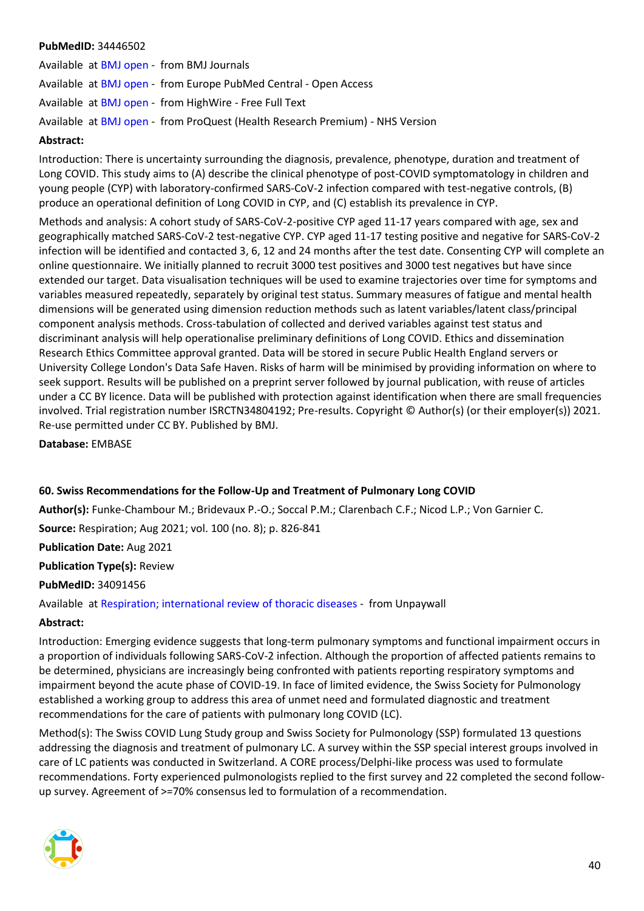#### **PubMedID:** 34446502

Available at [BMJ open](https://bmjopen.bmj.com/lookup/doi/10.1136/bmjopen-2021-052838) - from BMJ Journals Available at [BMJ open](http://europepmc.org/search?query=(DOI:%2210.1136/bmjopen-2021-052838%22)) - from Europe PubMed Central - Open Access Available at [BMJ open](https://doi.org/10.1136/bmjopen-2021-052838) - from HighWire - Free Full Text Available at [BMJ open](https://gateway.proquest.com/openurl?ctx_ver=Z39.88-2004&res_id=xri:pqm&req_dat=xri:pqil:pq_clntid=48229&rft_val_fmt=ori/fmt:kev:mtx:journal&genre=article&issn=2044-6055&volume=11&issue=8&spage=e052838&atitle=Long+COVID+and+the+mental+and+physical+health+of+children+and+young+people%3A+national+matched+cohort+study+protocol+(the+CLoCk+study)) - from ProQuest (Health Research Premium) - NHS Version

#### **Abstract:**

Introduction: There is uncertainty surrounding the diagnosis, prevalence, phenotype, duration and treatment of Long COVID. This study aims to (A) describe the clinical phenotype of post-COVID symptomatology in children and young people (CYP) with laboratory-confirmed SARS-CoV-2 infection compared with test-negative controls, (B) produce an operational definition of Long COVID in CYP, and (C) establish its prevalence in CYP.

Methods and analysis: A cohort study of SARS-CoV-2-positive CYP aged 11-17 years compared with age, sex and geographically matched SARS-CoV-2 test-negative CYP. CYP aged 11-17 testing positive and negative for SARS-CoV-2 infection will be identified and contacted 3, 6, 12 and 24 months after the test date. Consenting CYP will complete an online questionnaire. We initially planned to recruit 3000 test positives and 3000 test negatives but have since extended our target. Data visualisation techniques will be used to examine trajectories over time for symptoms and variables measured repeatedly, separately by original test status. Summary measures of fatigue and mental health dimensions will be generated using dimension reduction methods such as latent variables/latent class/principal component analysis methods. Cross-tabulation of collected and derived variables against test status and discriminant analysis will help operationalise preliminary definitions of Long COVID. Ethics and dissemination Research Ethics Committee approval granted. Data will be stored in secure Public Health England servers or University College London's Data Safe Haven. Risks of harm will be minimised by providing information on where to seek support. Results will be published on a preprint server followed by journal publication, with reuse of articles under a CC BY licence. Data will be published with protection against identification when there are small frequencies involved. Trial registration number ISRCTN34804192; Pre-results. Copyright © Author(s) (or their employer(s)) 2021. Re-use permitted under CC BY. Published by BMJ.

**Database:** EMBASE

#### <span id="page-39-0"></span>**60. Swiss Recommendations for the Follow-Up and Treatment of Pulmonary Long COVID**

**Author(s):** Funke-Chambour M.; Bridevaux P.-O.; Soccal P.M.; Clarenbach C.F.; Nicod L.P.; Von Garnier C.

**Source:** Respiration; Aug 2021; vol. 100 (no. 8); p. 826-841

**Publication Date:** Aug 2021

**Publication Type(s):** Review

#### **PubMedID:** 34091456

Available at [Respiration; international review of thoracic diseases](https://www.karger.com/Article/Pdf/517255) - from Unpaywall

#### **Abstract:**

Introduction: Emerging evidence suggests that long-term pulmonary symptoms and functional impairment occurs in a proportion of individuals following SARS-CoV-2 infection. Although the proportion of affected patients remains to be determined, physicians are increasingly being confronted with patients reporting respiratory symptoms and impairment beyond the acute phase of COVID-19. In face of limited evidence, the Swiss Society for Pulmonology established a working group to address this area of unmet need and formulated diagnostic and treatment recommendations for the care of patients with pulmonary long COVID (LC).

Method(s): The Swiss COVID Lung Study group and Swiss Society for Pulmonology (SSP) formulated 13 questions addressing the diagnosis and treatment of pulmonary LC. A survey within the SSP special interest groups involved in care of LC patients was conducted in Switzerland. A CORE process/Delphi-like process was used to formulate recommendations. Forty experienced pulmonologists replied to the first survey and 22 completed the second followup survey. Agreement of >=70% consensus led to formulation of a recommendation.

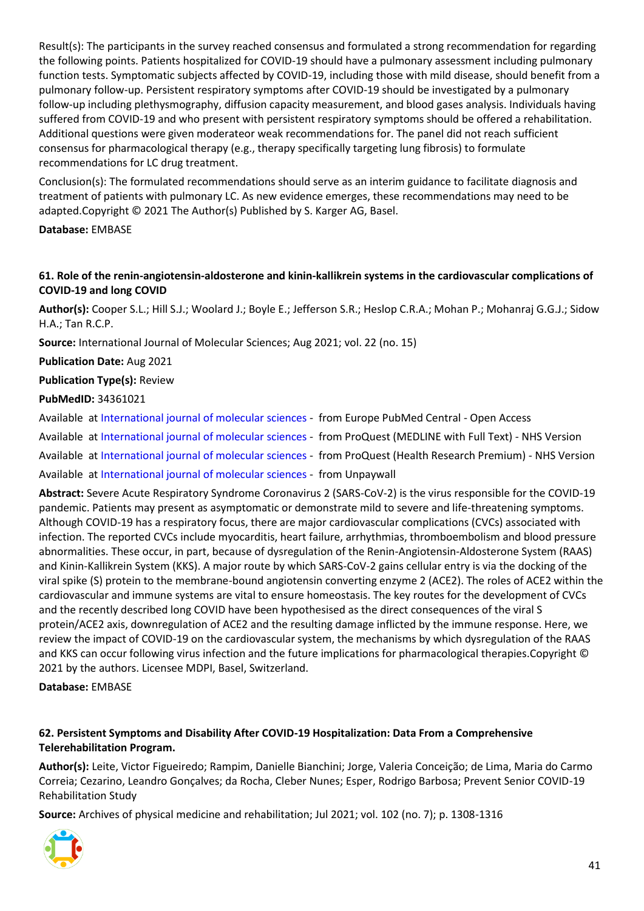Result(s): The participants in the survey reached consensus and formulated a strong recommendation for regarding the following points. Patients hospitalized for COVID-19 should have a pulmonary assessment including pulmonary function tests. Symptomatic subjects affected by COVID-19, including those with mild disease, should benefit from a pulmonary follow-up. Persistent respiratory symptoms after COVID-19 should be investigated by a pulmonary follow-up including plethysmography, diffusion capacity measurement, and blood gases analysis. Individuals having suffered from COVID-19 and who present with persistent respiratory symptoms should be offered a rehabilitation. Additional questions were given moderateor weak recommendations for. The panel did not reach sufficient consensus for pharmacological therapy (e.g., therapy specifically targeting lung fibrosis) to formulate recommendations for LC drug treatment.

Conclusion(s): The formulated recommendations should serve as an interim guidance to facilitate diagnosis and treatment of patients with pulmonary LC. As new evidence emerges, these recommendations may need to be adapted.Copyright © 2021 The Author(s) Published by S. Karger AG, Basel.

#### **Database:** EMBASE

# <span id="page-40-0"></span>**61. Role of the renin-angiotensin-aldosterone and kinin-kallikrein systems in the cardiovascular complications of COVID-19 and long COVID**

**Author(s):** Cooper S.L.; Hill S.J.; Woolard J.; Boyle E.; Jefferson S.R.; Heslop C.R.A.; Mohan P.; Mohanraj G.G.J.; Sidow H.A.; Tan R.C.P.

**Source:** International Journal of Molecular Sciences; Aug 2021; vol. 22 (no. 15)

**Publication Date:** Aug 2021

#### **Publication Type(s):** Review

#### **PubMedID:** 34361021

Available at [International journal of molecular sciences](http://europepmc.org/search?query=(DOI:%2210.3390/ijms22158255%22)) - from Europe PubMed Central - Open Access

Available at [International journal of molecular sciences](https://gateway.proquest.com/openurl?ctx_ver=Z39.88-2004&res_id=xri:pqm&req_dat=xri:pqil:pq_clntid=48229&rft_val_fmt=ori/fmt:kev:mtx:journal&genre=article&issn=1661-6596&volume=22&issue=15&spage=8255&atitle=Role+of+the+Renin-Angiotensin-Aldosterone+and+Kinin-Kallikrein+Systems+in+the+Cardiovascular+Complications+of+COVID-19+and+Long+COVID) - from ProQuest (MEDLINE with Full Text) - NHS Version

Available at [International journal of molecular sciences](https://gateway.proquest.com/openurl?ctx_ver=Z39.88-2004&res_id=xri:pqm&req_dat=xri:pqil:pq_clntid=48229&rft_val_fmt=ori/fmt:kev:mtx:journal&genre=article&issn=1661-6596&volume=22&issue=15&spage=8255&atitle=Role+of+the+Renin-Angiotensin-Aldosterone+and+Kinin-Kallikrein+Systems+in+the+Cardiovascular+Complications+of+COVID-19+and+Long+COVID) - from ProQuest (Health Research Premium) - NHS Version

Available at [International journal of molecular sciences](https://www.mdpi.com/1422-0067/22/15/8255/pdf) - from Unpaywall

**Abstract:** Severe Acute Respiratory Syndrome Coronavirus 2 (SARS-CoV-2) is the virus responsible for the COVID-19 pandemic. Patients may present as asymptomatic or demonstrate mild to severe and life-threatening symptoms. Although COVID-19 has a respiratory focus, there are major cardiovascular complications (CVCs) associated with infection. The reported CVCs include myocarditis, heart failure, arrhythmias, thromboembolism and blood pressure abnormalities. These occur, in part, because of dysregulation of the Renin-Angiotensin-Aldosterone System (RAAS) and Kinin-Kallikrein System (KKS). A major route by which SARS-CoV-2 gains cellular entry is via the docking of the viral spike (S) protein to the membrane-bound angiotensin converting enzyme 2 (ACE2). The roles of ACE2 within the cardiovascular and immune systems are vital to ensure homeostasis. The key routes for the development of CVCs and the recently described long COVID have been hypothesised as the direct consequences of the viral S protein/ACE2 axis, downregulation of ACE2 and the resulting damage inflicted by the immune response. Here, we review the impact of COVID-19 on the cardiovascular system, the mechanisms by which dysregulation of the RAAS and KKS can occur following virus infection and the future implications for pharmacological therapies.Copyright © 2021 by the authors. Licensee MDPI, Basel, Switzerland.

**Database:** EMBASE

# <span id="page-40-1"></span>**62. Persistent Symptoms and Disability After COVID-19 Hospitalization: Data From a Comprehensive Telerehabilitation Program.**

**Author(s):** Leite, Victor Figueiredo; Rampim, Danielle Bianchini; Jorge, Valeria Conceição; de Lima, Maria do Carmo Correia; Cezarino, Leandro Gonçalves; da Rocha, Cleber Nunes; Esper, Rodrigo Barbosa; Prevent Senior COVID-19 Rehabilitation Study

**Source:** Archives of physical medicine and rehabilitation; Jul 2021; vol. 102 (no. 7); p. 1308-1316

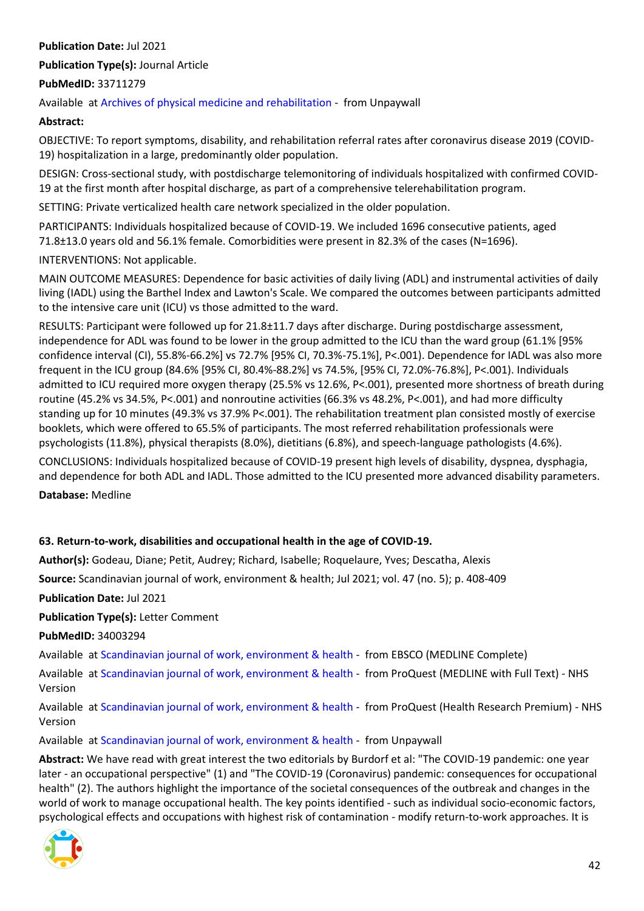#### **Publication Date:** Jul 2021

**Publication Type(s):** Journal Article

#### **PubMedID:** 33711279

Available at [Archives of physical medicine and rehabilitation](http://www.archives-pmr.org/article/S0003999321002252/pdf) - from Unpaywall

#### **Abstract:**

OBJECTIVE: To report symptoms, disability, and rehabilitation referral rates after coronavirus disease 2019 (COVID-19) hospitalization in a large, predominantly older population.

DESIGN: Cross-sectional study, with postdischarge telemonitoring of individuals hospitalized with confirmed COVID-19 at the first month after hospital discharge, as part of a comprehensive telerehabilitation program.

SETTING: Private verticalized health care network specialized in the older population.

PARTICIPANTS: Individuals hospitalized because of COVID-19. We included 1696 consecutive patients, aged 71.8±13.0 years old and 56.1% female. Comorbidities were present in 82.3% of the cases (N=1696).

INTERVENTIONS: Not applicable.

MAIN OUTCOME MEASURES: Dependence for basic activities of daily living (ADL) and instrumental activities of daily living (IADL) using the Barthel Index and Lawton's Scale. We compared the outcomes between participants admitted to the intensive care unit (ICU) vs those admitted to the ward.

RESULTS: Participant were followed up for 21.8±11.7 days after discharge. During postdischarge assessment, independence for ADL was found to be lower in the group admitted to the ICU than the ward group (61.1% [95% confidence interval (CI), 55.8%-66.2%] vs 72.7% [95% CI, 70.3%-75.1%], P<.001). Dependence for IADL was also more frequent in the ICU group (84.6% [95% CI, 80.4%-88.2%] vs 74.5%, [95% CI, 72.0%-76.8%], P<.001). Individuals admitted to ICU required more oxygen therapy (25.5% vs 12.6%, P<.001), presented more shortness of breath during routine (45.2% vs 34.5%, P<.001) and nonroutine activities (66.3% vs 48.2%, P<.001), and had more difficulty standing up for 10 minutes (49.3% vs 37.9% P<.001). The rehabilitation treatment plan consisted mostly of exercise booklets, which were offered to 65.5% of participants. The most referred rehabilitation professionals were psychologists (11.8%), physical therapists (8.0%), dietitians (6.8%), and speech-language pathologists (4.6%).

CONCLUSIONS: Individuals hospitalized because of COVID-19 present high levels of disability, dyspnea, dysphagia, and dependence for both ADL and IADL. Those admitted to the ICU presented more advanced disability parameters.

**Database:** Medline

#### <span id="page-41-0"></span>**63. Return-to-work, disabilities and occupational health in the age of COVID-19.**

**Author(s):** Godeau, Diane; Petit, Audrey; Richard, Isabelle; Roquelaure, Yves; Descatha, Alexis

**Source:** Scandinavian journal of work, environment & health; Jul 2021; vol. 47 (no. 5); p. 408-409

**Publication Date:** Jul 2021

**Publication Type(s):** Letter Comment

**PubMedID:** 34003294

Available at [Scandinavian journal of work, environment & health](https://search.ebscohost.com/login.aspx?direct=true&scope=site&site=ehost-live&db=mdc&AN=34003294) - from EBSCO (MEDLINE Complete)

Available at [Scandinavian journal of work, environment & health](https://gateway.proquest.com/openurl?ctx_ver=Z39.88-2004&res_id=xri:pqm&req_dat=xri:pqil:pq_clntid=48229&rft_val_fmt=ori/fmt:kev:mtx:journal&genre=article&issn=0355-3140&volume=47&issue=5&spage=408&atitle=Return-to-work%2C+disabilities+and+occupational+health+in+the+age+of+COVID-19) - from ProQuest (MEDLINE with Full Text) - NHS Version

Available at [Scandinavian journal of work, environment & health](https://gateway.proquest.com/openurl?ctx_ver=Z39.88-2004&res_id=xri:pqm&req_dat=xri:pqil:pq_clntid=48229&rft_val_fmt=ori/fmt:kev:mtx:journal&genre=article&issn=0355-3140&volume=47&issue=5&spage=408&atitle=Return-to-work%2C+disabilities+and+occupational+health+in+the+age+of+COVID-19) - from ProQuest (Health Research Premium) - NHS Version

Available at [Scandinavian journal of work, environment & health](https://www.sjweh.fi/download.php?abstract_id=3960&file_nro=1) - from Unpaywall

**Abstract:** We have read with great interest the two editorials by Burdorf et al: "The COVID-19 pandemic: one year later - an occupational perspective" (1) and "The COVID-19 (Coronavirus) pandemic: consequences for occupational health" (2). The authors highlight the importance of the societal consequences of the outbreak and changes in the world of work to manage occupational health. The key points identified - such as individual socio-economic factors, psychological effects and occupations with highest risk of contamination - modify return-to-work approaches. It is

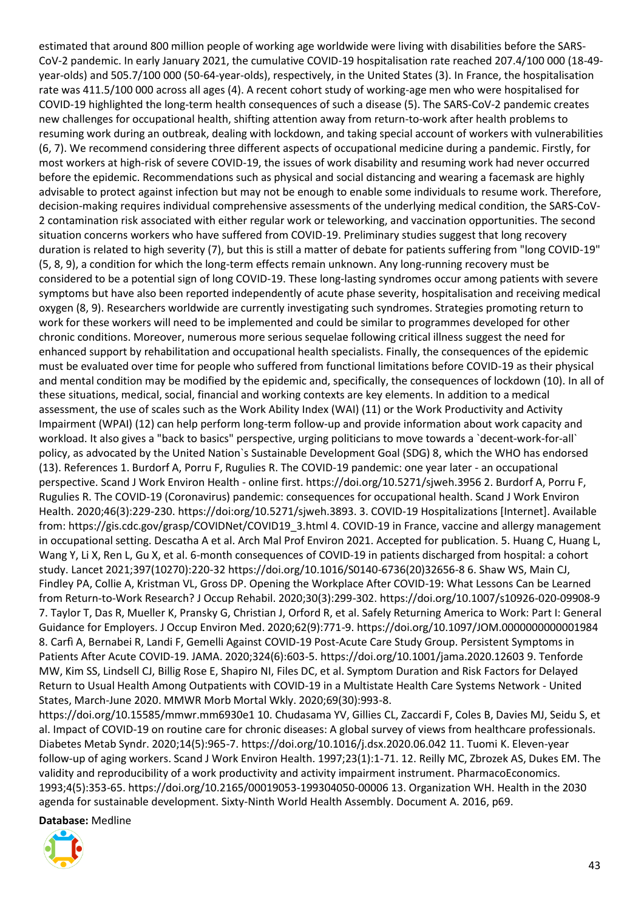estimated that around 800 million people of working age worldwide were living with disabilities before the SARS-CoV-2 pandemic. In early January 2021, the cumulative COVID-19 hospitalisation rate reached 207.4/100 000 (18-49 year-olds) and 505.7/100 000 (50-64-year-olds), respectively, in the United States (3). In France, the hospitalisation rate was 411.5/100 000 across all ages (4). A recent cohort study of working-age men who were hospitalised for COVID-19 highlighted the long-term health consequences of such a disease (5). The SARS-CoV-2 pandemic creates new challenges for occupational health, shifting attention away from return-to-work after health problems to resuming work during an outbreak, dealing with lockdown, and taking special account of workers with vulnerabilities (6, 7). We recommend considering three different aspects of occupational medicine during a pandemic. Firstly, for most workers at high-risk of severe COVID-19, the issues of work disability and resuming work had never occurred before the epidemic. Recommendations such as physical and social distancing and wearing a facemask are highly advisable to protect against infection but may not be enough to enable some individuals to resume work. Therefore, decision-making requires individual comprehensive assessments of the underlying medical condition, the SARS-CoV-2 contamination risk associated with either regular work or teleworking, and vaccination opportunities. The second situation concerns workers who have suffered from COVID-19. Preliminary studies suggest that long recovery duration is related to high severity (7), but this is still a matter of debate for patients suffering from "long COVID-19" (5, 8, 9), a condition for which the long-term effects remain unknown. Any long-running recovery must be considered to be a potential sign of long COVID-19. These long-lasting syndromes occur among patients with severe symptoms but have also been reported independently of acute phase severity, hospitalisation and receiving medical oxygen (8, 9). Researchers worldwide are currently investigating such syndromes. Strategies promoting return to work for these workers will need to be implemented and could be similar to programmes developed for other chronic conditions. Moreover, numerous more serious sequelae following critical illness suggest the need for enhanced support by rehabilitation and occupational health specialists. Finally, the consequences of the epidemic must be evaluated over time for people who suffered from functional limitations before COVID-19 as their physical and mental condition may be modified by the epidemic and, specifically, the consequences of lockdown (10). In all of these situations, medical, social, financial and working contexts are key elements. In addition to a medical assessment, the use of scales such as the Work Ability Index (WAI) (11) or the Work Productivity and Activity Impairment (WPAI) (12) can help perform long-term follow-up and provide information about work capacity and workload. It also gives a "back to basics" perspective, urging politicians to move towards a `decent-work-for-all` policy, as advocated by the United Nation`s Sustainable Development Goal (SDG) 8, which the WHO has endorsed (13). References 1. Burdorf A, Porru F, Rugulies R. The COVID-19 pandemic: one year later - an occupational perspective. Scand J Work Environ Health - online first. https://doi.org/10.5271/sjweh.3956 2. Burdorf A, Porru F, Rugulies R. The COVID-19 (Coronavirus) pandemic: consequences for occupational health. Scand J Work Environ Health. 2020;46(3):229-230. https://doi:org/10.5271/sjweh.3893. 3. COVID-19 Hospitalizations [Internet]. Available from: https://gis.cdc.gov/grasp/COVIDNet/COVID19\_3.html 4. COVID-19 in France, vaccine and allergy management in occupational setting. Descatha A et al. Arch Mal Prof Environ 2021. Accepted for publication. 5. Huang C, Huang L, Wang Y, Li X, Ren L, Gu X, et al. 6-month consequences of COVID-19 in patients discharged from hospital: a cohort study. Lancet 2021;397(10270):220-32 https://doi.org/10.1016/S0140-6736(20)32656-8 6. Shaw WS, Main CJ, Findley PA, Collie A, Kristman VL, Gross DP. Opening the Workplace After COVID-19: What Lessons Can be Learned from Return-to-Work Research? J Occup Rehabil. 2020;30(3):299-302. https://doi.org/10.1007/s10926-020-09908-9 7. Taylor T, Das R, Mueller K, Pransky G, Christian J, Orford R, et al. Safely Returning America to Work: Part I: General Guidance for Employers. J Occup Environ Med. 2020;62(9):771-9. https://doi.org/10.1097/JOM.0000000000001984 8. Carfì A, Bernabei R, Landi F, Gemelli Against COVID-19 Post-Acute Care Study Group. Persistent Symptoms in Patients After Acute COVID-19. JAMA. 2020;324(6):603-5. https://doi.org/10.1001/jama.2020.12603 9. Tenforde MW, Kim SS, Lindsell CJ, Billig Rose E, Shapiro NI, Files DC, et al. Symptom Duration and Risk Factors for Delayed Return to Usual Health Among Outpatients with COVID-19 in a Multistate Health Care Systems Network - United States, March-June 2020. MMWR Morb Mortal Wkly. 2020;69(30):993-8.

https://doi.org/10.15585/mmwr.mm6930e1 10. Chudasama YV, Gillies CL, Zaccardi F, Coles B, Davies MJ, Seidu S, et al. Impact of COVID-19 on routine care for chronic diseases: A global survey of views from healthcare professionals. Diabetes Metab Syndr. 2020;14(5):965-7. https://doi.org/10.1016/j.dsx.2020.06.042 11. Tuomi K. Eleven-year follow-up of aging workers. Scand J Work Environ Health. 1997;23(1):1-71. 12. Reilly MC, Zbrozek AS, Dukes EM. The validity and reproducibility of a work productivity and activity impairment instrument. PharmacoEconomics. 1993;4(5):353-65. https://doi.org/10.2165/00019053-199304050-00006 13. Organization WH. Health in the 2030 agenda for sustainable development. Sixty-Ninth World Health Assembly. Document A. 2016, p69.

**Database:** Medline

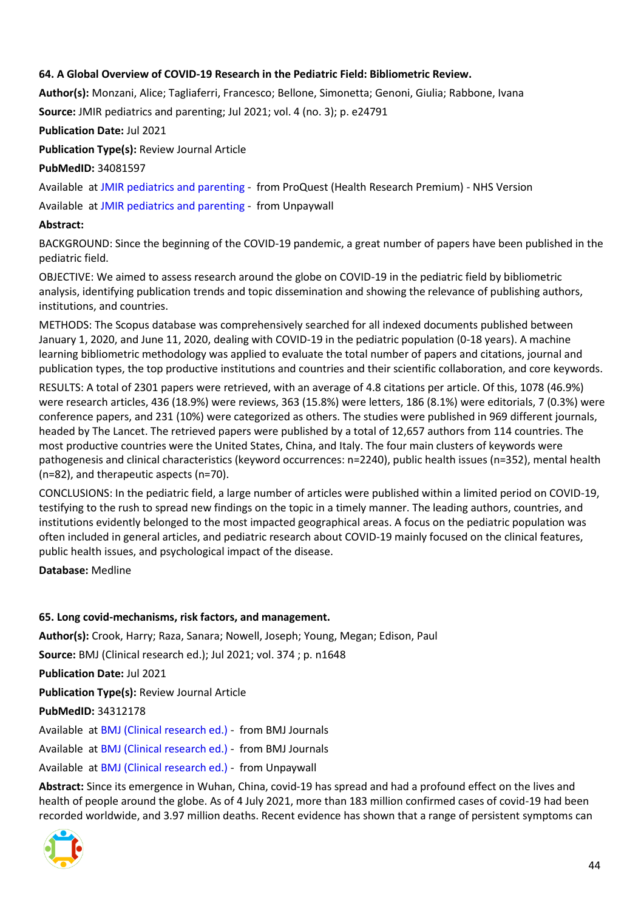# <span id="page-43-0"></span>**64. A Global Overview of COVID-19 Research in the Pediatric Field: Bibliometric Review.**

**Author(s):** Monzani, Alice; Tagliaferri, Francesco; Bellone, Simonetta; Genoni, Giulia; Rabbone, Ivana

**Source:** JMIR pediatrics and parenting; Jul 2021; vol. 4 (no. 3); p. e24791

**Publication Date:** Jul 2021

**Publication Type(s):** Review Journal Article

**PubMedID:** 34081597

Available at [JMIR pediatrics and parenting](https://gateway.proquest.com/openurl?ctx_ver=Z39.88-2004&res_id=xri:pqm&req_dat=xri:pqil:pq_clntid=48229&rft_val_fmt=ori/fmt:kev:mtx:journal&genre=article&issn=2561-6722&volume=4&issue=3&spage=e24791&atitle=A+Global+Overview+of+COVID-19+Research+in+the+Pediatric+Field%3A+Bibliometric+Review) - from ProQuest (Health Research Premium) - NHS Version

Available at [JMIR pediatrics and parenting](https://pediatrics.jmir.org/2021/3/e24791/PDF) - from Unpaywall

#### **Abstract:**

BACKGROUND: Since the beginning of the COVID-19 pandemic, a great number of papers have been published in the pediatric field.

OBJECTIVE: We aimed to assess research around the globe on COVID-19 in the pediatric field by bibliometric analysis, identifying publication trends and topic dissemination and showing the relevance of publishing authors, institutions, and countries.

METHODS: The Scopus database was comprehensively searched for all indexed documents published between January 1, 2020, and June 11, 2020, dealing with COVID-19 in the pediatric population (0-18 years). A machine learning bibliometric methodology was applied to evaluate the total number of papers and citations, journal and publication types, the top productive institutions and countries and their scientific collaboration, and core keywords.

RESULTS: A total of 2301 papers were retrieved, with an average of 4.8 citations per article. Of this, 1078 (46.9%) were research articles, 436 (18.9%) were reviews, 363 (15.8%) were letters, 186 (8.1%) were editorials, 7 (0.3%) were conference papers, and 231 (10%) were categorized as others. The studies were published in 969 different journals, headed by The Lancet. The retrieved papers were published by a total of 12,657 authors from 114 countries. The most productive countries were the United States, China, and Italy. The four main clusters of keywords were pathogenesis and clinical characteristics (keyword occurrences: n=2240), public health issues (n=352), mental health (n=82), and therapeutic aspects (n=70).

CONCLUSIONS: In the pediatric field, a large number of articles were published within a limited period on COVID-19, testifying to the rush to spread new findings on the topic in a timely manner. The leading authors, countries, and institutions evidently belonged to the most impacted geographical areas. A focus on the pediatric population was often included in general articles, and pediatric research about COVID-19 mainly focused on the clinical features, public health issues, and psychological impact of the disease.

**Database:** Medline

#### <span id="page-43-1"></span>**65. Long covid-mechanisms, risk factors, and management.**

**Author(s):** Crook, Harry; Raza, Sanara; Nowell, Joseph; Young, Megan; Edison, Paul

**Source:** BMJ (Clinical research ed.); Jul 2021; vol. 374 ; p. n1648

**Publication Date:** Jul 2021

**Publication Type(s):** Review Journal Article

**PubMedID:** 34312178

Available at [BMJ \(Clinical research ed.\)](https://go.openathens.net/redirector/nhs?url=https%3A%2F%2Fwww.bmj.com%2Flookup%2Fdoi%2F10.1136%2Fbmj.n1648) - from BMJ Journals

Available at [BMJ \(Clinical research ed.\)](https://www.bmj.com/lookup/doi/10.1136/bmj.n1648) - from BMJ Journals

Available at [BMJ \(Clinical research ed.\)](https://www.bmj.com/content/bmj/374/bmj.n1648.full.pdf) - from Unpaywall

**Abstract:** Since its emergence in Wuhan, China, covid-19 has spread and had a profound effect on the lives and health of people around the globe. As of 4 July 2021, more than 183 million confirmed cases of covid-19 had been recorded worldwide, and 3.97 million deaths. Recent evidence has shown that a range of persistent symptoms can

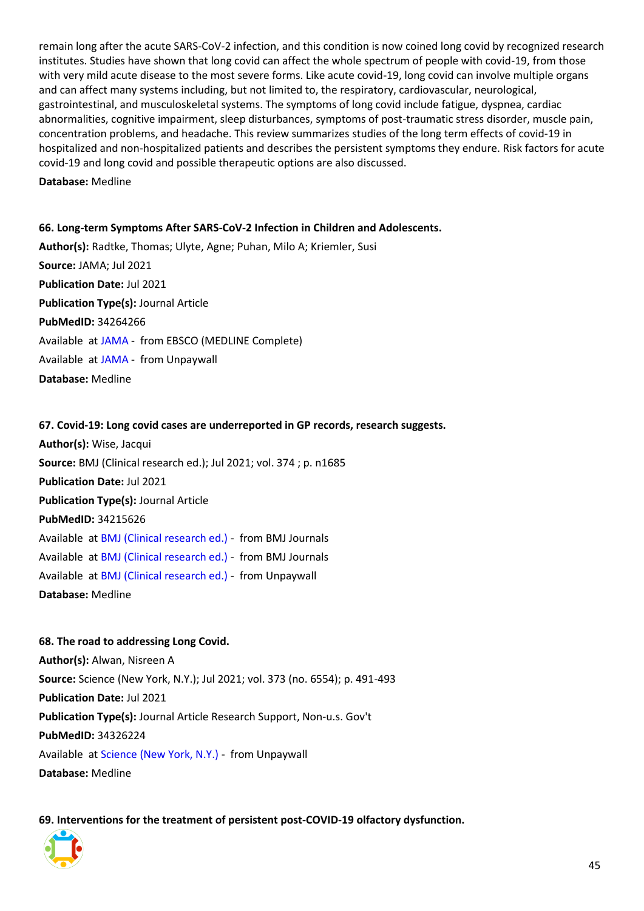remain long after the acute SARS-CoV-2 infection, and this condition is now coined long covid by recognized research institutes. Studies have shown that long covid can affect the whole spectrum of people with covid-19, from those with very mild acute disease to the most severe forms. Like acute covid-19, long covid can involve multiple organs and can affect many systems including, but not limited to, the respiratory, cardiovascular, neurological, gastrointestinal, and musculoskeletal systems. The symptoms of long covid include fatigue, dyspnea, cardiac abnormalities, cognitive impairment, sleep disturbances, symptoms of post-traumatic stress disorder, muscle pain, concentration problems, and headache. This review summarizes studies of the long term effects of covid-19 in hospitalized and non-hospitalized patients and describes the persistent symptoms they endure. Risk factors for acute covid-19 and long covid and possible therapeutic options are also discussed.

**Database:** Medline

<span id="page-44-0"></span>**66. Long-term Symptoms After SARS-CoV-2 Infection in Children and Adolescents. Author(s):** Radtke, Thomas; Ulyte, Agne; Puhan, Milo A; Kriemler, Susi **Source:** JAMA; Jul 2021 **Publication Date:** Jul 2021 **Publication Type(s):** Journal Article **PubMedID:** 34264266 Available at [JAMA](https://search.ebscohost.com/login.aspx?direct=true&scope=site&site=ehost-live&db=mdc&AN=34264266) - from EBSCO (MEDLINE Complete) Available at [JAMA](https://jamanetwork.com/journals/jama/articlepdf/2782164/jama_radtke_2021_ld_210046_1626274318.79995.pdf) - from Unpaywall **Database:** Medline

#### <span id="page-44-1"></span>**67. Covid-19: Long covid cases are underreported in GP records, research suggests.**

**Author(s):** Wise, Jacqui **Source:** BMJ (Clinical research ed.); Jul 2021; vol. 374 ; p. n1685 **Publication Date:** Jul 2021 **Publication Type(s):** Journal Article **PubMedID:** 34215626 Available at [BMJ \(Clinical research ed.\)](https://go.openathens.net/redirector/nhs?url=https%3A%2F%2Fwww.bmj.com%2Flookup%2Fdoi%2F10.1136%2Fbmj.n1685) - from BMJ Journals Available at [BMJ \(Clinical research ed.\)](https://www.bmj.com/lookup/doi/10.1136/bmj.n1685) - from BMJ Journals Available at [BMJ \(Clinical research ed.\)](https://www.bmj.com/content/bmj/374/bmj.n1685.full.pdf) - from Unpaywall **Database:** Medline

<span id="page-44-2"></span>**68. The road to addressing Long Covid. Author(s):** Alwan, Nisreen A **Source:** Science (New York, N.Y.); Jul 2021; vol. 373 (no. 6554); p. 491-493 **Publication Date:** Jul 2021 **Publication Type(s):** Journal Article Research Support, Non-u.s. Gov't **PubMedID:** 34326224 Available at [Science \(New York, N.Y.\)](https://science.sciencemag.org/content/sci/373/6554/491.full.pdf) - from Unpaywall **Database:** Medline

<span id="page-44-3"></span>**69. Interventions for the treatment of persistent post-COVID-19 olfactory dysfunction.**

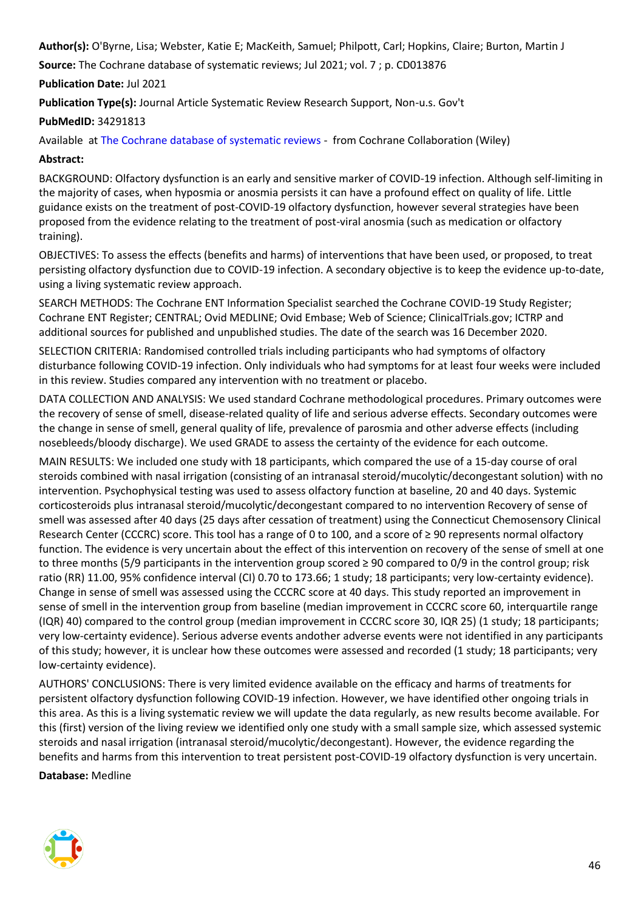**Author(s):** O'Byrne, Lisa; Webster, Katie E; MacKeith, Samuel; Philpott, Carl; Hopkins, Claire; Burton, Martin J

**Source:** The Cochrane database of systematic reviews; Jul 2021; vol. 7 ; p. CD013876

**Publication Date:** Jul 2021

**Publication Type(s):** Journal Article Systematic Review Research Support, Non-u.s. Gov't

#### **PubMedID:** 34291813

Available at [The Cochrane database of systematic reviews](http://cochranelibrary-wiley.com/doi/10.1002/14651858.CD013876.pub2/full) - from Cochrane Collaboration (Wiley)

# **Abstract:**

BACKGROUND: Olfactory dysfunction is an early and sensitive marker of COVID-19 infection. Although self-limiting in the majority of cases, when hyposmia or anosmia persists it can have a profound effect on quality of life. Little guidance exists on the treatment of post-COVID-19 olfactory dysfunction, however several strategies have been proposed from the evidence relating to the treatment of post-viral anosmia (such as medication or olfactory training).

OBJECTIVES: To assess the effects (benefits and harms) of interventions that have been used, or proposed, to treat persisting olfactory dysfunction due to COVID-19 infection. A secondary objective is to keep the evidence up-to-date, using a living systematic review approach.

SEARCH METHODS: The Cochrane ENT Information Specialist searched the Cochrane COVID-19 Study Register; Cochrane ENT Register; CENTRAL; Ovid MEDLINE; Ovid Embase; Web of Science; ClinicalTrials.gov; ICTRP and additional sources for published and unpublished studies. The date of the search was 16 December 2020.

SELECTION CRITERIA: Randomised controlled trials including participants who had symptoms of olfactory disturbance following COVID-19 infection. Only individuals who had symptoms for at least four weeks were included in this review. Studies compared any intervention with no treatment or placebo.

DATA COLLECTION AND ANALYSIS: We used standard Cochrane methodological procedures. Primary outcomes were the recovery of sense of smell, disease-related quality of life and serious adverse effects. Secondary outcomes were the change in sense of smell, general quality of life, prevalence of parosmia and other adverse effects (including nosebleeds/bloody discharge). We used GRADE to assess the certainty of the evidence for each outcome.

MAIN RESULTS: We included one study with 18 participants, which compared the use of a 15-day course of oral steroids combined with nasal irrigation (consisting of an intranasal steroid/mucolytic/decongestant solution) with no intervention. Psychophysical testing was used to assess olfactory function at baseline, 20 and 40 days. Systemic corticosteroids plus intranasal steroid/mucolytic/decongestant compared to no intervention Recovery of sense of smell was assessed after 40 days (25 days after cessation of treatment) using the Connecticut Chemosensory Clinical Research Center (CCCRC) score. This tool has a range of 0 to 100, and a score of ≥ 90 represents normal olfactory function. The evidence is very uncertain about the effect of this intervention on recovery of the sense of smell at one to three months (5/9 participants in the intervention group scored ≥ 90 compared to 0/9 in the control group; risk ratio (RR) 11.00, 95% confidence interval (CI) 0.70 to 173.66; 1 study; 18 participants; very low-certainty evidence). Change in sense of smell was assessed using the CCCRC score at 40 days. This study reported an improvement in sense of smell in the intervention group from baseline (median improvement in CCCRC score 60, interquartile range (IQR) 40) compared to the control group (median improvement in CCCRC score 30, IQR 25) (1 study; 18 participants; very low-certainty evidence). Serious adverse events andother adverse events were not identified in any participants of this study; however, it is unclear how these outcomes were assessed and recorded (1 study; 18 participants; very low-certainty evidence).

AUTHORS' CONCLUSIONS: There is very limited evidence available on the efficacy and harms of treatments for persistent olfactory dysfunction following COVID-19 infection. However, we have identified other ongoing trials in this area. As this is a living systematic review we will update the data regularly, as new results become available. For this (first) version of the living review we identified only one study with a small sample size, which assessed systemic steroids and nasal irrigation (intranasal steroid/mucolytic/decongestant). However, the evidence regarding the benefits and harms from this intervention to treat persistent post-COVID-19 olfactory dysfunction is very uncertain.

**Database:** Medline

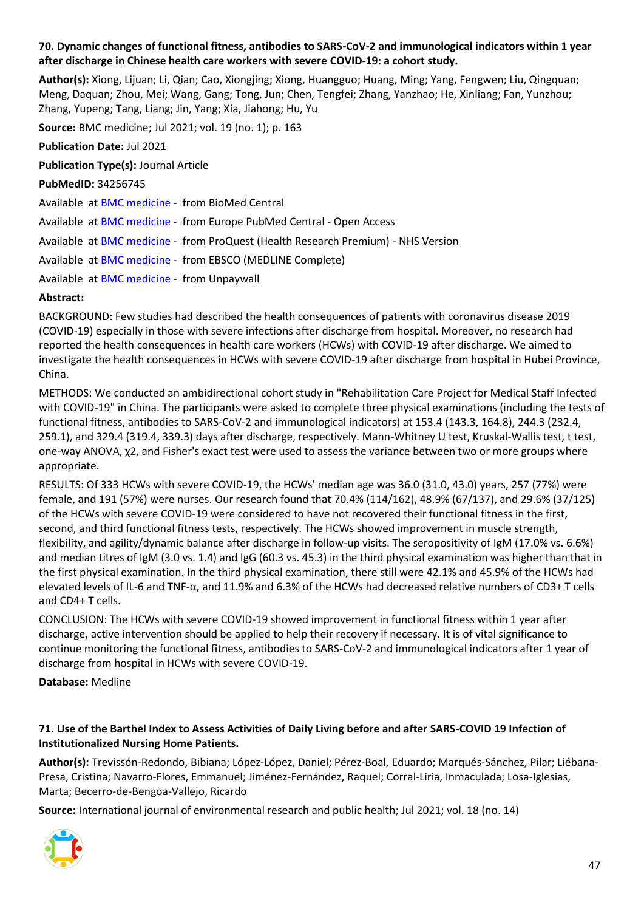# <span id="page-46-0"></span>**70. Dynamic changes of functional fitness, antibodies to SARS-CoV-2 and immunological indicators within 1 year after discharge in Chinese health care workers with severe COVID-19: a cohort study.**

**Author(s):** Xiong, Lijuan; Li, Qian; Cao, Xiongjing; Xiong, Huangguo; Huang, Ming; Yang, Fengwen; Liu, Qingquan; Meng, Daquan; Zhou, Mei; Wang, Gang; Tong, Jun; Chen, Tengfei; Zhang, Yanzhao; He, Xinliang; Fan, Yunzhou; Zhang, Yupeng; Tang, Liang; Jin, Yang; Xia, Jiahong; Hu, Yu

**Source:** BMC medicine; Jul 2021; vol. 19 (no. 1); p. 163

**Publication Date:** Jul 2021

**Publication Type(s):** Journal Article

**PubMedID:** 34256745 Available at [BMC medicine](https://doi.org/10.1186/s12916-021-02042-0) - from BioMed Central Available at [BMC medicine](http://europepmc.org/search?query=(DOI:%2210.1186/s12916-021-02042-0%22)) - from Europe PubMed Central - Open Access Available at [BMC medicine](https://gateway.proquest.com/openurl?ctx_ver=Z39.88-2004&res_id=xri:pqm&req_dat=xri:pqil:pq_clntid=48229&rft_val_fmt=ori/fmt:kev:mtx:journal&genre=article&issn=1741-7015&volume=19&issue=1&spage=163&atitle=Dynamic+changes+of+functional+fitness%2C+antibodies+to+SARS-CoV-2+and+immunological+indicators+within+1+year+after+discharge+in+Chinese+health+care+workers+with+severe+COVID-19%3A+a+cohort+study) - from ProQuest (Health Research Premium) - NHS Version Available at [BMC medicine](https://search.ebscohost.com/login.aspx?direct=true&scope=site&site=ehost-live&db=mdc&AN=34256745) - from EBSCO (MEDLINE Complete) Available at [BMC medicine](https://bmcmedicine.biomedcentral.com/track/pdf/10.1186/s12916-021-02042-0) - from Unpaywall

# **Abstract:**

BACKGROUND: Few studies had described the health consequences of patients with coronavirus disease 2019 (COVID-19) especially in those with severe infections after discharge from hospital. Moreover, no research had reported the health consequences in health care workers (HCWs) with COVID-19 after discharge. We aimed to investigate the health consequences in HCWs with severe COVID-19 after discharge from hospital in Hubei Province, China.

METHODS: We conducted an ambidirectional cohort study in "Rehabilitation Care Project for Medical Staff Infected with COVID-19" in China. The participants were asked to complete three physical examinations (including the tests of functional fitness, antibodies to SARS-CoV-2 and immunological indicators) at 153.4 (143.3, 164.8), 244.3 (232.4, 259.1), and 329.4 (319.4, 339.3) days after discharge, respectively. Mann-Whitney U test, Kruskal-Wallis test, t test, one-way ANOVA, χ2, and Fisher's exact test were used to assess the variance between two or more groups where appropriate.

RESULTS: Of 333 HCWs with severe COVID-19, the HCWs' median age was 36.0 (31.0, 43.0) years, 257 (77%) were female, and 191 (57%) were nurses. Our research found that 70.4% (114/162), 48.9% (67/137), and 29.6% (37/125) of the HCWs with severe COVID-19 were considered to have not recovered their functional fitness in the first, second, and third functional fitness tests, respectively. The HCWs showed improvement in muscle strength, flexibility, and agility/dynamic balance after discharge in follow-up visits. The seropositivity of IgM (17.0% vs. 6.6%) and median titres of IgM (3.0 vs. 1.4) and IgG (60.3 vs. 45.3) in the third physical examination was higher than that in the first physical examination. In the third physical examination, there still were 42.1% and 45.9% of the HCWs had elevated levels of IL-6 and TNF-α, and 11.9% and 6.3% of the HCWs had decreased relative numbers of CD3+ T cells and CD4+ T cells.

CONCLUSION: The HCWs with severe COVID-19 showed improvement in functional fitness within 1 year after discharge, active intervention should be applied to help their recovery if necessary. It is of vital significance to continue monitoring the functional fitness, antibodies to SARS-CoV-2 and immunological indicators after 1 year of discharge from hospital in HCWs with severe COVID-19.

**Database:** Medline

# <span id="page-46-1"></span>**71. Use of the Barthel Index to Assess Activities of Daily Living before and after SARS-COVID 19 Infection of Institutionalized Nursing Home Patients.**

**Author(s):** Trevissón-Redondo, Bibiana; López-López, Daniel; Pérez-Boal, Eduardo; Marqués-Sánchez, Pilar; Liébana-Presa, Cristina; Navarro-Flores, Emmanuel; Jiménez-Fernández, Raquel; Corral-Liria, Inmaculada; Losa-Iglesias, Marta; Becerro-de-Bengoa-Vallejo, Ricardo

**Source:** International journal of environmental research and public health; Jul 2021; vol. 18 (no. 14)

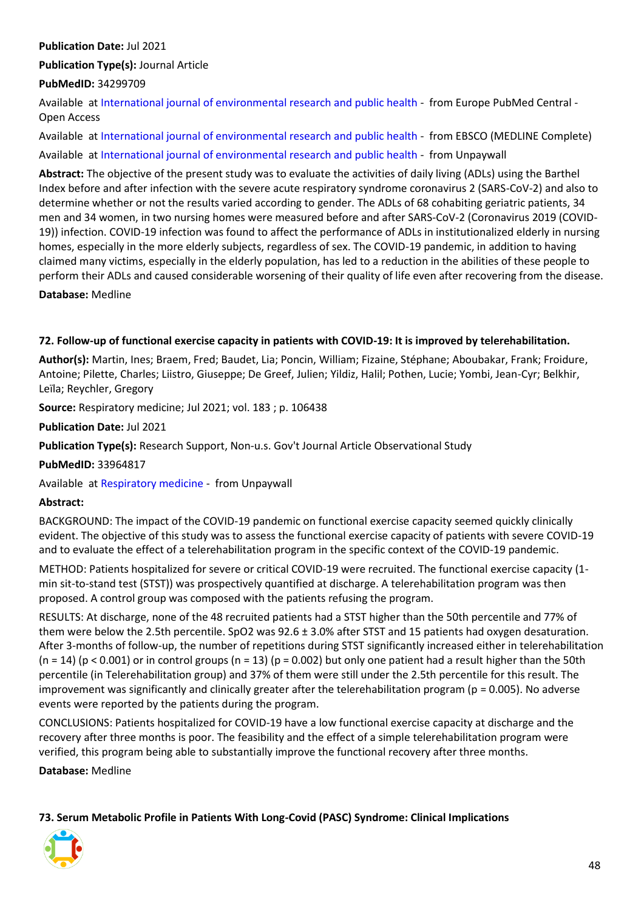# **Publication Date:** Jul 2021

**Publication Type(s):** Journal Article

# **PubMedID:** 34299709

Available at [International journal of environmental research and public health](http://europepmc.org/search?query=(DOI:%2210.3390/ijerph18147258%22)) - from Europe PubMed Central - Open Access

Available at [International journal of environmental research and public health](https://search.ebscohost.com/login.aspx?direct=true&scope=site&site=ehost-live&db=mdc&AN=34299709) - from EBSCO (MEDLINE Complete) Available at [International journal of environmental research and public health](https://www.mdpi.com/1660-4601/18/14/7258/pdf) - from Unpaywall

**Abstract:** The objective of the present study was to evaluate the activities of daily living (ADLs) using the Barthel Index before and after infection with the severe acute respiratory syndrome coronavirus 2 (SARS-CoV-2) and also to determine whether or not the results varied according to gender. The ADLs of 68 cohabiting geriatric patients, 34 men and 34 women, in two nursing homes were measured before and after SARS-CoV-2 (Coronavirus 2019 (COVID-19)) infection. COVID-19 infection was found to affect the performance of ADLs in institutionalized elderly in nursing homes, especially in the more elderly subjects, regardless of sex. The COVID-19 pandemic, in addition to having claimed many victims, especially in the elderly population, has led to a reduction in the abilities of these people to perform their ADLs and caused considerable worsening of their quality of life even after recovering from the disease.

**Database:** Medline

#### <span id="page-47-0"></span>**72. Follow-up of functional exercise capacity in patients with COVID-19: It is improved by telerehabilitation.**

**Author(s):** Martin, Ines; Braem, Fred; Baudet, Lia; Poncin, William; Fizaine, Stéphane; Aboubakar, Frank; Froidure, Antoine; Pilette, Charles; Liistro, Giuseppe; De Greef, Julien; Yildiz, Halil; Pothen, Lucie; Yombi, Jean-Cyr; Belkhir, Leïla; Reychler, Gregory

**Source:** Respiratory medicine; Jul 2021; vol. 183 ; p. 106438

**Publication Date:** Jul 2021

**Publication Type(s):** Research Support, Non-u.s. Gov't Journal Article Observational Study

**PubMedID:** 33964817

Available at [Respiratory medicine](https://www.ncbi.nlm.nih.gov/pmc/articles/PMC8084600) - from Unpaywall

#### **Abstract:**

BACKGROUND: The impact of the COVID-19 pandemic on functional exercise capacity seemed quickly clinically evident. The objective of this study was to assess the functional exercise capacity of patients with severe COVID-19 and to evaluate the effect of a telerehabilitation program in the specific context of the COVID-19 pandemic.

METHOD: Patients hospitalized for severe or critical COVID-19 were recruited. The functional exercise capacity (1 min sit-to-stand test (STST)) was prospectively quantified at discharge. A telerehabilitation program was then proposed. A control group was composed with the patients refusing the program.

RESULTS: At discharge, none of the 48 recruited patients had a STST higher than the 50th percentile and 77% of them were below the 2.5th percentile. SpO2 was 92.6 ± 3.0% after STST and 15 patients had oxygen desaturation. After 3-months of follow-up, the number of repetitions during STST significantly increased either in telerehabilitation  $(n = 14)$  (p < 0.001) or in control groups  $(n = 13)$  (p = 0.002) but only one patient had a result higher than the 50th percentile (in Telerehabilitation group) and 37% of them were still under the 2.5th percentile for this result. The improvement was significantly and clinically greater after the telerehabilitation program ( $p = 0.005$ ). No adverse events were reported by the patients during the program.

CONCLUSIONS: Patients hospitalized for COVID-19 have a low functional exercise capacity at discharge and the recovery after three months is poor. The feasibility and the effect of a simple telerehabilitation program were verified, this program being able to substantially improve the functional recovery after three months.

**Database:** Medline

<span id="page-47-1"></span>**73. Serum Metabolic Profile in Patients With Long-Covid (PASC) Syndrome: Clinical Implications**

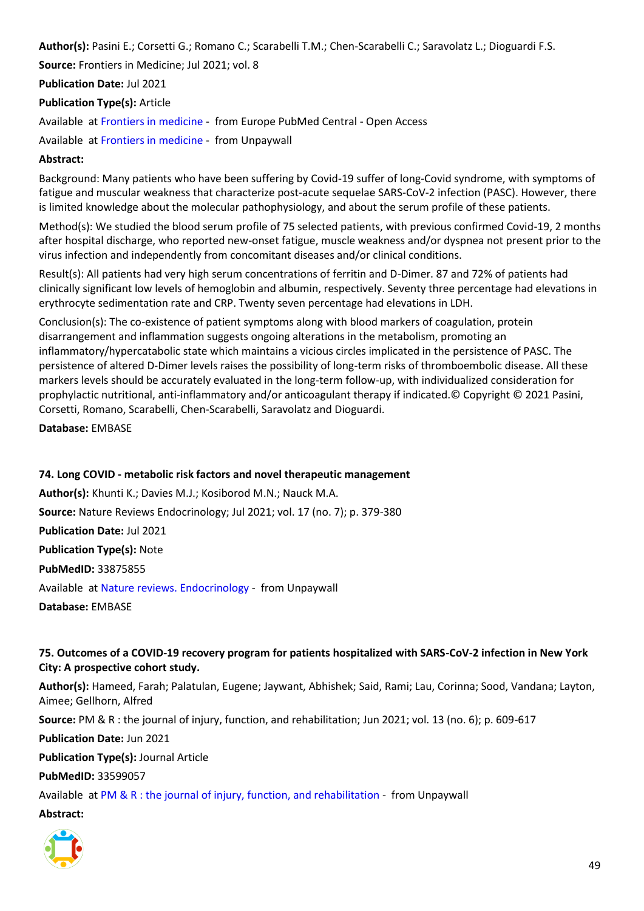**Author(s):** Pasini E.; Corsetti G.; Romano C.; Scarabelli T.M.; Chen-Scarabelli C.; Saravolatz L.; Dioguardi F.S. **Source:** Frontiers in Medicine; Jul 2021; vol. 8 **Publication Date:** Jul 2021

**Publication Type(s):** Article

Available at [Frontiers in medicine](http://europepmc.org/search?query=(DOI:%2210.3389/fmed.2021.714426%22)) - from Europe PubMed Central - Open Access

Available at [Frontiers in medicine](https://www.frontiersin.org/articles/10.3389/fmed.2021.714426/pdf) - from Unpaywall

# **Abstract:**

Background: Many patients who have been suffering by Covid-19 suffer of long-Covid syndrome, with symptoms of fatigue and muscular weakness that characterize post-acute sequelae SARS-CoV-2 infection (PASC). However, there is limited knowledge about the molecular pathophysiology, and about the serum profile of these patients.

Method(s): We studied the blood serum profile of 75 selected patients, with previous confirmed Covid-19, 2 months after hospital discharge, who reported new-onset fatigue, muscle weakness and/or dyspnea not present prior to the virus infection and independently from concomitant diseases and/or clinical conditions.

Result(s): All patients had very high serum concentrations of ferritin and D-Dimer. 87 and 72% of patients had clinically significant low levels of hemoglobin and albumin, respectively. Seventy three percentage had elevations in erythrocyte sedimentation rate and CRP. Twenty seven percentage had elevations in LDH.

Conclusion(s): The co-existence of patient symptoms along with blood markers of coagulation, protein disarrangement and inflammation suggests ongoing alterations in the metabolism, promoting an inflammatory/hypercatabolic state which maintains a vicious circles implicated in the persistence of PASC. The persistence of altered D-Dimer levels raises the possibility of long-term risks of thromboembolic disease. All these markers levels should be accurately evaluated in the long-term follow-up, with individualized consideration for prophylactic nutritional, anti-inflammatory and/or anticoagulant therapy if indicated.© Copyright © 2021 Pasini, Corsetti, Romano, Scarabelli, Chen-Scarabelli, Saravolatz and Dioguardi.

**Database:** EMBASE

# <span id="page-48-0"></span>**74. Long COVID - metabolic risk factors and novel therapeutic management**

**Author(s):** Khunti K.; Davies M.J.; Kosiborod M.N.; Nauck M.A. **Source:** Nature Reviews Endocrinology; Jul 2021; vol. 17 (no. 7); p. 379-380 **Publication Date:** Jul 2021 **Publication Type(s):** Note **PubMedID:** 33875855 Available at [Nature reviews. Endocrinology](https://www.nature.com/articles/s41574-021-00495-0.pdf) - from Unpaywall **Database:** EMBASE

# <span id="page-48-1"></span>**75. Outcomes of a COVID-19 recovery program for patients hospitalized with SARS-CoV-2 infection in New York City: A prospective cohort study.**

**Author(s):** Hameed, Farah; Palatulan, Eugene; Jaywant, Abhishek; Said, Rami; Lau, Corinna; Sood, Vandana; Layton, Aimee; Gellhorn, Alfred

**Source:** PM & R : the journal of injury, function, and rehabilitation; Jun 2021; vol. 13 (no. 6); p. 609-617

**Publication Date:** Jun 2021

**Publication Type(s):** Journal Article

**PubMedID:** 33599057

Available at [PM & R : the journal of injury, function, and rehabilitation](https://onlinelibrary.wiley.com/doi/pdfdirect/10.1002/pmrj.12578) - from Unpaywall

#### **Abstract:**

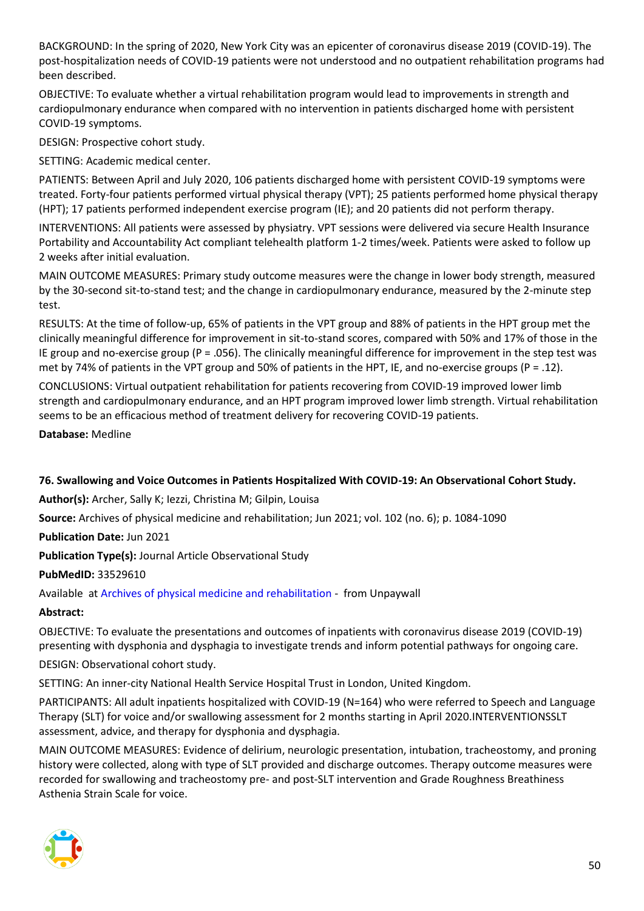BACKGROUND: In the spring of 2020, New York City was an epicenter of coronavirus disease 2019 (COVID-19). The post-hospitalization needs of COVID-19 patients were not understood and no outpatient rehabilitation programs had been described.

OBJECTIVE: To evaluate whether a virtual rehabilitation program would lead to improvements in strength and cardiopulmonary endurance when compared with no intervention in patients discharged home with persistent COVID-19 symptoms.

DESIGN: Prospective cohort study.

SETTING: Academic medical center.

PATIENTS: Between April and July 2020, 106 patients discharged home with persistent COVID-19 symptoms were treated. Forty-four patients performed virtual physical therapy (VPT); 25 patients performed home physical therapy (HPT); 17 patients performed independent exercise program (IE); and 20 patients did not perform therapy.

INTERVENTIONS: All patients were assessed by physiatry. VPT sessions were delivered via secure Health Insurance Portability and Accountability Act compliant telehealth platform 1-2 times/week. Patients were asked to follow up 2 weeks after initial evaluation.

MAIN OUTCOME MEASURES: Primary study outcome measures were the change in lower body strength, measured by the 30-second sit-to-stand test; and the change in cardiopulmonary endurance, measured by the 2-minute step test.

RESULTS: At the time of follow-up, 65% of patients in the VPT group and 88% of patients in the HPT group met the clinically meaningful difference for improvement in sit-to-stand scores, compared with 50% and 17% of those in the IE group and no-exercise group (P = .056). The clinically meaningful difference for improvement in the step test was met by 74% of patients in the VPT group and 50% of patients in the HPT, IE, and no-exercise groups (P = .12).

CONCLUSIONS: Virtual outpatient rehabilitation for patients recovering from COVID-19 improved lower limb strength and cardiopulmonary endurance, and an HPT program improved lower limb strength. Virtual rehabilitation seems to be an efficacious method of treatment delivery for recovering COVID-19 patients.

**Database:** Medline

# <span id="page-49-0"></span>**76. Swallowing and Voice Outcomes in Patients Hospitalized With COVID-19: An Observational Cohort Study.**

**Author(s):** Archer, Sally K; Iezzi, Christina M; Gilpin, Louisa

**Source:** Archives of physical medicine and rehabilitation; Jun 2021; vol. 102 (no. 6); p. 1084-1090

**Publication Date:** Jun 2021

**Publication Type(s):** Journal Article Observational Study

**PubMedID:** 33529610

Available at [Archives of physical medicine and rehabilitation](http://www.archives-pmr.org/article/S0003999321000897/pdf) - from Unpaywall

# **Abstract:**

OBJECTIVE: To evaluate the presentations and outcomes of inpatients with coronavirus disease 2019 (COVID-19) presenting with dysphonia and dysphagia to investigate trends and inform potential pathways for ongoing care.

DESIGN: Observational cohort study.

SETTING: An inner-city National Health Service Hospital Trust in London, United Kingdom.

PARTICIPANTS: All adult inpatients hospitalized with COVID-19 (N=164) who were referred to Speech and Language Therapy (SLT) for voice and/or swallowing assessment for 2 months starting in April 2020.INTERVENTIONSSLT assessment, advice, and therapy for dysphonia and dysphagia.

MAIN OUTCOME MEASURES: Evidence of delirium, neurologic presentation, intubation, tracheostomy, and proning history were collected, along with type of SLT provided and discharge outcomes. Therapy outcome measures were recorded for swallowing and tracheostomy pre- and post-SLT intervention and Grade Roughness Breathiness Asthenia Strain Scale for voice.

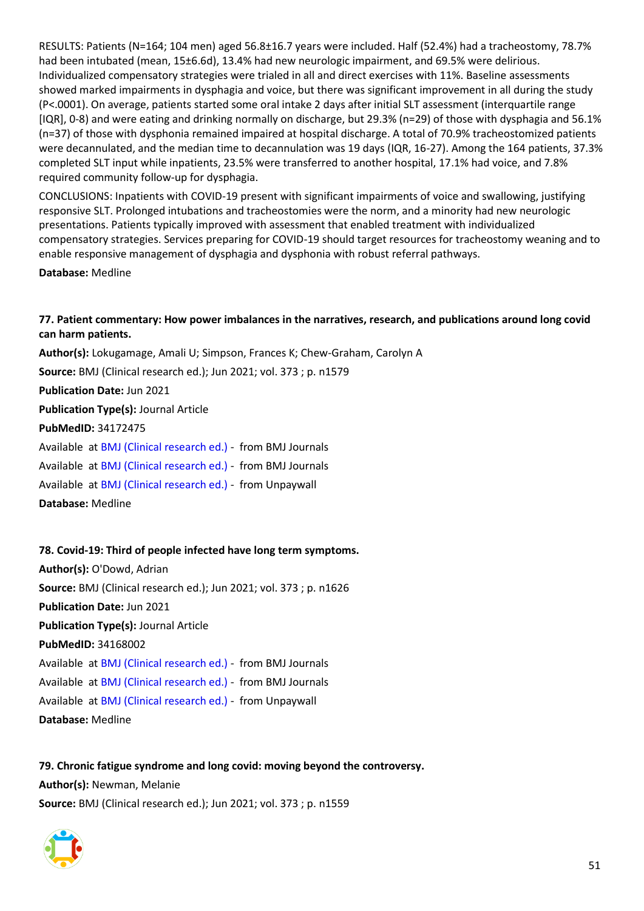RESULTS: Patients (N=164; 104 men) aged 56.8±16.7 years were included. Half (52.4%) had a tracheostomy, 78.7% had been intubated (mean, 15±6.6d), 13.4% had new neurologic impairment, and 69.5% were delirious. Individualized compensatory strategies were trialed in all and direct exercises with 11%. Baseline assessments showed marked impairments in dysphagia and voice, but there was significant improvement in all during the study (P<.0001). On average, patients started some oral intake 2 days after initial SLT assessment (interquartile range [IQR], 0-8) and were eating and drinking normally on discharge, but 29.3% (n=29) of those with dysphagia and 56.1% (n=37) of those with dysphonia remained impaired at hospital discharge. A total of 70.9% tracheostomized patients were decannulated, and the median time to decannulation was 19 days (IQR, 16-27). Among the 164 patients, 37.3% completed SLT input while inpatients, 23.5% were transferred to another hospital, 17.1% had voice, and 7.8% required community follow-up for dysphagia.

CONCLUSIONS: Inpatients with COVID-19 present with significant impairments of voice and swallowing, justifying responsive SLT. Prolonged intubations and tracheostomies were the norm, and a minority had new neurologic presentations. Patients typically improved with assessment that enabled treatment with individualized compensatory strategies. Services preparing for COVID-19 should target resources for tracheostomy weaning and to enable responsive management of dysphagia and dysphonia with robust referral pathways.

**Database:** Medline

#### <span id="page-50-0"></span>**77. Patient commentary: How power imbalances in the narratives, research, and publications around long covid can harm patients.**

**Author(s):** Lokugamage, Amali U; Simpson, Frances K; Chew-Graham, Carolyn A **Source:** BMJ (Clinical research ed.); Jun 2021; vol. 373 ; p. n1579 **Publication Date:** Jun 2021 **Publication Type(s):** Journal Article **PubMedID:** 34172475 Available at [BMJ \(Clinical research ed.\)](https://go.openathens.net/redirector/nhs?url=https%3A%2F%2Fwww.bmj.com%2Flookup%2Fdoi%2F10.1136%2Fbmj.n1579) - from BMJ Journals Available at [BMJ \(Clinical research ed.\)](https://www.bmj.com/lookup/doi/10.1136/bmj.n1579) - from BMJ Journals Available at [BMJ \(Clinical research ed.\)](https://www.bmj.com/content/bmj/373/bmj.n1579.full.pdf) - from Unpaywall

**Database:** Medline

#### <span id="page-50-1"></span>**78. Covid-19: Third of people infected have long term symptoms.**

**Author(s):** O'Dowd, Adrian **Source:** BMJ (Clinical research ed.); Jun 2021; vol. 373 ; p. n1626 **Publication Date:** Jun 2021 **Publication Type(s):** Journal Article **PubMedID:** 34168002 Available at [BMJ \(Clinical research ed.\)](https://go.openathens.net/redirector/nhs?url=https%3A%2F%2Fwww.bmj.com%2Flookup%2Fdoi%2F10.1136%2Fbmj.n1626) - from BMJ Journals Available at [BMJ \(Clinical research ed.\)](https://www.bmj.com/lookup/doi/10.1136/bmj.n1626) - from BMJ Journals Available at [BMJ \(Clinical research ed.\)](https://www.bmj.com/content/bmj/373/bmj.n1626.full.pdf) - from Unpaywall **Database:** Medline

#### <span id="page-50-2"></span>**79. Chronic fatigue syndrome and long covid: moving beyond the controversy.**

**Author(s):** Newman, Melanie **Source:** BMJ (Clinical research ed.); Jun 2021; vol. 373 ; p. n1559

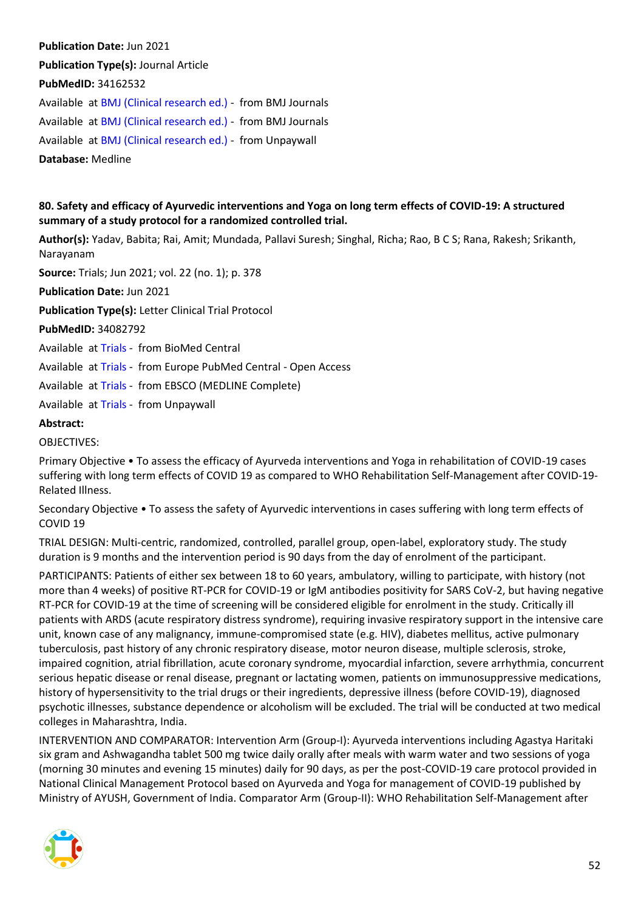**Publication Date:** Jun 2021 **Publication Type(s):** Journal Article **PubMedID:** 34162532 Available at [BMJ \(Clinical research ed.\)](https://go.openathens.net/redirector/nhs?url=https%3A%2F%2Fwww.bmj.com%2Flookup%2Fdoi%2F10.1136%2Fbmj.n1559) - from BMJ Journals Available at [BMJ \(Clinical research ed.\)](https://www.bmj.com/lookup/doi/10.1136/bmj.n1559) - from BMJ Journals Available at [BMJ \(Clinical research ed.\)](https://www.bmj.com/content/bmj/373/bmj.n1559.full.pdf) - from Unpaywall **Database:** Medline

# <span id="page-51-0"></span>**80. Safety and efficacy of Ayurvedic interventions and Yoga on long term effects of COVID-19: A structured summary of a study protocol for a randomized controlled trial.**

**Author(s):** Yadav, Babita; Rai, Amit; Mundada, Pallavi Suresh; Singhal, Richa; Rao, B C S; Rana, Rakesh; Srikanth, Narayanam

**Source:** Trials; Jun 2021; vol. 22 (no. 1); p. 378

**Publication Date:** Jun 2021

**Publication Type(s):** Letter Clinical Trial Protocol

**PubMedID:** 34082792

Available at [Trials](https://doi.org/10.1186/s13063-021-05326-1) - from BioMed Central

Available at [Trials](http://europepmc.org/search?query=(DOI:%2210.1186/s13063-021-05326-1%22)) - from Europe PubMed Central - Open Access

Available at [Trials](https://search.ebscohost.com/login.aspx?direct=true&scope=site&site=ehost-live&db=mdc&AN=34082792) - from EBSCO (MEDLINE Complete)

Available at [Trials](https://trialsjournal.biomedcentral.com/track/pdf/10.1186/s13063-021-05326-1) - from Unpaywall

#### **Abstract:**

#### OBJECTIVES:

Primary Objective • To assess the efficacy of Ayurveda interventions and Yoga in rehabilitation of COVID-19 cases suffering with long term effects of COVID 19 as compared to WHO Rehabilitation Self-Management after COVID-19- Related Illness.

Secondary Objective • To assess the safety of Ayurvedic interventions in cases suffering with long term effects of COVID 19

TRIAL DESIGN: Multi-centric, randomized, controlled, parallel group, open-label, exploratory study. The study duration is 9 months and the intervention period is 90 days from the day of enrolment of the participant.

PARTICIPANTS: Patients of either sex between 18 to 60 years, ambulatory, willing to participate, with history (not more than 4 weeks) of positive RT-PCR for COVID-19 or IgM antibodies positivity for SARS CoV-2, but having negative RT-PCR for COVID-19 at the time of screening will be considered eligible for enrolment in the study. Critically ill patients with ARDS (acute respiratory distress syndrome), requiring invasive respiratory support in the intensive care unit, known case of any malignancy, immune-compromised state (e.g. HIV), diabetes mellitus, active pulmonary tuberculosis, past history of any chronic respiratory disease, motor neuron disease, multiple sclerosis, stroke, impaired cognition, atrial fibrillation, acute coronary syndrome, myocardial infarction, severe arrhythmia, concurrent serious hepatic disease or renal disease, pregnant or lactating women, patients on immunosuppressive medications, history of hypersensitivity to the trial drugs or their ingredients, depressive illness (before COVID-19), diagnosed psychotic illnesses, substance dependence or alcoholism will be excluded. The trial will be conducted at two medical colleges in Maharashtra, India.

INTERVENTION AND COMPARATOR: Intervention Arm (Group-I): Ayurveda interventions including Agastya Haritaki six gram and Ashwagandha tablet 500 mg twice daily orally after meals with warm water and two sessions of yoga (morning 30 minutes and evening 15 minutes) daily for 90 days, as per the post-COVID-19 care protocol provided in National Clinical Management Protocol based on Ayurveda and Yoga for management of COVID-19 published by Ministry of AYUSH, Government of India. Comparator Arm (Group-II): WHO Rehabilitation Self-Management after

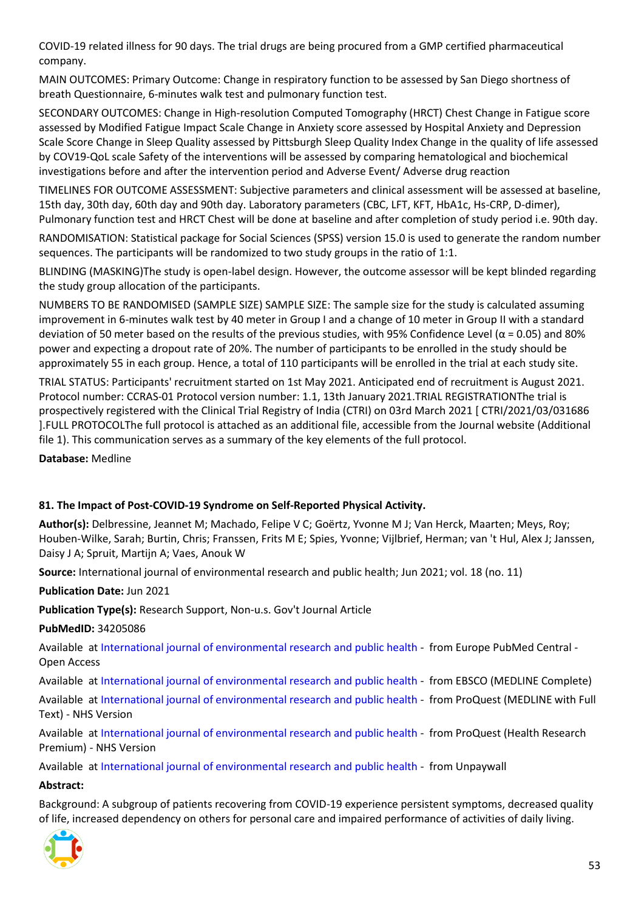COVID-19 related illness for 90 days. The trial drugs are being procured from a GMP certified pharmaceutical company.

MAIN OUTCOMES: Primary Outcome: Change in respiratory function to be assessed by San Diego shortness of breath Questionnaire, 6-minutes walk test and pulmonary function test.

SECONDARY OUTCOMES: Change in High-resolution Computed Tomography (HRCT) Chest Change in Fatigue score assessed by Modified Fatigue Impact Scale Change in Anxiety score assessed by Hospital Anxiety and Depression Scale Score Change in Sleep Quality assessed by Pittsburgh Sleep Quality Index Change in the quality of life assessed by COV19-QoL scale Safety of the interventions will be assessed by comparing hematological and biochemical investigations before and after the intervention period and Adverse Event/ Adverse drug reaction

TIMELINES FOR OUTCOME ASSESSMENT: Subjective parameters and clinical assessment will be assessed at baseline, 15th day, 30th day, 60th day and 90th day. Laboratory parameters (CBC, LFT, KFT, HbA1c, Hs-CRP, D-dimer), Pulmonary function test and HRCT Chest will be done at baseline and after completion of study period i.e. 90th day.

RANDOMISATION: Statistical package for Social Sciences (SPSS) version 15.0 is used to generate the random number sequences. The participants will be randomized to two study groups in the ratio of 1:1.

BLINDING (MASKING)The study is open-label design. However, the outcome assessor will be kept blinded regarding the study group allocation of the participants.

NUMBERS TO BE RANDOMISED (SAMPLE SIZE) SAMPLE SIZE: The sample size for the study is calculated assuming improvement in 6-minutes walk test by 40 meter in Group I and a change of 10 meter in Group II with a standard deviation of 50 meter based on the results of the previous studies, with 95% Confidence Level ( $\alpha$  = 0.05) and 80% power and expecting a dropout rate of 20%. The number of participants to be enrolled in the study should be approximately 55 in each group. Hence, a total of 110 participants will be enrolled in the trial at each study site.

TRIAL STATUS: Participants' recruitment started on 1st May 2021. Anticipated end of recruitment is August 2021. Protocol number: CCRAS-01 Protocol version number: 1.1, 13th January 2021.TRIAL REGISTRATIONThe trial is prospectively registered with the Clinical Trial Registry of India (CTRI) on 03rd March 2021 [ CTRI/2021/03/031686 ].FULL PROTOCOLThe full protocol is attached as an additional file, accessible from the Journal website (Additional file 1). This communication serves as a summary of the key elements of the full protocol.

**Database:** Medline

#### <span id="page-52-0"></span>**81. The Impact of Post-COVID-19 Syndrome on Self-Reported Physical Activity.**

**Author(s):** Delbressine, Jeannet M; Machado, Felipe V C; Goërtz, Yvonne M J; Van Herck, Maarten; Meys, Roy; Houben-Wilke, Sarah; Burtin, Chris; Franssen, Frits M E; Spies, Yvonne; Vijlbrief, Herman; van 't Hul, Alex J; Janssen, Daisy J A; Spruit, Martijn A; Vaes, Anouk W

**Source:** International journal of environmental research and public health; Jun 2021; vol. 18 (no. 11)

**Publication Date:** Jun 2021

**Publication Type(s):** Research Support, Non-u.s. Gov't Journal Article

**PubMedID:** 34205086

Available at [International journal of environmental research and public health](http://europepmc.org/search?query=(DOI:%2210.3390/ijerph18116017%22)) - from Europe PubMed Central - Open Access

Available at [International journal of environmental research and public health](https://search.ebscohost.com/login.aspx?direct=true&scope=site&site=ehost-live&db=mdc&AN=34205086) - from EBSCO (MEDLINE Complete)

Available at [International journal of environmental research and public health](https://gateway.proquest.com/openurl?ctx_ver=Z39.88-2004&res_id=xri:pqm&req_dat=xri:pqil:pq_clntid=48229&rft_val_fmt=ori/fmt:kev:mtx:journal&genre=article&issn=1661-7827&volume=18&issue=11&spage=6017&atitle=The+Impact+of+Post-COVID-19+Syndrome+on+Self-Reported+Physical+Activity) - from ProQuest (MEDLINE with Full Text) - NHS Version

Available at [International journal of environmental research and public health](https://gateway.proquest.com/openurl?ctx_ver=Z39.88-2004&res_id=xri:pqm&req_dat=xri:pqil:pq_clntid=48229&rft_val_fmt=ori/fmt:kev:mtx:journal&genre=article&issn=1661-7827&volume=18&issue=11&spage=6017&atitle=The+Impact+of+Post-COVID-19+Syndrome+on+Self-Reported+Physical+Activity) - from ProQuest (Health Research Premium) - NHS Version

Available at [International journal of environmental research and public health](https://www.mdpi.com/1660-4601/18/11/6017/pdf) - from Unpaywall

#### **Abstract:**

Background: A subgroup of patients recovering from COVID-19 experience persistent symptoms, decreased quality of life, increased dependency on others for personal care and impaired performance of activities of daily living.

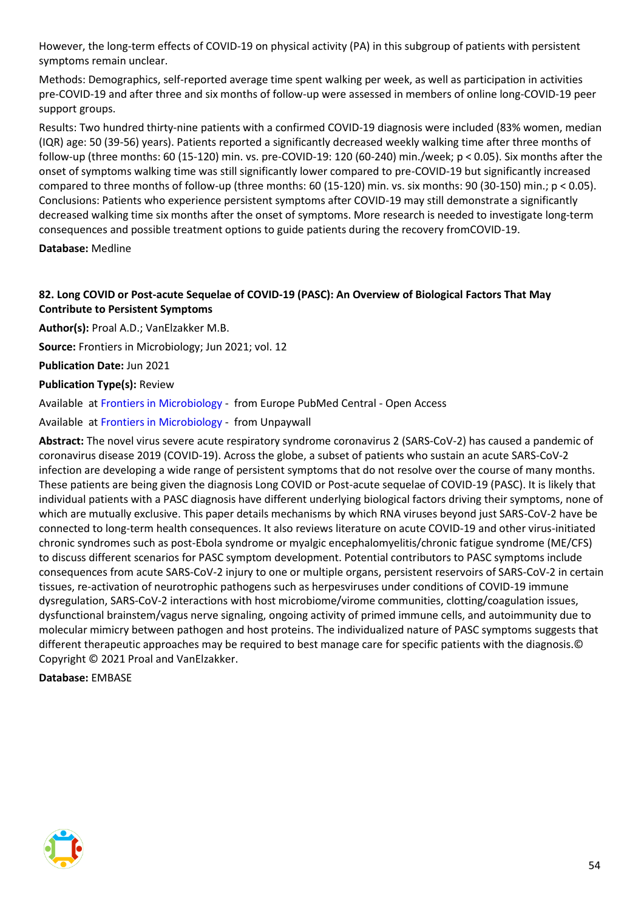However, the long-term effects of COVID-19 on physical activity (PA) in this subgroup of patients with persistent symptoms remain unclear.

Methods: Demographics, self-reported average time spent walking per week, as well as participation in activities pre-COVID-19 and after three and six months of follow-up were assessed in members of online long-COVID-19 peer support groups.

Results: Two hundred thirty-nine patients with a confirmed COVID-19 diagnosis were included (83% women, median (IQR) age: 50 (39-56) years). Patients reported a significantly decreased weekly walking time after three months of follow-up (three months: 60 (15-120) min. vs. pre-COVID-19: 120 (60-240) min./week; p < 0.05). Six months after the onset of symptoms walking time was still significantly lower compared to pre-COVID-19 but significantly increased compared to three months of follow-up (three months: 60 (15-120) min. vs. six months: 90 (30-150) min.; p < 0.05). Conclusions: Patients who experience persistent symptoms after COVID-19 may still demonstrate a significantly decreased walking time six months after the onset of symptoms. More research is needed to investigate long-term consequences and possible treatment options to guide patients during the recovery fromCOVID-19.

**Database:** Medline

# <span id="page-53-0"></span>**82. Long COVID or Post-acute Sequelae of COVID-19 (PASC): An Overview of Biological Factors That May Contribute to Persistent Symptoms**

**Author(s):** Proal A.D.; VanElzakker M.B.

**Source:** Frontiers in Microbiology; Jun 2021; vol. 12

**Publication Date:** Jun 2021

#### **Publication Type(s):** Review

Available at [Frontiers in Microbiology](http://europepmc.org/search?query=(DOI:%2210.3389/fmicb.2021.698169%22)) - from Europe PubMed Central - Open Access

Available at [Frontiers in Microbiology](https://www.frontiersin.org/articles/10.3389/fmicb.2021.698169/pdf) - from Unpaywall

**Abstract:** The novel virus severe acute respiratory syndrome coronavirus 2 (SARS-CoV-2) has caused a pandemic of coronavirus disease 2019 (COVID-19). Across the globe, a subset of patients who sustain an acute SARS-CoV-2 infection are developing a wide range of persistent symptoms that do not resolve over the course of many months. These patients are being given the diagnosis Long COVID or Post-acute sequelae of COVID-19 (PASC). It is likely that individual patients with a PASC diagnosis have different underlying biological factors driving their symptoms, none of which are mutually exclusive. This paper details mechanisms by which RNA viruses beyond just SARS-CoV-2 have be connected to long-term health consequences. It also reviews literature on acute COVID-19 and other virus-initiated chronic syndromes such as post-Ebola syndrome or myalgic encephalomyelitis/chronic fatigue syndrome (ME/CFS) to discuss different scenarios for PASC symptom development. Potential contributors to PASC symptoms include consequences from acute SARS-CoV-2 injury to one or multiple organs, persistent reservoirs of SARS-CoV-2 in certain tissues, re-activation of neurotrophic pathogens such as herpesviruses under conditions of COVID-19 immune dysregulation, SARS-CoV-2 interactions with host microbiome/virome communities, clotting/coagulation issues, dysfunctional brainstem/vagus nerve signaling, ongoing activity of primed immune cells, and autoimmunity due to molecular mimicry between pathogen and host proteins. The individualized nature of PASC symptoms suggests that different therapeutic approaches may be required to best manage care for specific patients with the diagnosis.© Copyright © 2021 Proal and VanElzakker.

**Database:** EMBASE

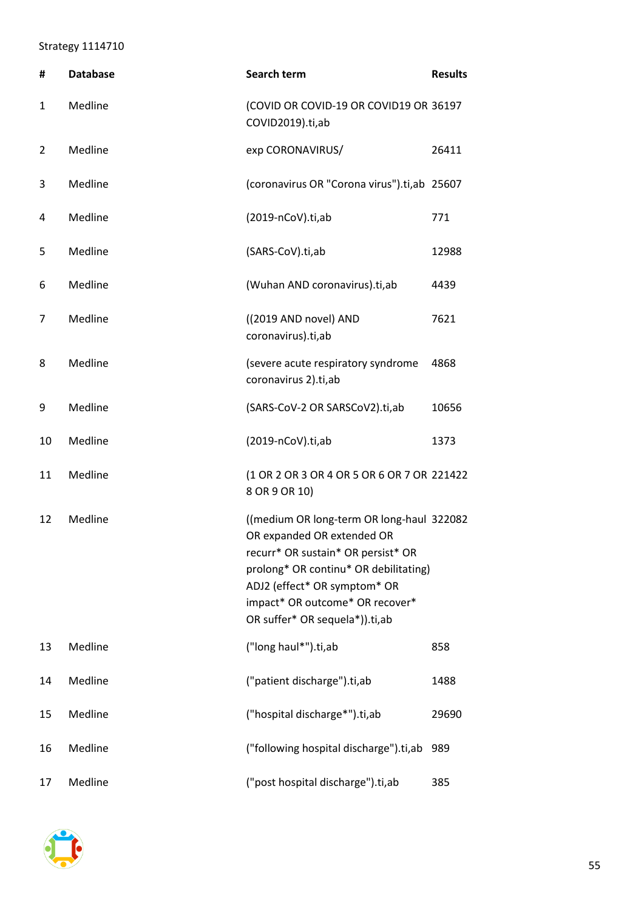# <span id="page-54-0"></span>Strategy 1114710

| #  | <b>Database</b> | Search term                                                                                                                                                                                                                                                 | <b>Results</b> |
|----|-----------------|-------------------------------------------------------------------------------------------------------------------------------------------------------------------------------------------------------------------------------------------------------------|----------------|
| 1  | Medline         | (COVID OR COVID-19 OR COVID19 OR 36197<br>COVID2019).ti,ab                                                                                                                                                                                                  |                |
| 2  | Medline         | exp CORONAVIRUS/                                                                                                                                                                                                                                            | 26411          |
| 3  | Medline         | (coronavirus OR "Corona virus").ti,ab 25607                                                                                                                                                                                                                 |                |
| 4  | Medline         | $(2019 - nCoV).ti, ab$                                                                                                                                                                                                                                      | 771            |
| 5  | Medline         | (SARS-CoV).ti,ab                                                                                                                                                                                                                                            | 12988          |
| 6  | Medline         | (Wuhan AND coronavirus).ti,ab                                                                                                                                                                                                                               | 4439           |
| 7  | Medline         | ((2019 AND novel) AND<br>coronavirus).ti,ab                                                                                                                                                                                                                 | 7621           |
| 8  | Medline         | (severe acute respiratory syndrome<br>coronavirus 2).ti,ab                                                                                                                                                                                                  | 4868           |
| 9  | Medline         | (SARS-CoV-2 OR SARSCoV2).ti,ab                                                                                                                                                                                                                              | 10656          |
| 10 | Medline         | $(2019 - nCoV).ti, ab$                                                                                                                                                                                                                                      | 1373           |
| 11 | Medline         | (1 OR 2 OR 3 OR 4 OR 5 OR 6 OR 7 OR 221422<br>8 OR 9 OR 10)                                                                                                                                                                                                 |                |
| 12 | Medline         | ((medium OR long-term OR long-haul 322082<br>OR expanded OR extended OR<br>recurr* OR sustain* OR persist* OR<br>prolong* OR continu* OR debilitating)<br>ADJ2 (effect* OR symptom* OR<br>impact* OR outcome* OR recover*<br>OR suffer* OR sequela*)).ti,ab |                |
| 13 | Medline         | ("long haul*").ti,ab                                                                                                                                                                                                                                        | 858            |
| 14 | Medline         | ("patient discharge").ti,ab                                                                                                                                                                                                                                 | 1488           |
| 15 | Medline         | ("hospital discharge*").ti,ab                                                                                                                                                                                                                               | 29690          |
| 16 | Medline         | ("following hospital discharge").ti,ab                                                                                                                                                                                                                      | 989            |
| 17 | Medline         | ("post hospital discharge").ti,ab                                                                                                                                                                                                                           | 385            |

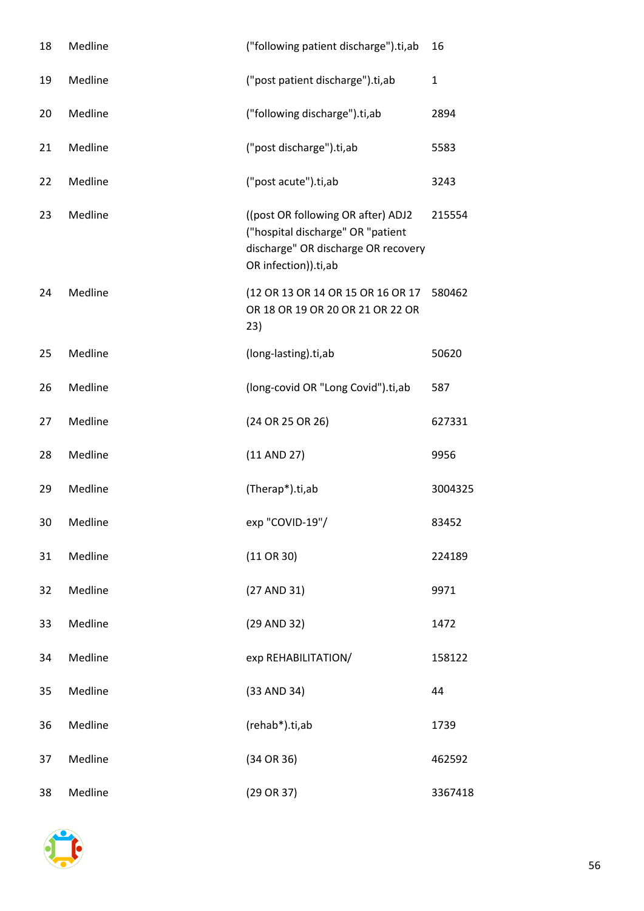| 18 | Medline | ("following patient discharge").ti,ab                                                                                                  | 16      |
|----|---------|----------------------------------------------------------------------------------------------------------------------------------------|---------|
| 19 | Medline | ("post patient discharge").ti,ab                                                                                                       | 1       |
| 20 | Medline | ("following discharge").ti,ab                                                                                                          | 2894    |
| 21 | Medline | ("post discharge").ti,ab                                                                                                               | 5583    |
| 22 | Medline | ("post acute").ti,ab                                                                                                                   | 3243    |
| 23 | Medline | ((post OR following OR after) ADJ2<br>("hospital discharge" OR "patient<br>discharge" OR discharge OR recovery<br>OR infection)).ti,ab | 215554  |
| 24 | Medline | (12 OR 13 OR 14 OR 15 OR 16 OR 17<br>OR 18 OR 19 OR 20 OR 21 OR 22 OR<br>23)                                                           | 580462  |
| 25 | Medline | (long-lasting).ti,ab                                                                                                                   | 50620   |
| 26 | Medline | (long-covid OR "Long Covid").ti,ab                                                                                                     | 587     |
| 27 | Medline | (24 OR 25 OR 26)                                                                                                                       | 627331  |
| 28 | Medline | $(11$ AND 27)                                                                                                                          | 9956    |
| 29 | Medline | (Therap*).ti,ab                                                                                                                        | 3004325 |
| 30 | Medline | exp "COVID-19"/                                                                                                                        | 83452   |
| 31 | Medline | $(11 \t{OR } 30)$                                                                                                                      | 224189  |
| 32 | Medline | (27 AND 31)                                                                                                                            | 9971    |
| 33 | Medline | (29 AND 32)                                                                                                                            | 1472    |
| 34 | Medline | exp REHABILITATION/                                                                                                                    | 158122  |
| 35 | Medline | (33 AND 34)                                                                                                                            | 44      |
| 36 | Medline | (rehab*).ti,ab                                                                                                                         | 1739    |
| 37 | Medline | (34 OR 36)                                                                                                                             | 462592  |
| 38 | Medline | $(29 \t{OR} 37)$                                                                                                                       | 3367418 |

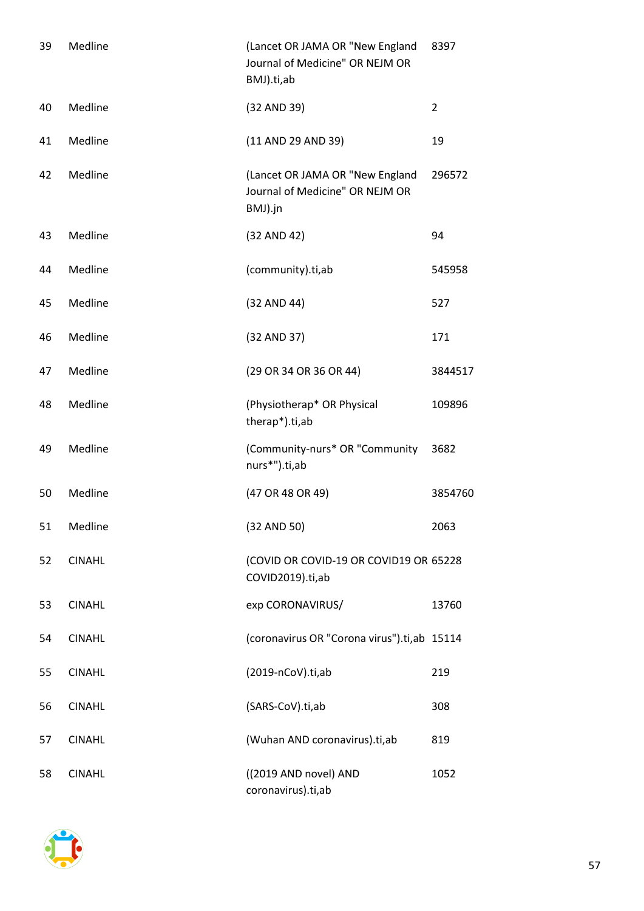| 39 | Medline       | (Lancet OR JAMA OR "New England<br>Journal of Medicine" OR NEJM OR<br>BMJ).ti,ab | 8397           |
|----|---------------|----------------------------------------------------------------------------------|----------------|
| 40 | Medline       | (32 AND 39)                                                                      | $\overline{2}$ |
| 41 | Medline       | (11 AND 29 AND 39)                                                               | 19             |
| 42 | Medline       | (Lancet OR JAMA OR "New England<br>Journal of Medicine" OR NEJM OR<br>BMJ).jn    | 296572         |
| 43 | Medline       | (32 AND 42)                                                                      | 94             |
| 44 | Medline       | (community).ti,ab                                                                | 545958         |
| 45 | Medline       | (32 AND 44)                                                                      | 527            |
| 46 | Medline       | (32 AND 37)                                                                      | 171            |
| 47 | Medline       | (29 OR 34 OR 36 OR 44)                                                           | 3844517        |
| 48 | Medline       | (Physiotherap* OR Physical<br>therap*).ti,ab                                     | 109896         |
| 49 | Medline       | (Community-nurs* OR "Community<br>nurs*").ti,ab                                  | 3682           |
| 50 | Medline       | (47 OR 48 OR 49)                                                                 | 3854760        |
| 51 | Medline       | (32 AND 50)                                                                      | 2063           |
| 52 | <b>CINAHL</b> | (COVID OR COVID-19 OR COVID19 OR 65228<br>COVID2019).ti,ab                       |                |
| 53 | <b>CINAHL</b> | exp CORONAVIRUS/                                                                 | 13760          |
| 54 | <b>CINAHL</b> | (coronavirus OR "Corona virus").ti,ab 15114                                      |                |
| 55 | <b>CINAHL</b> | (2019-nCoV).ti,ab                                                                | 219            |
| 56 | <b>CINAHL</b> | (SARS-CoV).ti,ab                                                                 | 308            |
| 57 | <b>CINAHL</b> | (Wuhan AND coronavirus).ti,ab                                                    | 819            |
| 58 | <b>CINAHL</b> | ((2019 AND novel) AND<br>coronavirus).ti,ab                                      | 1052           |

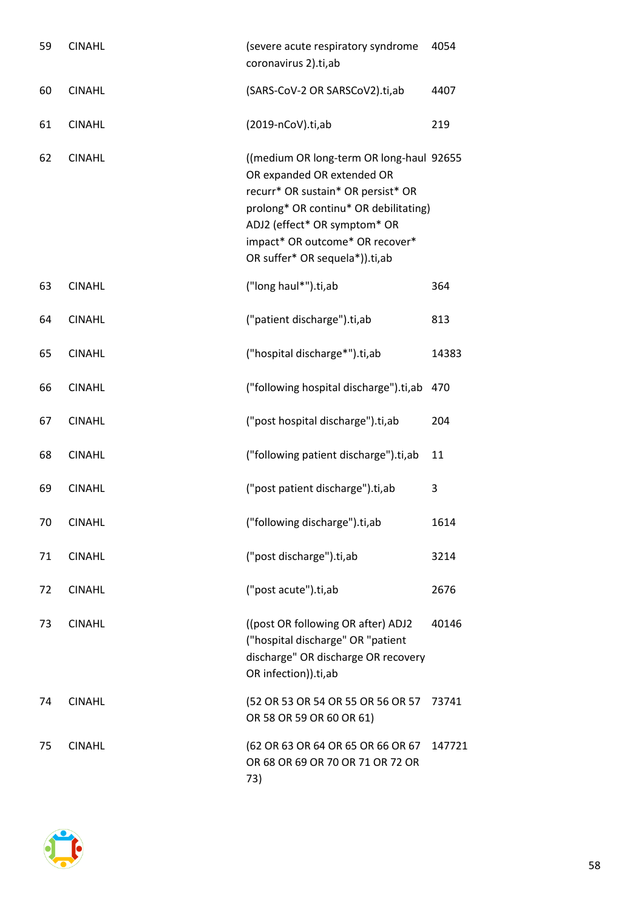| 59 | <b>CINAHL</b> | (severe acute respiratory syndrome<br>coronavirus 2).ti,ab                                                                                                                                                                                                 | 4054   |
|----|---------------|------------------------------------------------------------------------------------------------------------------------------------------------------------------------------------------------------------------------------------------------------------|--------|
| 60 | <b>CINAHL</b> | (SARS-CoV-2 OR SARSCoV2).ti,ab                                                                                                                                                                                                                             | 4407   |
| 61 | <b>CINAHL</b> | $(2019 - nCoV).ti, ab$                                                                                                                                                                                                                                     | 219    |
| 62 | <b>CINAHL</b> | ((medium OR long-term OR long-haul 92655<br>OR expanded OR extended OR<br>recurr* OR sustain* OR persist* OR<br>prolong* OR continu* OR debilitating)<br>ADJ2 (effect* OR symptom* OR<br>impact* OR outcome* OR recover*<br>OR suffer* OR sequela*)).ti,ab |        |
| 63 | <b>CINAHL</b> | ("long haul*").ti,ab                                                                                                                                                                                                                                       | 364    |
| 64 | <b>CINAHL</b> | ("patient discharge").ti,ab                                                                                                                                                                                                                                | 813    |
| 65 | <b>CINAHL</b> | ("hospital discharge*").ti,ab                                                                                                                                                                                                                              | 14383  |
| 66 | <b>CINAHL</b> | ("following hospital discharge").ti,ab 470                                                                                                                                                                                                                 |        |
| 67 | <b>CINAHL</b> | ("post hospital discharge").ti,ab                                                                                                                                                                                                                          | 204    |
| 68 | <b>CINAHL</b> | ("following patient discharge").ti,ab                                                                                                                                                                                                                      | 11     |
| 69 | <b>CINAHL</b> | ("post patient discharge").ti,ab                                                                                                                                                                                                                           | 3      |
| 70 | <b>CINAHL</b> | ("following discharge").ti,ab                                                                                                                                                                                                                              | 1614   |
| 71 | <b>CINAHL</b> | ("post discharge").ti,ab                                                                                                                                                                                                                                   | 3214   |
| 72 | <b>CINAHL</b> | ("post acute").ti,ab                                                                                                                                                                                                                                       | 2676   |
| 73 | <b>CINAHL</b> | ((post OR following OR after) ADJ2<br>("hospital discharge" OR "patient<br>discharge" OR discharge OR recovery<br>OR infection)).ti,ab                                                                                                                     | 40146  |
| 74 | <b>CINAHL</b> | (52 OR 53 OR 54 OR 55 OR 56 OR 57<br>OR 58 OR 59 OR 60 OR 61)                                                                                                                                                                                              | 73741  |
| 75 | <b>CINAHL</b> | (62 OR 63 OR 64 OR 65 OR 66 OR 67<br>OR 68 OR 69 OR 70 OR 71 OR 72 OR<br>73)                                                                                                                                                                               | 147721 |